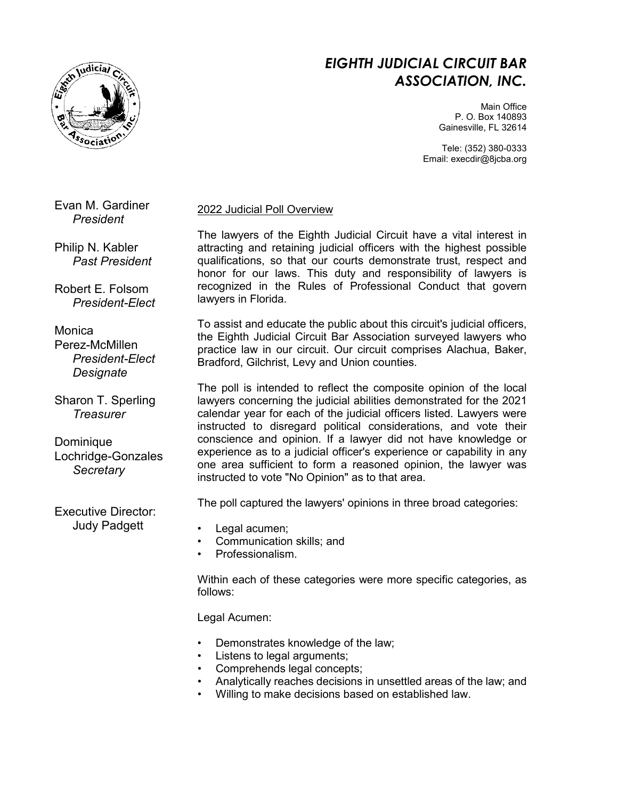

# *EIGHTH JUDICIAL CIRCUIT BAR ASSOCIATION, INC.*

Main Office P. O. Box 140893 Gainesville, FL 32614

Tele: (352) 380-0333 Email: execdir@8jcba.org

Evan M. Gardiner *President*

Philip N. Kabler *Past President*

Robert E. Folsom *President-Elect*

Monica Perez-McMillen *President-Elect Designate*

Sharon T. Sperling *Treasurer*

**Dominique** Lochridge-Gonzales *Secretary*

Executive Director: Judy Padgett

# 2022 Judicial Poll Overview

The lawyers of the Eighth Judicial Circuit have a vital interest in attracting and retaining judicial officers with the highest possible qualifications, so that our courts demonstrate trust, respect and honor for our laws. This duty and responsibility of lawyers is recognized in the Rules of Professional Conduct that govern lawyers in Florida.

To assist and educate the public about this circuit's judicial officers, the Eighth Judicial Circuit Bar Association surveyed lawyers who practice law in our circuit. Our circuit comprises Alachua, Baker, Bradford, Gilchrist, Levy and Union counties.

The poll is intended to reflect the composite opinion of the local lawyers concerning the judicial abilities demonstrated for the 2021 calendar year for each of the judicial officers listed. Lawyers were instructed to disregard political considerations, and vote their conscience and opinion. If a lawyer did not have knowledge or experience as to a judicial officer's experience or capability in any one area sufficient to form a reasoned opinion, the lawyer was instructed to vote "No Opinion" as to that area.

The poll captured the lawyers' opinions in three broad categories:

- Legal acumen;
- Communication skills; and
- Professionalism.

Within each of these categories were more specific categories, as follows:

Legal Acumen:

- Demonstrates knowledge of the law;
- Listens to legal arguments;
- Comprehends legal concepts;
- Analytically reaches decisions in unsettled areas of the law; and
- Willing to make decisions based on established law.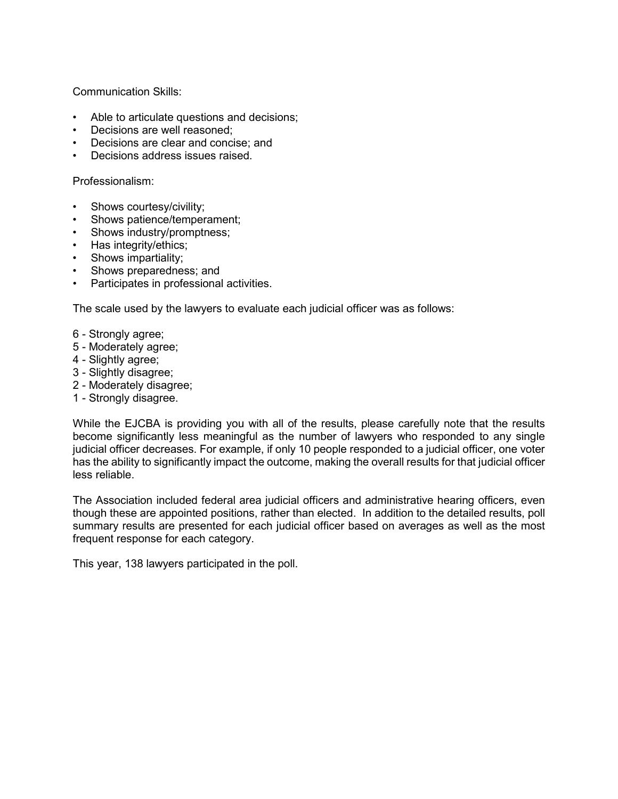Communication Skills:

- Able to articulate questions and decisions;
- Decisions are well reasoned;
- Decisions are clear and concise; and
- Decisions address issues raised.

Professionalism:

- Shows courtesy/civility;
- Shows patience/temperament;
- Shows industry/promptness;
- Has integrity/ethics;
- Shows impartiality;
- Shows preparedness; and
- Participates in professional activities.

The scale used by the lawyers to evaluate each judicial officer was as follows:

- 6 Strongly agree;
- 5 Moderately agree;
- 4 Slightly agree;
- 3 Slightly disagree;
- 2 Moderately disagree;
- 1 Strongly disagree.

While the EJCBA is providing you with all of the results, please carefully note that the results become significantly less meaningful as the number of lawyers who responded to any single judicial officer decreases. For example, if only 10 people responded to a judicial officer, one voter has the ability to significantly impact the outcome, making the overall results for that judicial officer less reliable.

The Association included federal area judicial officers and administrative hearing officers, even though these are appointed positions, rather than elected. In addition to the detailed results, poll summary results are presented for each judicial officer based on averages as well as the most frequent response for each category.

This year, 138 lawyers participated in the poll.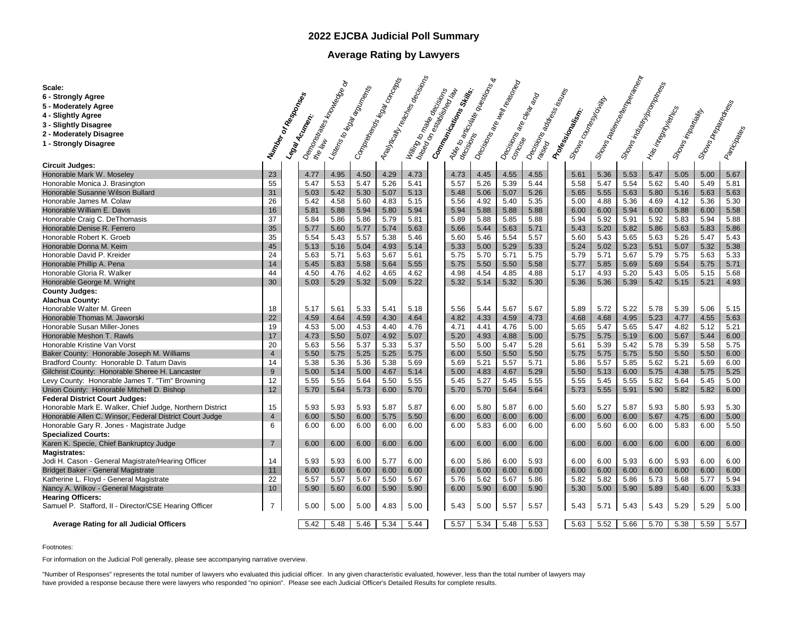# **2022 EJCBA Judicial Poll Summary**

# **Average Rating by Lawyers**

| Scale:                                                   |                     |                                                              | ò    | - Gompany Richard Raw Concepts<br>- Listens to legal and members |      | - Mayrically readings decisions<br>- Willing to make receiving | - 40 <sub>6 to aproximate operations af</sub><br>decisions <sup>approximate operations af</sup> |      | - Decisions are thell reasoned |                                                                                              |                                           |      | - Shows Datesforce (among Santaguay)<br>- Shower Indian John Promoces |                         |                   |                |              |
|----------------------------------------------------------|---------------------|--------------------------------------------------------------|------|------------------------------------------------------------------|------|----------------------------------------------------------------|-------------------------------------------------------------------------------------------------|------|--------------------------------|----------------------------------------------------------------------------------------------|-------------------------------------------|------|-----------------------------------------------------------------------|-------------------------|-------------------|----------------|--------------|
| 6 - Strongly Agree                                       |                     |                                                              |      |                                                                  |      |                                                                |                                                                                                 |      |                                |                                                                                              |                                           |      |                                                                       |                         |                   |                |              |
| 5 - Moderately Agree                                     |                     |                                                              |      |                                                                  |      |                                                                |                                                                                                 |      |                                |                                                                                              |                                           |      |                                                                       |                         |                   |                |              |
| 4 - Slightly Agree                                       |                     |                                                              |      |                                                                  |      |                                                                |                                                                                                 |      |                                |                                                                                              |                                           |      |                                                                       |                         |                   |                |              |
|                                                          |                     |                                                              |      |                                                                  |      |                                                                |                                                                                                 |      |                                |                                                                                              |                                           |      |                                                                       |                         |                   |                |              |
| 3 - Slightly Disagree                                    |                     |                                                              |      |                                                                  |      |                                                                |                                                                                                 |      |                                |                                                                                              |                                           |      |                                                                       |                         |                   |                |              |
| 2 - Moderately Disagree                                  |                     |                                                              |      |                                                                  |      |                                                                |                                                                                                 |      |                                |                                                                                              |                                           |      |                                                                       |                         |                   |                |              |
| 1 - Strongly Disagree                                    | Window or Responses | - demo <sub>nstrates frouwerded of</sub><br>Legal Acutation. |      |                                                                  |      |                                                                | Communications Strike.                                                                          |      |                                | <b>Decisions</b><br>Castrons address lisses<br>- Decisions<br>Poncise <sup>de Dec</sup> ampo | Shows Countesy Living<br>Professionalism. |      |                                                                       | Has integrity replicant | Stows inpartially | Shows Drepaged | Participates |
|                                                          |                     |                                                              |      |                                                                  |      |                                                                |                                                                                                 |      |                                |                                                                                              |                                           |      |                                                                       |                         |                   |                |              |
| <b>Circuit Judges:</b>                                   |                     |                                                              |      |                                                                  |      |                                                                |                                                                                                 |      |                                |                                                                                              |                                           |      |                                                                       |                         |                   |                |              |
| Honorable Mark W. Moseley                                | 23                  | 4.77                                                         | 4.95 | 4.50                                                             | 4.29 | 4.73                                                           | 4.73                                                                                            | 4.45 | 4.55                           | 4.55                                                                                         | 5.61                                      | 5.36 | 5.53                                                                  | 5.47                    | 5.05              | 5.00           | 5.67         |
| Honorable Monica J. Brasington                           | 55                  | 5.47                                                         | 5.53 | 5.47                                                             | 5.26 | 5.41                                                           | 5.57                                                                                            | 5.26 | 5.39                           | 5.44                                                                                         | 5.58                                      | 5.47 | 5.54                                                                  | 5.62                    | 5.40              | 5.49           | 5.81         |
| Honorable Susanne Wilson Bullard                         | 31                  | 5.03                                                         | 5.42 | 5.30                                                             | 5.07 | 5.13                                                           | 5.48                                                                                            | 5.06 | 5.07                           | 5.26                                                                                         | 5.65                                      | 5.55 | 5.63                                                                  | 5.80                    | 5.16              | 5.63           | 5.63         |
| Honorable James M. Colaw                                 | 26                  | 5.42                                                         | 4.58 | 5.60                                                             | 4.83 | 5.15                                                           | 5.56                                                                                            | 4.92 | 5.40                           | 5.35                                                                                         | 5.00                                      | 4.88 | 5.36                                                                  | 4.69                    | 4.12              | 5.36           | 5.30         |
| Honorable William E. Davis                               | 16                  | 5.81                                                         | 5.88 | 5.94                                                             | 5.80 | 5.94                                                           | 5.94                                                                                            | 5.88 | 5.88                           | 5.88                                                                                         | 6.00                                      | 6.00 | 5.94                                                                  | 6.00                    | 5.88              | 6.00           | 5.58         |
| Honorable Craig C. DeThomasis                            | 37                  | 5.84                                                         | 5.86 | 5.86                                                             | 5.79 | 5.81                                                           | 5.89                                                                                            | 5.88 | 5.85                           | 5.88                                                                                         | 5.94                                      | 5.92 | 5.91                                                                  | 5.92                    | 5.83              | 5.94           | 5.88         |
| Honorable Denise R. Ferrero                              | 35                  | 5.77                                                         | 5.60 | 5.77                                                             | 5.74 | 5.63                                                           | 5.66                                                                                            | 5.44 | 5.63                           | 5.71                                                                                         | 5.43                                      | 5.20 | 5.82                                                                  | 5.86                    | 5.63              | 5.83           | 5.86         |
| Honorable Robert K. Groeb                                | 35                  | 5.54                                                         | 5.43 | 5.57                                                             | 5.38 | 5.46                                                           | 5.60                                                                                            | 5.46 | 5.54                           | 5.57                                                                                         | 5.60                                      | 5.43 | 5.65                                                                  | 5.63                    | 5.26              | 5.47           | 5.43         |
| Honorable Donna M. Keim                                  | 45                  | 5.13                                                         | 5.16 | 5.04                                                             | 4.93 | 5.14                                                           | 5.33                                                                                            | 5.00 | 5.29                           | 5.33                                                                                         | 5.24                                      | 5.02 | 5.23                                                                  | 5.51                    | 5.07              | 5.32           | 5.38         |
| Honorable David P. Kreider                               | 24                  | 5.63                                                         | 5.71 | 5.63                                                             | 5.67 | 5.61                                                           | 5.75                                                                                            | 5.70 | 5.71                           | 5.75                                                                                         | 5.79                                      | 5.71 | 5.67                                                                  | 5.79                    | 5.75              | 5.63           | 5.33         |
| Honorable Phillip A. Pena                                | 14                  | 5.45                                                         | 5.83 | 5.58                                                             | 5.64 | 5.55                                                           | 5.75                                                                                            | 5.50 | 5.50                           | 5.58                                                                                         | 5.77                                      | 5.85 | 5.69                                                                  | 5.69                    | 5.54              | 5.75           | 5.71         |
| Honorable Gloria R. Walker                               | 44                  | 4.50                                                         | 4.76 | 4.62                                                             | 4.65 | 4.62                                                           | 4.98                                                                                            | 4.54 | 4.85                           | 4.88                                                                                         | 5.17                                      | 4.93 | 5.20                                                                  | 5.43                    | 5.05              | 5.15           | 5.68         |
| Honorable George M. Wright                               | 30                  | 5.03                                                         | 5.29 | 5.32                                                             | 5.09 | 5.22                                                           | 5.32                                                                                            | 5.14 | 5.32                           | 5.30                                                                                         | 5.36                                      | 5.36 | 5.39                                                                  | 5.42                    | 5.15              | 5.21           | 4.93         |
| <b>County Judges:</b>                                    |                     |                                                              |      |                                                                  |      |                                                                |                                                                                                 |      |                                |                                                                                              |                                           |      |                                                                       |                         |                   |                |              |
| <b>Alachua County:</b>                                   |                     |                                                              |      |                                                                  |      |                                                                |                                                                                                 |      |                                |                                                                                              |                                           |      |                                                                       |                         |                   |                |              |
| Honorable Walter M. Green                                | 18                  | 5.17                                                         | 5.61 | 5.33                                                             | 5.41 | 5.18                                                           | 5.56                                                                                            | 5.44 | 5.67                           | 5.67                                                                                         | 5.89                                      | 5.72 | 5.22                                                                  | 5.78                    | 5.39              | 5.06           | 5.15         |
| Honorable Thomas M. Jaworski                             | 22                  | 4.59                                                         | 4.64 | 4.59                                                             | 4.30 | 4.64                                                           | 4.82                                                                                            | 4.33 | 4.59                           | 4.73                                                                                         | 4.68                                      | 4.68 | 4.95                                                                  | 5.23                    | 4.77              | 4.55           | 5.63         |
| Honorable Susan Miller-Jones                             | 19                  | 4.53                                                         | 5.00 | 4.53                                                             | 4.40 | 4.76                                                           | 4.71                                                                                            | 4.41 | 4.76                           | 5.00                                                                                         | 5.65                                      | 5.47 | 5.65                                                                  | 5.47                    | 4.82              | 5.12           | 5.21         |
| Honorable Meshon T. Rawls                                | 17                  | 4.73                                                         | 5.50 | 5.07                                                             | 4.92 | 5.07                                                           | 5.20                                                                                            | 4.93 | 4.88                           | 5.00                                                                                         | 5.75                                      | 5.75 | 5.19                                                                  | 6.00                    | 5.67              | 5.44           | 6.00         |
| Honorable Kristine Van Vorst                             | 20                  | 5.63                                                         | 5.56 | 5.37                                                             | 5.33 | 5.37                                                           | 5.50                                                                                            | 5.00 | 5.47                           | 5.28                                                                                         | 5.61                                      | 5.39 | 5.42                                                                  | 5.78                    | 5.39              | 5.58           | 5.75         |
| Baker County: Honorable Joseph M. Williams               | $\overline{4}$      | 5.50                                                         | 5.75 | 5.25                                                             | 5.25 | 5.75                                                           | 6.00                                                                                            | 5.50 | 5.50                           | 5.50                                                                                         | 5.75                                      | 5.75 | 5.75                                                                  | 5.50                    | 5.50              | 5.50           | 6.00         |
| Bradford County: Honorable D. Tatum Davis                | 14                  | 5.38                                                         | 5.36 | 5.36                                                             | 5.38 | 5.69                                                           | 5.69                                                                                            | 5.21 | 5.57                           | 5.71                                                                                         | 5.86                                      | 5.57 | 5.85                                                                  | 5.62                    | 5.21              | 5.69           | 6.00         |
| Gilchrist County: Honorable Sheree H. Lancaster          | 9                   | 5.00                                                         | 5.14 | 5.00                                                             | 4.67 | 5.14                                                           | 5.00                                                                                            | 4.83 | 4.67                           | 5.29                                                                                         | 5.50                                      | 5.13 | 6.00                                                                  | 5.75                    | 4.38              | 5.75           | 5.25         |
| Levy County: Honorable James T. "Tim" Browning           | 12                  | 5.55                                                         | 5.55 | 5.64                                                             | 5.50 | 5.55                                                           | 5.45                                                                                            | 5.27 | 5.45                           | 5.55                                                                                         | 5.55                                      | 5.45 | 5.55                                                                  | 5.82                    | 5.64              | 5.45           | 5.00         |
| Union County: Honorable Mitchell D. Bishop               | 12                  | 5.70                                                         | 5.64 | 5.73                                                             | 6.00 | 5.70                                                           | 5.70                                                                                            | 5.70 | 5.64                           | 5.64                                                                                         | 5.73                                      | 5.55 | 5.91                                                                  | 5.90                    | 5.82              | 5.82           | 6.00         |
| <b>Federal District Court Judges:</b>                    |                     |                                                              |      |                                                                  |      |                                                                |                                                                                                 |      |                                |                                                                                              |                                           |      |                                                                       |                         |                   |                |              |
| Honorable Mark E. Walker, Chief Judge, Northern District | 15                  | 5.93                                                         | 5.93 | 5.93                                                             | 5.87 | 5.87                                                           | 6.00                                                                                            | 5.80 | 5.87                           | 6.00                                                                                         | 5.60                                      | 5.27 | 5.87                                                                  | 5.93                    | 5.80              | 5.93           | 5.30         |
| Honorable Allen C. Winsor, Federal District Court Judge  | $\overline{4}$      | 6.00                                                         | 5.50 | 6.00                                                             | 5.75 | 5.50                                                           | 6.00                                                                                            | 6.00 | 6.00                           | 6.00                                                                                         | 6.00                                      | 6.00 | 6.00                                                                  | 5.67                    | 4.75              | 6.00           | 5.00         |
| Honorable Gary R. Jones - Magistrate Judge               | 6                   | 6.00                                                         | 6.00 | 6.00                                                             | 6.00 | 6.00                                                           | 6.00                                                                                            | 5.83 | 6.00                           | 6.00                                                                                         | 6.00                                      | 5.60 | 6.00                                                                  | 6.00                    | 5.83              | 6.00           | 5.50         |
| <b>Specialized Courts:</b>                               |                     |                                                              |      |                                                                  |      |                                                                |                                                                                                 |      |                                |                                                                                              |                                           |      |                                                                       |                         |                   |                |              |
| Karen K. Specie, Chief Bankruptcy Judge                  | $\overline{7}$      | 6.00                                                         | 6.00 | 6.00                                                             | 6.00 | 6.00                                                           | 6.00                                                                                            | 6.00 | 6.00                           | 6.00                                                                                         | 6.00                                      | 6.00 | 6.00                                                                  | 6.00                    | 6.00              | 6.00           | 6.00         |
| <b>Magistrates:</b>                                      |                     |                                                              |      |                                                                  |      |                                                                |                                                                                                 |      |                                |                                                                                              |                                           |      |                                                                       |                         |                   |                |              |
| Jodi H. Cason - General Magistrate/Hearing Officer       | 14                  | 5.93                                                         | 5.93 | 6.00                                                             | 5.77 | 6.00                                                           | 6.00                                                                                            | 5.86 | 6.00                           | 5.93                                                                                         | 6.00                                      | 6.00 | 5.93                                                                  | 6.00                    | 5.93              | 6.00           | 6.00         |
| Bridget Baker - General Magistrate                       | 11                  | 6.00                                                         | 6.00 | 6.00                                                             | 6.00 | 6.00                                                           | 6.00                                                                                            | 6.00 | 6.00                           | 6.00                                                                                         | 6.00                                      | 6.00 | 6.00                                                                  | 6.00                    | 6.00              | 6.00           | 6.00         |
| Katherine L. Floyd - General Magistrate                  | 22                  | 5.57                                                         | 5.57 | 5.67                                                             | 5.50 | 5.67                                                           | 5.76                                                                                            | 5.62 | 5.67                           | 5.86                                                                                         | 5.82                                      | 5.82 | 5.86                                                                  | 5.73                    | 5.68              | 5.77           | 5.94         |
| Nancy A. Wilkov - General Magistrate                     | 10                  | 5.90                                                         | 5.60 | 6.00                                                             | 5.90 | 5.90                                                           | 6.00                                                                                            | 5.90 | 6.00                           | 5.90                                                                                         | 5.30                                      | 5.00 | 5.90                                                                  | 5.89                    | 5.40              | 6.00           | 5.33         |
| <b>Hearing Officers:</b>                                 |                     |                                                              |      |                                                                  |      |                                                                |                                                                                                 |      |                                |                                                                                              |                                           |      |                                                                       |                         |                   |                |              |
| Samuel P. Stafford, II - Director/CSE Hearing Officer    | $\overline{7}$      | 5.00                                                         | 5.00 | 5.00                                                             | 4.83 | 5.00                                                           | 5.43                                                                                            | 5.00 | 5.57                           | 5.57                                                                                         | 5.43                                      | 5.71 | 5.43                                                                  | 5.43                    | 5.29              | 5.29           | 5.00         |
| Average Rating for all Judicial Officers                 |                     | 5.42                                                         | 5.48 | 5.46                                                             | 5.34 | 5.44                                                           | 5.57                                                                                            | 5.34 | 5.48                           | 5.53                                                                                         | 5.63                                      | 5.52 | 5.66                                                                  | 5.70                    | 5.38              | 5.59           | 5.57         |
|                                                          |                     |                                                              |      |                                                                  |      |                                                                |                                                                                                 |      |                                |                                                                                              |                                           |      |                                                                       |                         |                   |                |              |

Footnotes:

For information on the Judicial Poll generally, please see accompanying narrative overview.

"Number of Responses" represents the total number of lawyers who evaluated this judicial officer. In any given characteristic evaluated, however, less than the total number of lawyers may have provided a response because there were lawyers who responded "no opinion". Please see each Judicial Officer's Detailed Results for complete results.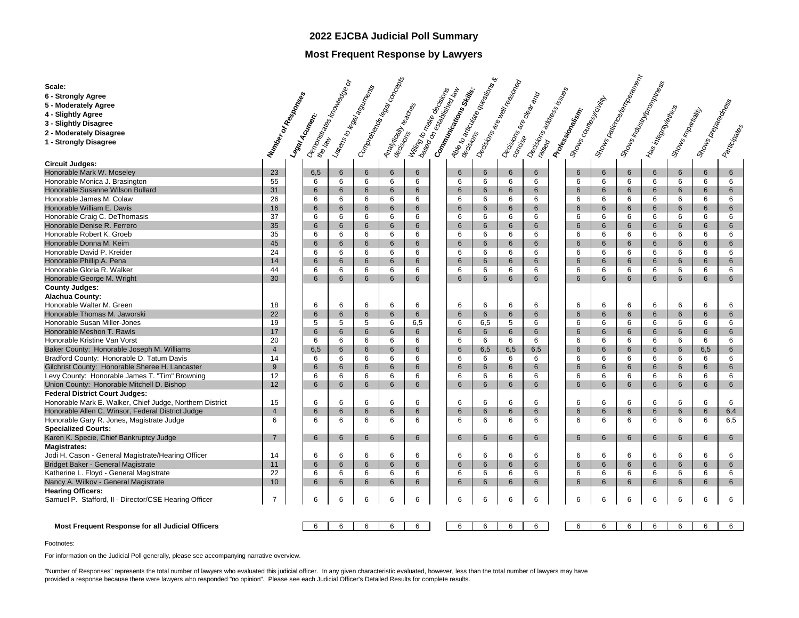# **2022 EJCBA Judicial Poll Summary**

# **Most Frequent Response by Lawyers**

|                                                                                         |                      | <b>Demanda Services Replaces</b> |        | - Comprehende Raw Concepts    |                     |                                                      | - Alee to anticulate oversitions a  |          | - Decisions are thell reason ed                    |                                        |                                                 |        | - Shows Davidson, Showson, Showson, Showson, | - Shower Industry Shower Strand |                    |                      |              |
|-----------------------------------------------------------------------------------------|----------------------|----------------------------------|--------|-------------------------------|---------------------|------------------------------------------------------|-------------------------------------|----------|----------------------------------------------------|----------------------------------------|-------------------------------------------------|--------|----------------------------------------------|---------------------------------|--------------------|----------------------|--------------|
| Scale:                                                                                  |                      |                                  |        |                               |                     |                                                      |                                     |          |                                                    |                                        |                                                 |        |                                              |                                 |                    |                      |              |
| 6 - Strongly Agree                                                                      |                      |                                  |        |                               |                     |                                                      |                                     |          |                                                    |                                        |                                                 |        |                                              |                                 |                    |                      |              |
| 5 - Moderately Agree                                                                    |                      |                                  |        |                               |                     |                                                      |                                     |          |                                                    |                                        |                                                 |        |                                              |                                 |                    |                      |              |
| 4 - Slightly Agree                                                                      |                      |                                  |        |                               |                     |                                                      |                                     |          |                                                    |                                        |                                                 |        |                                              |                                 |                    |                      |              |
| 3 - Slightly Disagree                                                                   |                      |                                  |        |                               |                     |                                                      |                                     |          |                                                    |                                        |                                                 |        |                                              |                                 |                    |                      |              |
| 2 - Moderately Disagree                                                                 |                      |                                  |        |                               |                     |                                                      |                                     |          |                                                    |                                        |                                                 |        |                                              |                                 |                    |                      |              |
| 1 - Strongly Disagree                                                                   |                      | Legay Acutence                   |        |                               |                     |                                                      |                                     |          |                                                    |                                        | Shows Council Manufacturity<br>Professionalism. |        |                                              | Has integrity early             | Shows inpartiality | Shower Branch Career |              |
|                                                                                         |                      |                                  |        |                               |                     |                                                      |                                     |          |                                                    |                                        |                                                 |        |                                              |                                 |                    |                      | Participates |
| <b>Circuit Judges:</b>                                                                  | Number or Resources  |                                  |        | - Listens to legal agontal as |                     | - Willing to make decision of<br>Anaytically readers | - Gomminications<br>Million Skills, |          | - Decisions<br>Poncises are dea <sub>rtimo</sub> n | - Decision<br>Faised na address issues |                                                 |        |                                              |                                 |                    |                      |              |
| Honorable Mark W. Moseley                                                               | 23                   | 6,5                              | 6      | $6\phantom{1}$                | 6                   | 6                                                    | $6\phantom{1}$                      | 6        | 6                                                  | 6                                      | 6                                               | 6      | 6                                            | 6                               | $6\overline{6}$    | 6                    | 6            |
| Honorable Monica J. Brasington                                                          | 55                   | 6                                | 6      | 6                             | 6                   | 6                                                    | 6                                   | 6        | 6                                                  | 6                                      | 6                                               | 6      | 6                                            | 6                               | 6                  | 6                    | 6            |
| Honorable Susanne Wilson Bullard                                                        | 31                   | 6                                | 6      | 6                             | 6                   | 6                                                    | 6                                   | 6        | 6                                                  | 6                                      | 6                                               | 6      | 6                                            | 6                               | 6                  | 6                    | 6            |
| Honorable James M. Colaw                                                                | 26                   | 6                                | 6      | 6                             | 6                   | 6                                                    | 6                                   | 6        | 6                                                  | 6                                      | 6                                               | 6      | 6                                            | 6                               | 6                  | 6                    | 6            |
| Honorable William E. Davis                                                              | 16                   | 6                                | 6      | $6\phantom{1}$                | 6                   | 6                                                    | 6                                   | 6        | 6                                                  | 6                                      | 6                                               | 6      | 6                                            | $6\phantom{1}$                  | 6                  | 6                    | 6            |
| Honorable Craig C. DeThomasis                                                           | 37                   | 6                                | 6      | 6                             | 6                   | 6                                                    | 6                                   | 6        | 6                                                  | 6                                      | 6                                               | 6      | 6                                            | 6                               | 6                  | 6                    | 6            |
| Honorable Denise R. Ferrero                                                             | 35                   | 6                                | 6      | 6                             | 6                   | 6                                                    | 6                                   | 6        | 6                                                  | 6                                      | 6                                               | 6      | 6                                            | 6                               | 6                  | 6                    | 6            |
| Honorable Robert K. Groeb                                                               | 35                   | 6                                | 6      | 6                             | 6                   | 6                                                    | 6                                   | 6        | 6                                                  | 6                                      | 6                                               | 6      | 6                                            | 6                               | 6                  | 6                    | 6            |
| Honorable Donna M. Keim                                                                 | 45                   | 6                                | 6      | 6                             | 6                   | 6                                                    | 6                                   | 6        | 6                                                  | 6                                      | 6                                               | 6      | 6                                            | 6                               | 6                  | 6                    | 6            |
| Honorable David P. Kreider                                                              | 24                   | 6                                | 6      | 6                             | 6                   | 6                                                    | 6                                   | 6        | 6                                                  | 6                                      | 6                                               | 6      | 6                                            | 6                               | 6                  | 6                    | 6            |
| Honorable Phillip A. Pena                                                               | 14                   | 6                                | 6      | 6                             | 6                   | 6                                                    | 6                                   | 6        | 6                                                  | 6                                      | 6                                               | 6      | 6                                            | 6                               | 6                  | 6                    | 6            |
| Honorable Gloria R. Walker                                                              | 44                   | 6                                | 6      | 6                             | 6                   | 6                                                    | 6                                   | 6        | 6                                                  | 6                                      | 6                                               | 6      | 6                                            | 6                               | 6                  | 6                    | 6            |
| Honorable George M. Wright                                                              | 30                   | 6                                | 6      | 6                             | 6                   | 6                                                    | 6                                   | 6        | 6                                                  | 6                                      | 6                                               | 6      | 6                                            | 6                               | 6                  | 6                    | 6            |
|                                                                                         |                      |                                  |        |                               |                     |                                                      |                                     |          |                                                    |                                        |                                                 |        |                                              |                                 |                    |                      |              |
| <b>County Judges:</b>                                                                   |                      |                                  |        |                               |                     |                                                      |                                     |          |                                                    |                                        |                                                 |        |                                              |                                 |                    |                      |              |
| <b>Alachua County:</b><br>Honorable Walter M. Green                                     | 18                   | 6                                |        | 6                             | 6                   |                                                      | 6                                   | 6        | 6                                                  | 6                                      | 6                                               | 6      | 6                                            | 6                               | 6                  | 6                    | 6            |
|                                                                                         |                      | 6                                | 6      |                               |                     | 6                                                    |                                     |          |                                                    |                                        | 6                                               |        |                                              |                                 |                    |                      |              |
| Honorable Thomas M. Jaworski<br>Honorable Susan Miller-Jones                            | 22<br>19             | 5                                | 6<br>5 | 6<br>5                        | 6<br>6              | 6<br>6,5                                             | $6\phantom{1}$<br>6                 | 6        | 6<br>5                                             | 6<br>6                                 | 6                                               | 6<br>6 | 6<br>6                                       | 6<br>6                          | 6<br>6             | 6<br>6               | 6<br>6       |
| Honorable Meshon T. Rawls                                                               | 17                   | 6                                | 6      | 6                             | 6                   | 6                                                    | 6                                   | 6,5<br>6 | 6                                                  | 6                                      | 6                                               | 6      | 6                                            | 6                               | 6                  | 6                    | 6            |
|                                                                                         |                      |                                  |        |                               |                     |                                                      |                                     |          |                                                    |                                        |                                                 |        |                                              |                                 |                    |                      |              |
| Honorable Kristine Van Vorst                                                            | 20<br>$\overline{4}$ | 6                                | 6      | 6                             | 6                   | 6                                                    | 6                                   | 6        | 6                                                  | 6                                      | 6<br>6                                          | 6      | 6                                            | 6                               | 6                  | 6                    | 6            |
| Baker County: Honorable Joseph M. Williams<br>Bradford County: Honorable D. Tatum Davis | 14                   | 6,5<br>6                         | 6<br>6 | 6<br>6                        | $6\phantom{1}$<br>6 | 6<br>6                                               | 6<br>6                              | 6,5<br>6 | 6,5<br>6                                           | 6,5<br>6                               | 6                                               | 6<br>6 | 6<br>6                                       | $6\phantom{1}$<br>6             | 6<br>6             | 6,5<br>6             | 6<br>6       |
|                                                                                         |                      | 6                                |        |                               |                     |                                                      |                                     |          |                                                    |                                        | 6                                               |        |                                              |                                 |                    |                      |              |
| Gilchrist County: Honorable Sheree H. Lancaster                                         | 9                    | 6                                | 6      | 6                             | 6<br>6              | 6<br>6                                               | 6                                   | 6        | 6                                                  | 6                                      | 6                                               | 6      | 6                                            | 6<br>6                          | 6                  | 6                    | 6            |
| Levy County: Honorable James T. "Tim" Browning                                          | 12                   |                                  | 6      | 6                             |                     |                                                      | 6                                   | 6        | 6                                                  | 6                                      |                                                 | 6      | 6                                            |                                 | 6                  | 6                    | 6            |
| Union County: Honorable Mitchell D. Bishop                                              | 12                   | 6                                | 6      | 6                             | 6                   | 6                                                    | 6                                   | 6        | 6                                                  | 6                                      | 6                                               | 6      | 6                                            | 6                               | $6\phantom{1}$     | 6                    | 6            |
| <b>Federal District Court Judges:</b>                                                   |                      |                                  |        |                               |                     |                                                      |                                     |          |                                                    | 6                                      |                                                 |        |                                              |                                 |                    | 6                    |              |
| Honorable Mark E. Walker, Chief Judge, Northern District                                | 15                   | 6                                | 6      | 6                             | 6                   | 6                                                    | 6                                   | 6        | 6                                                  |                                        | 6                                               | 6      | 6                                            | 6                               | 6                  |                      | 6            |
| Honorable Allen C. Winsor, Federal District Judge                                       | $\overline{4}$       | 6                                | 6      | 6                             | 6                   | 6                                                    | 6                                   | 6        | 6                                                  | 6                                      | 6                                               | 6      | 6                                            | 6                               | 6                  | 6                    | 6,4          |
| Honorable Gary R. Jones, Magistrate Judge                                               | 6                    | 6                                | 6      | 6                             | 6                   | 6                                                    | 6                                   | 6        | 6                                                  | 6                                      | 6                                               | 6      | 6                                            | 6                               | 6                  | 6                    | 6,5          |
| <b>Specialized Courts:</b>                                                              |                      |                                  |        |                               |                     |                                                      |                                     |          |                                                    |                                        |                                                 |        |                                              |                                 |                    |                      |              |
| Karen K. Specie, Chief Bankruptcy Judge                                                 | $\overline{7}$       | 6                                | 6      | $6\overline{6}$               | 6                   | 6                                                    | 6                                   | 6        | 6                                                  | 6                                      | 6                                               | 6      | 6                                            | 6                               | 6                  | 6                    | $6^{\circ}$  |
| <b>Magistrates:</b>                                                                     |                      |                                  |        |                               |                     |                                                      |                                     |          |                                                    |                                        |                                                 |        |                                              |                                 |                    |                      |              |
| Jodi H. Cason - General Magistrate/Hearing Officer                                      | 14                   | 6                                | 6      | 6                             | 6                   | 6                                                    | 6                                   | 6        | 6                                                  | 6                                      | 6                                               | 6      | 6                                            | 6                               | 6                  | 6                    | 6            |
| Bridget Baker - General Magistrate                                                      | 11                   | 6                                | 6      | 6                             | 6                   | 6                                                    | 6                                   | 6        | 6                                                  | 6                                      | 6                                               | 6      | 6                                            | 6                               | 6                  | 6                    | 6            |
| Katherine L. Floyd - General Magistrate                                                 | 22                   | 6                                | 6      | 6                             | 6                   | 6                                                    | 6                                   | 6        | 6                                                  | 6                                      | 6                                               | 6      | 6                                            | 6                               | 6                  | 6                    | 6            |
| Nancy A. Wilkov - General Magistrate                                                    | 10                   | 6                                | 6      | 6                             | 6                   | 6                                                    | 6                                   | 6        | 6                                                  | 6                                      | 6                                               | 6      | 6                                            | 6                               | 6                  | 6                    | 6            |
| <b>Hearing Officers:</b>                                                                |                      |                                  |        |                               |                     |                                                      |                                     |          |                                                    |                                        |                                                 |        |                                              |                                 |                    |                      |              |
| Samuel P. Stafford, II - Director/CSE Hearing Officer                                   | $\overline{7}$       | 6                                | 6      | 6                             | 6                   | 6                                                    | 6                                   | 6        | 6                                                  | 6                                      | 6                                               | 6      | 6                                            | 6                               | 6                  | 6                    | 6            |
|                                                                                         |                      |                                  |        |                               |                     |                                                      |                                     |          |                                                    |                                        |                                                 |        |                                              |                                 |                    |                      |              |
|                                                                                         |                      |                                  |        |                               |                     |                                                      |                                     |          |                                                    |                                        |                                                 |        |                                              |                                 |                    |                      |              |
| <b>Most Frequent Response for all Judicial Officers</b>                                 |                      | 6                                | 6      | 6                             | 6                   | 6                                                    | 6                                   | 6        | 6                                                  | 6                                      | 6                                               | 6      | 6                                            | 6                               | 6                  | 6                    | 6            |

Footnotes:

For information on the Judicial Poll generally, please see accompanying narrative overview.

"Number of Responses" represents the total number of lawyers who evaluated this judicial officer. In any given characteristic evaluated, however, less than the total number of lawyers may have provided a response because there were lawyers who responded "no opinion". Please see each Judicial Officer's Detailed Results for complete results.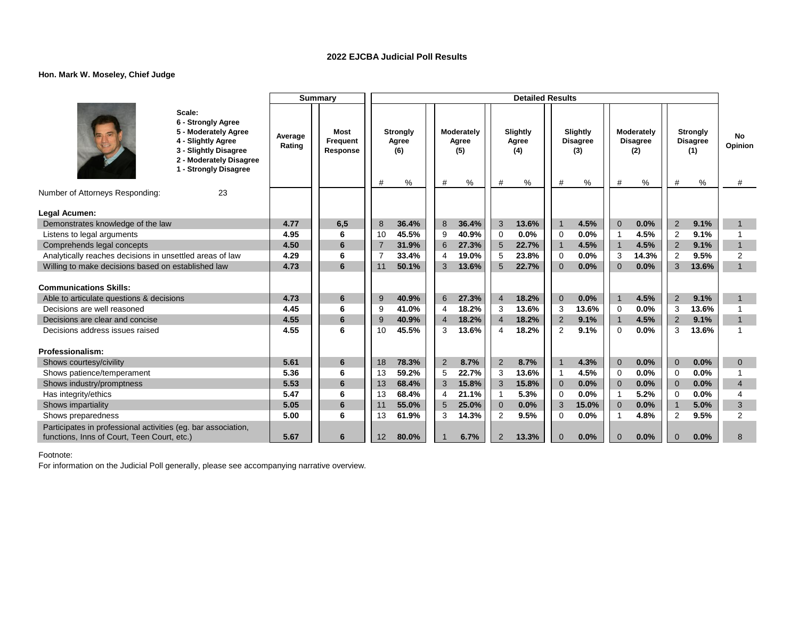### **Hon. Mark W. Moseley, Chief Judge**

|                                                                 |                                                                                                                                                         |                   | <b>Summary</b>                      |                |                                      |                |                                 |                | <b>Detailed Results</b>       |                |                                         |                |                                           |                                  |                                                |                    |
|-----------------------------------------------------------------|---------------------------------------------------------------------------------------------------------------------------------------------------------|-------------------|-------------------------------------|----------------|--------------------------------------|----------------|---------------------------------|----------------|-------------------------------|----------------|-----------------------------------------|----------------|-------------------------------------------|----------------------------------|------------------------------------------------|--------------------|
|                                                                 | Scale:<br>6 - Strongly Agree<br>5 - Moderately Agree<br>4 - Slightly Agree<br>3 - Slightly Disagree<br>2 - Moderately Disagree<br>1 - Strongly Disagree | Average<br>Rating | <b>Most</b><br>Frequent<br>Response | #              | <b>Strongly</b><br>Agree<br>(6)<br>% | #              | Moderately<br>Agree<br>(5)<br>% | #              | Slightly<br>Agree<br>(4)<br>% | #              | Slightly<br><b>Disagree</b><br>(3)<br>% | #              | Moderately<br><b>Disagree</b><br>(2)<br>% | #                                | <b>Strongly</b><br><b>Disagree</b><br>(1)<br>% | No<br>Opinion<br># |
| Number of Attorneys Responding:                                 | 23                                                                                                                                                      |                   |                                     |                |                                      |                |                                 |                |                               |                |                                         |                |                                           |                                  |                                                |                    |
|                                                                 |                                                                                                                                                         |                   |                                     |                |                                      |                |                                 |                |                               |                |                                         |                |                                           |                                  |                                                |                    |
| Legal Acumen:                                                   |                                                                                                                                                         | 4.77              |                                     | 8              | 36.4%                                | 8              | 36.4%                           | 3              | 13.6%                         | $\overline{1}$ | 4.5%                                    | $\overline{0}$ | 0.0%                                      |                                  | 9.1%                                           | $\mathbf{1}$       |
| Demonstrates knowledge of the law<br>Listens to legal arguments |                                                                                                                                                         | 4.95              | 6,5<br>6                            | 10             | 45.5%                                | 9              | 40.9%                           | $\mathbf 0$    | 0.0%                          | $\Omega$       | 0.0%                                    | 1              | 4.5%                                      | $\overline{2}$<br>$\overline{2}$ | 9.1%                                           |                    |
| Comprehends legal concepts                                      |                                                                                                                                                         | 4.50              | 6                                   | $\overline{7}$ | 31.9%                                | $6\phantom{1}$ | 27.3%                           | 5              | 22.7%                         | $\overline{1}$ | 4.5%                                    | $\overline{1}$ | 4.5%                                      | 2                                | 9.1%                                           | $\overline{1}$     |
| Analytically reaches decisions in unsettled areas of law        |                                                                                                                                                         | 4.29              | 6                                   |                | 33.4%                                | 4              | 19.0%                           | 5              | 23.8%                         | $\overline{0}$ | 0.0%                                    | 3              | 14.3%                                     | $\overline{2}$                   | 9.5%                                           | $\overline{2}$     |
| Willing to make decisions based on established law              |                                                                                                                                                         | 4.73              | 6                                   | 11             | 50.1%                                | 3              | 13.6%                           | 5              | 22.7%                         | $\Omega$       | 0.0%                                    | $\Omega$       | 0.0%                                      | 3                                | 13.6%                                          | $\mathbf{1}$       |
|                                                                 |                                                                                                                                                         |                   |                                     |                |                                      |                |                                 |                |                               |                |                                         |                |                                           |                                  |                                                |                    |
| <b>Communications Skills:</b>                                   |                                                                                                                                                         |                   |                                     |                |                                      |                |                                 |                |                               |                |                                         |                |                                           |                                  |                                                |                    |
| Able to articulate questions & decisions                        |                                                                                                                                                         | 4.73              | 6                                   | 9              | 40.9%                                | 6              | 27.3%                           | $\overline{4}$ | 18.2%                         | $\overline{0}$ | 0.0%                                    |                | 4.5%                                      | 2                                | 9.1%                                           | $\mathbf 1$        |
| Decisions are well reasoned                                     |                                                                                                                                                         | 4.45              | 6                                   | 9              | 41.0%                                | $\overline{4}$ | 18.2%                           | 3              | 13.6%                         | 3              | 13.6%                                   | $\Omega$       | 0.0%                                      | 3                                | 13.6%                                          |                    |
| Decisions are clear and concise                                 |                                                                                                                                                         | 4.55              | 6                                   | 9              | 40.9%                                | $\overline{4}$ | 18.2%                           | $\overline{4}$ | 18.2%                         | $\overline{2}$ | 9.1%                                    | $\mathbf{1}$   | 4.5%                                      | 2                                | 9.1%                                           | $\overline{1}$     |
| Decisions address issues raised                                 |                                                                                                                                                         | 4.55              | 6                                   | 10             | 45.5%                                | 3              | 13.6%                           | 4              | 18.2%                         | $\overline{2}$ | 9.1%                                    | $\Omega$       | 0.0%                                      | 3                                | 13.6%                                          | 1                  |
|                                                                 |                                                                                                                                                         |                   |                                     |                |                                      |                |                                 |                |                               |                |                                         |                |                                           |                                  |                                                |                    |
| Professionalism:                                                |                                                                                                                                                         |                   |                                     |                |                                      |                |                                 |                |                               |                |                                         |                |                                           |                                  |                                                |                    |
| Shows courtesy/civility                                         |                                                                                                                                                         | 5.61              | 6                                   | 18             | 78.3%                                | 2              | 8.7%                            | 2              | 8.7%                          | $\overline{1}$ | 4.3%                                    | $\Omega$       | 0.0%                                      | $\overline{0}$                   | 0.0%                                           | $\mathbf{0}$       |
| Shows patience/temperament                                      |                                                                                                                                                         | 5.36              | 6                                   | 13             | 59.2%                                | 5              | 22.7%                           | 3              | 13.6%                         | -1             | 4.5%                                    | $\Omega$       | 0.0%                                      | $\Omega$                         | 0.0%                                           |                    |
| Shows industry/promptness                                       |                                                                                                                                                         | 5.53              | 6                                   | 13             | 68.4%                                | 3              | 15.8%                           | 3              | 15.8%                         | $\overline{0}$ | 0.0%                                    | $\Omega$       | 0.0%                                      | $\overline{0}$                   | 0.0%                                           | $\overline{4}$     |
| Has integrity/ethics                                            |                                                                                                                                                         | 5.47              | 6                                   | 13             | 68.4%                                | $\overline{4}$ | 21.1%                           | $\mathbf{1}$   | 5.3%                          | $\Omega$       | 0.0%                                    | $\overline{1}$ | 5.2%                                      | $\Omega$                         | 0.0%                                           | 4                  |
| Shows impartiality                                              |                                                                                                                                                         | 5.05              | 6                                   | 11             | 55.0%                                | 5              | 25.0%                           | $\mathbf 0$    | 0.0%                          | 3              | 15.0%                                   | $\Omega$       | 0.0%                                      | $\overline{1}$                   | 5.0%                                           | 3                  |
| Shows preparedness                                              |                                                                                                                                                         | 5.00              | 6                                   | 13             | 61.9%                                | 3              | 14.3%                           | 2              | 9.5%                          | $\Omega$       | 0.0%                                    |                | 4.8%                                      | $\overline{2}$                   | 9.5%                                           | 2                  |
| Participates in professional activities (eg. bar association,   |                                                                                                                                                         |                   |                                     |                |                                      |                |                                 |                |                               |                |                                         |                |                                           |                                  |                                                |                    |
| functions, Inns of Court, Teen Court, etc.)                     |                                                                                                                                                         | 5.67              | 6                                   | 12             | 80.0%                                |                | 6.7%                            | $\overline{2}$ | 13.3%                         | $\Omega$       | 0.0%                                    | $\Omega$       | 0.0%                                      | $\Omega$                         | 0.0%                                           | 8                  |

Footnote: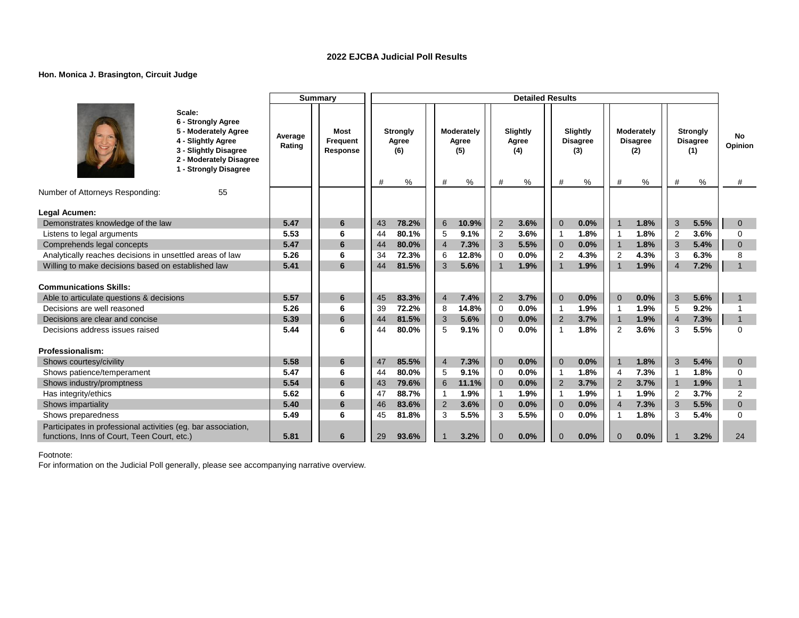### **Hon. Monica J. Brasington, Circuit Judge**

|                                                                                                                                                         |                   | <b>Summary</b>               |                                           |                                            | <b>Detailed Results</b>            |                                              |                                                |                                                     |                     |
|---------------------------------------------------------------------------------------------------------------------------------------------------------|-------------------|------------------------------|-------------------------------------------|--------------------------------------------|------------------------------------|----------------------------------------------|------------------------------------------------|-----------------------------------------------------|---------------------|
| Scale:<br>6 - Strongly Agree<br>5 - Moderately Agree<br>4 - Slightly Agree<br>3 - Slightly Disagree<br>2 - Moderately Disagree<br>1 - Strongly Disagree | Average<br>Rating | Most<br>Frequent<br>Response | <b>Strongly</b><br>Agree<br>(6)<br>%<br># | Moderately<br>Agree<br>(5)<br>$\%$<br>$\#$ | Slightly<br>Agree<br>(4)<br>#<br>% | Slightly<br><b>Disagree</b><br>(3)<br>%<br># | Moderately<br><b>Disagree</b><br>(2)<br>%<br># | <b>Strongly</b><br><b>Disagree</b><br>(1)<br>%<br># | No.<br>Opinion<br># |
| Number of Attorneys Responding:<br>55                                                                                                                   |                   |                              |                                           |                                            |                                    |                                              |                                                |                                                     |                     |
| Legal Acumen:                                                                                                                                           |                   |                              |                                           |                                            |                                    |                                              |                                                |                                                     |                     |
| Demonstrates knowledge of the law                                                                                                                       | 5.47              | 6                            | 43<br>78.2%                               | 6<br>10.9%                                 | $\overline{2}$<br>3.6%             | $\mathbf 0$<br>0.0%                          | 1.8%<br>$\overline{1}$                         | 3<br>5.5%                                           | $\mathbf{0}$        |
| Listens to legal arguments                                                                                                                              | 5.53              | 6                            | 80.1%<br>44                               | 9.1%<br>5                                  | 2<br>3.6%                          | 1.8%<br>$\mathbf{1}$                         | 1.8%<br>$\overline{1}$                         | 3.6%<br>$\overline{2}$                              | $\Omega$            |
| Comprehends legal concepts                                                                                                                              | 5.47              | 6                            | 80.0%<br>44                               | $\overline{4}$<br>7.3%                     | 3<br>5.5%                          | $\mathbf 0$<br>0.0%                          | $\overline{1}$<br>1.8%                         | 3<br>5.4%                                           | $\mathbf{0}$        |
| Analytically reaches decisions in unsettled areas of law                                                                                                | 5.26              | 6                            | 72.3%<br>34                               | 12.8%<br>6                                 | $\Omega$<br>0.0%                   | 4.3%<br>$\overline{2}$                       | 4.3%<br>$\overline{2}$                         | 6.3%<br>3                                           | 8                   |
| Willing to make decisions based on established law                                                                                                      | 5.41              | 6                            | 81.5%<br>44                               | 3<br>5.6%                                  | 1.9%<br>$\mathbf 1$                | 1.9%<br>$\mathbf{1}$                         | 1.9%<br>$\overline{1}$                         | 7.2%<br>$\overline{4}$                              | $\mathbf{1}$        |
|                                                                                                                                                         |                   |                              |                                           |                                            |                                    |                                              |                                                |                                                     |                     |
| <b>Communications Skills:</b>                                                                                                                           |                   |                              |                                           |                                            |                                    |                                              |                                                |                                                     |                     |
| Able to articulate questions & decisions                                                                                                                | 5.57              | 6                            | 83.3%<br>45                               | $\overline{4}$<br>7.4%                     | 2<br>3.7%                          | $\Omega$<br>0.0%                             | $\Omega$<br>0.0%                               | 3<br>5.6%                                           |                     |
| Decisions are well reasoned                                                                                                                             | 5.26              | 6                            | 39<br>72.2%                               | 14.8%<br>8                                 | 0.0%<br>0                          | 1.9%<br>$\mathbf{1}$                         | 1.9%<br>$\mathbf{1}$                           | 9.2%<br>5                                           |                     |
| Decisions are clear and concise                                                                                                                         | 5.39              | 6                            | 81.5%<br>44                               | 5.6%<br>3                                  | 0.0%<br>$\overline{0}$             | 3.7%<br>$\overline{2}$                       | 1.9%<br>$\overline{1}$                         | 7.3%<br>$\overline{4}$                              | $\mathbf{1}$        |
| Decisions address issues raised                                                                                                                         | 5.44              | 6                            | 80.0%<br>44                               | 5<br>9.1%                                  | 0.0%<br>$\Omega$                   | 1.8%<br>1                                    | 3.6%<br>2                                      | 5.5%<br>3                                           | $\Omega$            |
| Professionalism:                                                                                                                                        |                   |                              |                                           |                                            |                                    |                                              |                                                |                                                     |                     |
| Shows courtesy/civility                                                                                                                                 | 5.58              | 6                            | 85.5%<br>47                               | 7.3%<br>$\overline{4}$                     | $\overline{0}$<br>0.0%             | 0.0%<br>$\mathbf 0$                          | 1.8%<br>$\overline{1}$                         | 3<br>5.4%                                           | $\mathbf{0}$        |
| Shows patience/temperament                                                                                                                              | 5.47              | 6                            | 44<br>80.0%                               | 9.1%<br>5                                  | 0.0%<br>0                          | 1.8%<br>$\mathbf 1$                          | 7.3%<br>$\overline{4}$                         | 1.8%<br>$\overline{1}$                              | $\mathbf 0$         |
| Shows industry/promptness                                                                                                                               | 5.54              | $6\phantom{1}$               | 79.6%<br>43                               | 6<br>11.1%                                 | 0.0%<br>$\mathbf{0}$               | 3.7%<br>$\overline{2}$                       | 3.7%<br>2                                      | 1.9%<br>$\overline{1}$                              | $\mathbf{1}$        |
| Has integrity/ethics                                                                                                                                    | 5.62              | 6                            | 88.7%<br>47                               | 1.9%<br>$\mathbf 1$                        | 1.9%<br>$\mathbf{1}$               | 1.9%<br>$\mathbf 1$                          | 1.9%<br>-1                                     | 3.7%<br>$\overline{2}$                              | $\overline{2}$      |
| Shows impartiality                                                                                                                                      | 5.40              | 6                            | 46<br>83.6%                               | 2<br>3.6%                                  | $\mathbf{0}$<br>0.0%               | 0.0%<br>$\overline{0}$                       | $\overline{4}$<br>7.3%                         | 3<br>5.5%                                           | $\mathbf{0}$        |
| Shows preparedness                                                                                                                                      | 5.49              | 6                            | 45<br>81.8%                               | 3<br>5.5%                                  | 3<br>5.5%                          | 0.0%<br>$\Omega$                             | 1.8%<br>-1                                     | 5.4%<br>3                                           | $\Omega$            |
| Participates in professional activities (eg. bar association,                                                                                           |                   |                              |                                           |                                            |                                    |                                              |                                                |                                                     |                     |
| functions, Inns of Court, Teen Court, etc.)                                                                                                             | 5.81              | 6                            | 29<br>93.6%                               | 3.2%                                       | 0.0%<br>$\Omega$                   | 0.0%<br>$\Omega$                             | 0.0%<br>$\Omega$                               | 3.2%                                                | 24                  |

Footnote: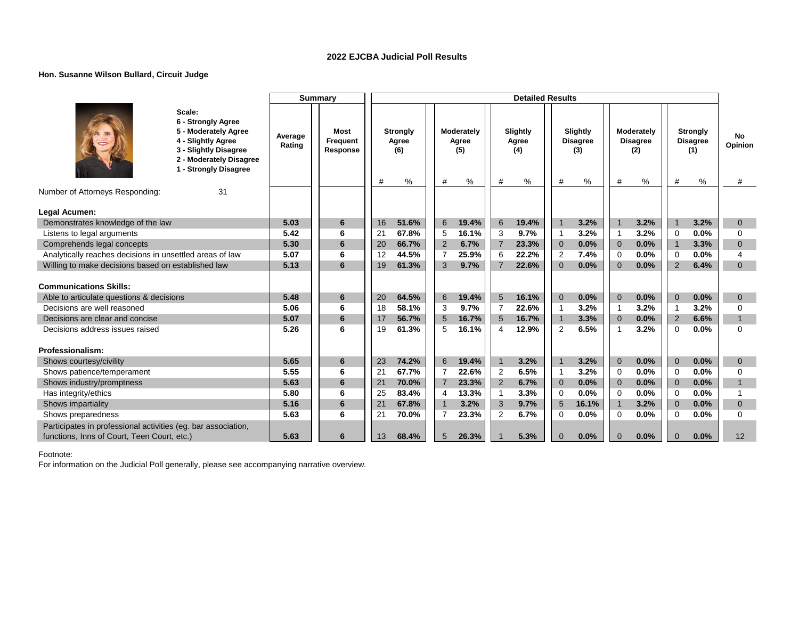### **Hon. Susanne Wilson Bullard, Circuit Judge**

|                                                               |                                                                                                                                                         |                   | <b>Summary</b>               |    |                                      |                 |                                 |                | <b>Detailed Results</b>       |                |                                         |                |                                           |                |                                                |                     |
|---------------------------------------------------------------|---------------------------------------------------------------------------------------------------------------------------------------------------------|-------------------|------------------------------|----|--------------------------------------|-----------------|---------------------------------|----------------|-------------------------------|----------------|-----------------------------------------|----------------|-------------------------------------------|----------------|------------------------------------------------|---------------------|
|                                                               | Scale:<br>6 - Strongly Agree<br>5 - Moderately Agree<br>4 - Slightly Agree<br>3 - Slightly Disagree<br>2 - Moderately Disagree<br>1 - Strongly Disagree | Average<br>Rating | Most<br>Frequent<br>Response | #  | <b>Strongly</b><br>Agree<br>(6)<br>% | #               | Moderately<br>Agree<br>(5)<br>% | #              | Slightly<br>Agree<br>(4)<br>% | #              | Slightly<br><b>Disagree</b><br>(3)<br>% | #              | Moderately<br><b>Disagree</b><br>(2)<br>% | #              | <b>Strongly</b><br><b>Disagree</b><br>(1)<br>% | No.<br>Opinion<br># |
| Number of Attorneys Responding:                               | 31                                                                                                                                                      |                   |                              |    |                                      |                 |                                 |                |                               |                |                                         |                |                                           |                |                                                |                     |
|                                                               |                                                                                                                                                         |                   |                              |    |                                      |                 |                                 |                |                               |                |                                         |                |                                           |                |                                                |                     |
| Legal Acumen:<br>Demonstrates knowledge of the law            |                                                                                                                                                         | 5.03              | 6                            | 16 | 51.6%                                | $6\overline{6}$ | 19.4%                           | 6              | 19.4%                         | $\mathbf{1}$   | 3.2%                                    | $\overline{1}$ | 3.2%                                      | $\overline{1}$ | 3.2%                                           | $\mathbf{0}$        |
| Listens to legal arguments                                    |                                                                                                                                                         | 5.42              | 6                            | 21 | 67.8%                                | 5               | 16.1%                           | 3              | 9.7%                          | $\mathbf 1$    | 3.2%                                    | $\overline{1}$ | 3.2%                                      | $\Omega$       | 0.0%                                           | $\Omega$            |
| Comprehends legal concepts                                    |                                                                                                                                                         | 5.30              | 6                            | 20 | 66.7%                                | 2               | 6.7%                            | $\overline{7}$ | 23.3%                         | $\overline{0}$ | 0.0%                                    | $\mathbf{0}$   | 0.0%                                      | $\overline{1}$ | 3.3%                                           | $\Omega$            |
| Analytically reaches decisions in unsettled areas of law      |                                                                                                                                                         | 5.07              | 6                            | 12 | 44.5%                                | $\overline{7}$  | 25.9%                           | 6              | 22.2%                         | $\overline{2}$ | 7.4%                                    | $\Omega$       | 0.0%                                      | $\Omega$       | 0.0%                                           | 4                   |
| Willing to make decisions based on established law            |                                                                                                                                                         | 5.13              | 6                            | 19 | 61.3%                                | 3               | 9.7%                            | $\overline{7}$ | 22.6%                         | $\Omega$       | 0.0%                                    | $\Omega$       | 0.0%                                      | 2              | 6.4%                                           | $\Omega$            |
|                                                               |                                                                                                                                                         |                   |                              |    |                                      |                 |                                 |                |                               |                |                                         |                |                                           |                |                                                |                     |
| <b>Communications Skills:</b>                                 |                                                                                                                                                         |                   |                              |    |                                      |                 |                                 |                |                               |                |                                         |                |                                           |                |                                                |                     |
| Able to articulate questions & decisions                      |                                                                                                                                                         | 5.48              | 6                            | 20 | 64.5%                                | $6\overline{6}$ | 19.4%                           | 5              | 16.1%                         | $\Omega$       | 0.0%                                    | $\Omega$       | 0.0%                                      | $\Omega$       | 0.0%                                           | $\mathbf{0}$        |
| Decisions are well reasoned                                   |                                                                                                                                                         | 5.06              | 6                            | 18 | 58.1%                                | 3               | 9.7%                            | $\overline{7}$ | 22.6%                         |                | 3.2%                                    | $\overline{1}$ | 3.2%                                      | $\overline{1}$ | 3.2%                                           | $\Omega$            |
| Decisions are clear and concise                               |                                                                                                                                                         | 5.07              | 6                            | 17 | 56.7%                                | 5               | 16.7%                           | $5\phantom{1}$ | 16.7%                         | $\overline{1}$ | 3.3%                                    | $\mathbf{0}$   | 0.0%                                      | 2              | 6.6%                                           | $\mathbf{1}$        |
| Decisions address issues raised                               |                                                                                                                                                         | 5.26              | 6                            | 19 | 61.3%                                | 5               | 16.1%                           | 4              | 12.9%                         | $\overline{2}$ | 6.5%                                    | -1             | 3.2%                                      | $\Omega$       | 0.0%                                           | $\Omega$            |
|                                                               |                                                                                                                                                         |                   |                              |    |                                      |                 |                                 |                |                               |                |                                         |                |                                           |                |                                                |                     |
| Professionalism:                                              |                                                                                                                                                         |                   |                              |    |                                      |                 |                                 |                |                               |                |                                         |                |                                           |                |                                                |                     |
| Shows courtesy/civility                                       |                                                                                                                                                         | 5.65              | 6                            | 23 | 74.2%                                | $6\overline{6}$ | 19.4%                           | $\mathbf{1}$   | 3.2%                          | $\overline{1}$ | 3.2%                                    | $\Omega$       | 0.0%                                      | $\Omega$       | 0.0%                                           | $\mathbf{0}$        |
| Shows patience/temperament                                    |                                                                                                                                                         | 5.55              | 6                            | 21 | 67.7%                                | $\overline{7}$  | 22.6%                           | 2              | 6.5%                          | $\mathbf{1}$   | 3.2%                                    | $\Omega$       | 0.0%                                      | $\Omega$       | 0.0%                                           | $\Omega$            |
| Shows industry/promptness                                     |                                                                                                                                                         | 5.63              | 6                            | 21 | 70.0%                                | $\overline{7}$  | 23.3%                           | $\overline{2}$ | 6.7%                          | $\overline{0}$ | 0.0%                                    | $\overline{0}$ | 0.0%                                      | $\overline{0}$ | 0.0%                                           | $\mathbf{1}$        |
| Has integrity/ethics                                          |                                                                                                                                                         | 5.80              | 6                            | 25 | 83.4%                                | 4               | 13.3%                           | $\mathbf{1}$   | 3.3%                          | 0              | 0.0%                                    | $\mathbf 0$    | 0.0%                                      | $\mathbf 0$    | 0.0%                                           |                     |
| Shows impartiality                                            |                                                                                                                                                         | 5.16              | 6                            | 21 | 67.8%                                | $\mathbf{1}$    | 3.2%                            | 3              | 9.7%                          | 5              | 16.1%                                   | $\mathbf 1$    | 3.2%                                      | $\mathbf{0}$   | 0.0%                                           | $\mathbf{0}$        |
| Shows preparedness                                            |                                                                                                                                                         | 5.63              | 6                            | 21 | 70.0%                                | $\overline{7}$  | 23.3%                           | $\overline{2}$ | 6.7%                          | $\Omega$       | 0.0%                                    | $\Omega$       | 0.0%                                      | $\Omega$       | 0.0%                                           | $\Omega$            |
| Participates in professional activities (eg. bar association, |                                                                                                                                                         |                   |                              |    |                                      |                 |                                 |                |                               |                |                                         |                |                                           |                |                                                |                     |
| functions, Inns of Court, Teen Court, etc.)                   |                                                                                                                                                         | 5.63              | 6                            | 13 | 68.4%                                | 5               | 26.3%                           |                | 5.3%                          | $\Omega$       | 0.0%                                    | $\Omega$       | 0.0%                                      | $\Omega$       | 0.0%                                           | 12                  |

Footnote: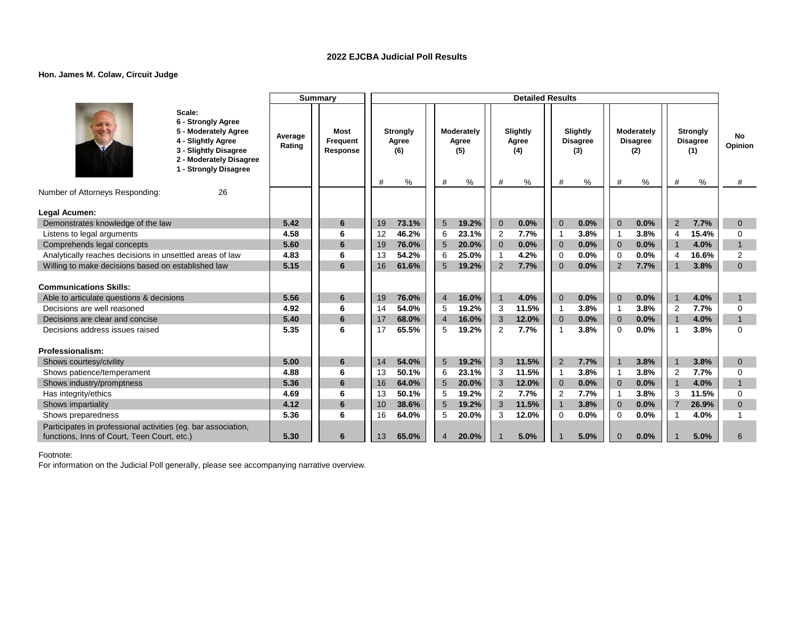### **Hon. James M. Colaw, Circuit Judge**

|                                                                                                                                                         |                   | <b>Summary</b>               |    |                                 |                 |                            |                | <b>Detailed Results</b>  |                |                                    |                |                                      |                         |                                           |                |
|---------------------------------------------------------------------------------------------------------------------------------------------------------|-------------------|------------------------------|----|---------------------------------|-----------------|----------------------------|----------------|--------------------------|----------------|------------------------------------|----------------|--------------------------------------|-------------------------|-------------------------------------------|----------------|
| Scale:<br>6 - Strongly Agree<br>5 - Moderately Agree<br>4 - Slightly Agree<br>3 - Slightly Disagree<br>2 - Moderately Disagree<br>1 - Strongly Disagree | Average<br>Rating | Most<br>Frequent<br>Response | #  | <b>Strongly</b><br>Agree<br>(6) |                 | Moderately<br>Agree<br>(5) |                | Slightly<br>Agree<br>(4) |                | Slightly<br><b>Disagree</b><br>(3) |                | Moderately<br><b>Disagree</b><br>(2) |                         | <b>Strongly</b><br><b>Disagree</b><br>(1) | No<br>Opinion  |
| Number of Attorneys Responding:<br>26                                                                                                                   |                   |                              |    | %                               | $\#$            | $\%$                       | #              | %                        | $\#$           | %                                  | #              | %                                    | #                       | %                                         | #              |
|                                                                                                                                                         |                   |                              |    |                                 |                 |                            |                |                          |                |                                    |                |                                      |                         |                                           |                |
| Legal Acumen:                                                                                                                                           |                   |                              |    |                                 |                 |                            |                |                          |                |                                    |                |                                      |                         |                                           |                |
| Demonstrates knowledge of the law                                                                                                                       | 5.42              | 6                            | 19 | 73.1%                           | $5\phantom{.0}$ | 19.2%                      | $\mathbf{0}$   | 0.0%                     | $\Omega$       | 0.0%                               | $\overline{0}$ | 0.0%                                 | $\overline{2}$          | 7.7%                                      | $\mathbf{0}$   |
| Listens to legal arguments                                                                                                                              | 4.58              | 6                            | 12 | 46.2%                           | 6               | 23.1%                      | $\overline{2}$ | 7.7%                     | -1             | 3.8%                               | -1             | 3.8%                                 | $\overline{4}$          | 15.4%                                     | $\Omega$       |
| Comprehends legal concepts                                                                                                                              | 5.60              | 6                            | 19 | 76.0%                           | 5               | 20.0%                      | $\mathbf{0}$   | 0.0%                     | $\mathbf 0$    | 0.0%                               | $\overline{0}$ | 0.0%                                 | $\overline{1}$          | 4.0%                                      | $\mathbf{1}$   |
| Analytically reaches decisions in unsettled areas of law                                                                                                | 4.83              | 6                            | 13 | 54.2%                           | 6               | 25.0%                      | $\overline{1}$ | 4.2%                     | $\mathbf 0$    | 0.0%                               | $\Omega$       | 0.0%                                 | $\overline{4}$          | 16.6%                                     | $\overline{2}$ |
| Willing to make decisions based on established law                                                                                                      | 5.15              | 6                            | 16 | 61.6%                           | 5               | 19.2%                      | $\overline{2}$ | 7.7%                     | $\Omega$       | 0.0%                               | 2              | 7.7%                                 | $\overline{\mathbf{1}}$ | 3.8%                                      | $\mathbf{0}$   |
| <b>Communications Skills:</b>                                                                                                                           |                   |                              |    |                                 |                 |                            |                |                          |                |                                    |                |                                      |                         |                                           |                |
| Able to articulate questions & decisions                                                                                                                | 5.56              | 6                            | 19 | 76.0%                           | $\overline{4}$  | 16.0%                      | $\mathbf{1}$   | 4.0%                     | $\Omega$       | 0.0%                               | $\overline{0}$ | 0.0%                                 |                         | 4.0%                                      | $\mathbf{1}$   |
| Decisions are well reasoned                                                                                                                             | 4.92              | 6                            | 14 | 54.0%                           | 5               | 19.2%                      | 3              | 11.5%                    | $\mathbf{1}$   | 3.8%                               | $\overline{1}$ | 3.8%                                 | $\overline{2}$          | 7.7%                                      | $\mathbf 0$    |
| Decisions are clear and concise                                                                                                                         | 5.40              | 6                            | 17 | 68.0%                           | $\overline{4}$  | 16.0%                      | 3              | 12.0%                    | $\overline{0}$ | 0.0%                               | $\overline{0}$ | 0.0%                                 | $\overline{1}$          | 4.0%                                      | $\mathbf{1}$   |
| Decisions address issues raised                                                                                                                         | 5.35              | 6                            | 17 | 65.5%                           | 5               | 19.2%                      | 2              | 7.7%                     | 1              | 3.8%                               | $\Omega$       | 0.0%                                 | -1                      | 3.8%                                      | $\Omega$       |
|                                                                                                                                                         |                   |                              |    |                                 |                 |                            |                |                          |                |                                    |                |                                      |                         |                                           |                |
| Professionalism:                                                                                                                                        |                   |                              |    |                                 |                 |                            |                |                          |                |                                    |                |                                      |                         |                                           |                |
| Shows courtesy/civility                                                                                                                                 | 5.00              | 6                            | 14 | 54.0%                           | 5               | 19.2%                      | 3              | 11.5%                    | 2              | 7.7%                               |                | 3.8%                                 |                         | 3.8%                                      | $\mathbf{0}$   |
| Shows patience/temperament                                                                                                                              | 4.88              | 6                            | 13 | 50.1%                           | 6               | 23.1%                      | 3              | 11.5%                    | $\mathbf{1}$   | 3.8%                               | $\overline{1}$ | 3.8%                                 | $\overline{2}$          | 7.7%                                      | $\mathbf 0$    |
| Shows industry/promptness                                                                                                                               | 5.36              | 6                            | 16 | 64.0%                           | 5               | 20.0%                      | 3              | 12.0%                    | $\overline{0}$ | 0.0%                               | $\overline{0}$ | 0.0%                                 | $\overline{1}$          | 4.0%                                      | $\mathbf{1}$   |
| Has integrity/ethics                                                                                                                                    | 4.69              | 6                            | 13 | 50.1%                           | 5               | 19.2%                      | 2              | 7.7%                     | $\overline{2}$ | 7.7%                               | -1             | 3.8%                                 | 3                       | 11.5%                                     | $\Omega$       |
| Shows impartiality                                                                                                                                      | 4.12              | 6                            | 10 | 38.6%                           | 5               | 19.2%                      | 3              | 11.5%                    | $\mathbf{1}$   | 3.8%                               | $\mathbf{0}$   | 0.0%                                 | $\overline{7}$          | 26.9%                                     | $\mathbf{0}$   |
| Shows preparedness                                                                                                                                      | 5.36              | 6                            | 16 | 64.0%                           | 5               | 20.0%                      | 3              | 12.0%                    | $\Omega$       | 0.0%                               | $\Omega$       | 0.0%                                 |                         | 4.0%                                      |                |
| Participates in professional activities (eg. bar association,                                                                                           |                   |                              |    |                                 |                 |                            |                |                          |                |                                    |                |                                      |                         |                                           |                |
| functions, Inns of Court, Teen Court, etc.)                                                                                                             | 5.30              | 6                            | 13 | 65.0%                           | $\overline{4}$  | 20.0%                      |                | 5.0%                     |                | 5.0%                               | $\Omega$       | 0.0%                                 |                         | 5.0%                                      | 6              |

Footnote: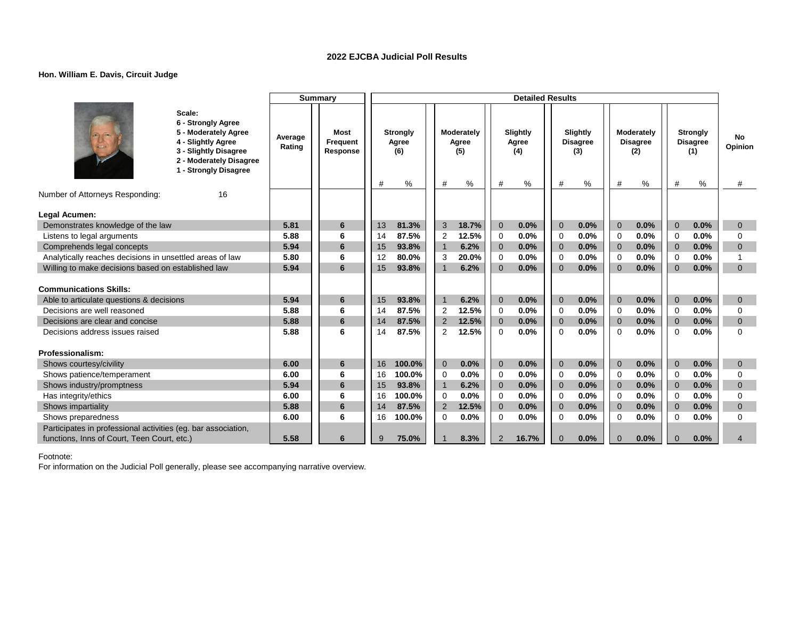### **Hon. William E. Davis, Circuit Judge**

|                                                                                                              |                                                                                                                                                         |                   | <b>Summary</b>                      |    |                                      |                |                                 |                | <b>Detailed Results</b>       |                |                                         |                |                                           |                |                                                |                    |
|--------------------------------------------------------------------------------------------------------------|---------------------------------------------------------------------------------------------------------------------------------------------------------|-------------------|-------------------------------------|----|--------------------------------------|----------------|---------------------------------|----------------|-------------------------------|----------------|-----------------------------------------|----------------|-------------------------------------------|----------------|------------------------------------------------|--------------------|
|                                                                                                              | Scale:<br>6 - Strongly Agree<br>5 - Moderately Agree<br>4 - Slightly Agree<br>3 - Slightly Disagree<br>2 - Moderately Disagree<br>1 - Strongly Disagree | Average<br>Rating | <b>Most</b><br>Frequent<br>Response | #  | <b>Strongly</b><br>Agree<br>(6)<br>% | #              | Moderately<br>Agree<br>(5)<br>% | #              | Slightly<br>Agree<br>(4)<br>% | #              | Slightly<br><b>Disagree</b><br>(3)<br>% | #              | Moderately<br><b>Disagree</b><br>(2)<br>% | #              | <b>Strongly</b><br><b>Disagree</b><br>(1)<br>% | No<br>Opinion<br># |
| Number of Attorneys Responding:                                                                              | 16                                                                                                                                                      |                   |                                     |    |                                      |                |                                 |                |                               |                |                                         |                |                                           |                |                                                |                    |
|                                                                                                              |                                                                                                                                                         |                   |                                     |    |                                      |                |                                 |                |                               |                |                                         |                |                                           |                |                                                |                    |
| Legal Acumen:                                                                                                |                                                                                                                                                         |                   |                                     |    |                                      |                |                                 |                |                               |                |                                         |                |                                           |                |                                                |                    |
| Demonstrates knowledge of the law                                                                            |                                                                                                                                                         | 5.81              | 6                                   | 13 | 81.3%                                | 3              | 18.7%                           | $\overline{0}$ | 0.0%                          | $\overline{0}$ | 0.0%                                    | $\Omega$       | 0.0%                                      | $\overline{0}$ | 0.0%                                           | $\mathbf{0}$       |
| Listens to legal arguments                                                                                   |                                                                                                                                                         | 5.88              | 6                                   | 14 | 87.5%                                | $\overline{2}$ | 12.5%                           | 0              | 0.0%                          | 0              | 0.0%                                    | $\Omega$       | 0.0%                                      | $\Omega$       | 0.0%                                           | $\Omega$           |
| Comprehends legal concepts                                                                                   |                                                                                                                                                         | 5.94              | 6                                   | 15 | 93.8%                                | $\overline{1}$ | 6.2%                            | $\mathbf{0}$   | 0.0%                          | $\mathbf 0$    | 0.0%                                    | $\overline{0}$ | 0.0%                                      | $\overline{0}$ | 0.0%                                           | $\mathbf{0}$       |
| Analytically reaches decisions in unsettled areas of law                                                     |                                                                                                                                                         | 5.80              | 6                                   | 12 | 80.0%                                | 3              | 20.0%                           | 0              | 0.0%                          | $\mathbf 0$    | 0.0%                                    | $\mathbf 0$    | 0.0%                                      | $\overline{0}$ | 0.0%                                           |                    |
| Willing to make decisions based on established law                                                           |                                                                                                                                                         | 5.94              | 6                                   | 15 | 93.8%                                |                | 6.2%                            | $\overline{0}$ | 0.0%                          | $\Omega$       | 0.0%                                    | $\Omega$       | 0.0%                                      | $\Omega$       | 0.0%                                           | $\Omega$           |
| <b>Communications Skills:</b>                                                                                |                                                                                                                                                         |                   |                                     |    |                                      |                |                                 |                |                               |                |                                         |                |                                           |                |                                                |                    |
| Able to articulate questions & decisions                                                                     |                                                                                                                                                         | 5.94              | 6                                   | 15 | 93.8%                                | 1              | 6.2%                            | $\mathbf{0}$   | 0.0%                          | $\mathbf 0$    | 0.0%                                    | $\overline{0}$ | 0.0%                                      | $\overline{0}$ | 0.0%                                           | $\mathbf{0}$       |
| Decisions are well reasoned                                                                                  |                                                                                                                                                         | 5.88              | 6                                   | 14 | 87.5%                                | 2              | 12.5%                           | 0              | 0.0%                          | $\Omega$       | 0.0%                                    | $\Omega$       | 0.0%                                      | $\Omega$       | 0.0%                                           | $\Omega$           |
| Decisions are clear and concise                                                                              |                                                                                                                                                         | 5.88              | 6                                   | 14 | 87.5%                                | 2              | 12.5%                           | $\mathbf{0}$   | 0.0%                          | $\overline{0}$ | 0.0%                                    | $\overline{0}$ | 0.0%                                      | $\overline{0}$ | 0.0%                                           | $\mathbf{0}$       |
| Decisions address issues raised                                                                              |                                                                                                                                                         | 5.88              | 6                                   | 14 | 87.5%                                | $\overline{2}$ | 12.5%                           | $\Omega$       | 0.0%                          | $\Omega$       | 0.0%                                    | $\Omega$       | 0.0%                                      | $\Omega$       | 0.0%                                           | $\Omega$           |
| Professionalism:                                                                                             |                                                                                                                                                         |                   |                                     |    |                                      |                |                                 |                |                               |                |                                         |                |                                           |                |                                                |                    |
| Shows courtesy/civility                                                                                      |                                                                                                                                                         | 6.00              | 6                                   | 16 | 100.0%                               | $\mathbf 0$    | 0.0%                            | $\mathbf{0}$   | 0.0%                          | $\mathbf 0$    | 0.0%                                    | $\overline{0}$ | 0.0%                                      | $\mathbf{0}$   | 0.0%                                           | $\mathbf{0}$       |
| Shows patience/temperament                                                                                   |                                                                                                                                                         | 6.00              | 6                                   | 16 | 100.0%                               | 0              | 0.0%                            | 0              | 0.0%                          | $\mathbf 0$    | 0.0%                                    | $\mathbf 0$    | 0.0%                                      | $\overline{0}$ | 0.0%                                           | 0                  |
| Shows industry/promptness                                                                                    |                                                                                                                                                         | 5.94              | 6                                   | 15 | 93.8%                                | $\overline{1}$ | 6.2%                            | $\mathbf{0}$   | 0.0%                          | $\overline{0}$ | 0.0%                                    | $\overline{0}$ | 0.0%                                      | $\overline{0}$ | 0.0%                                           | $\mathbf{0}$       |
| Has integrity/ethics                                                                                         |                                                                                                                                                         | 6.00              | 6                                   | 16 | 100.0%                               | 0              | 0.0%                            | 0              | 0.0%                          | $\mathbf 0$    | 0.0%                                    | $\Omega$       | 0.0%                                      | $\Omega$       | 0.0%                                           | $\Omega$           |
| Shows impartiality                                                                                           |                                                                                                                                                         | 5.88              | 6                                   | 14 | 87.5%                                | $\overline{2}$ | 12.5%                           | $\mathbf{0}$   | 0.0%                          | $\mathbf 0$    | 0.0%                                    | $\overline{0}$ | 0.0%                                      | $\overline{0}$ | 0.0%                                           | $\mathbf 0$        |
| Shows preparedness                                                                                           |                                                                                                                                                         | 6.00              | 6                                   | 16 | 100.0%                               | 0              | 0.0%                            | 0              | 0.0%                          | $\mathbf 0$    | 0.0%                                    | $\Omega$       | 0.0%                                      | $\mathbf 0$    | 0.0%                                           | $\Omega$           |
| Participates in professional activities (eg. bar association,<br>functions, Inns of Court, Teen Court, etc.) |                                                                                                                                                         | 5.58              | 6                                   | 9  | 75.0%                                |                | 8.3%                            | 2              | 16.7%                         | $\mathbf{0}$   | 0.0%                                    | $\Omega$       | 0.0%                                      | $\Omega$       | 0.0%                                           | 4                  |
|                                                                                                              |                                                                                                                                                         |                   |                                     |    |                                      |                |                                 |                |                               |                |                                         |                |                                           |                |                                                |                    |

Footnote: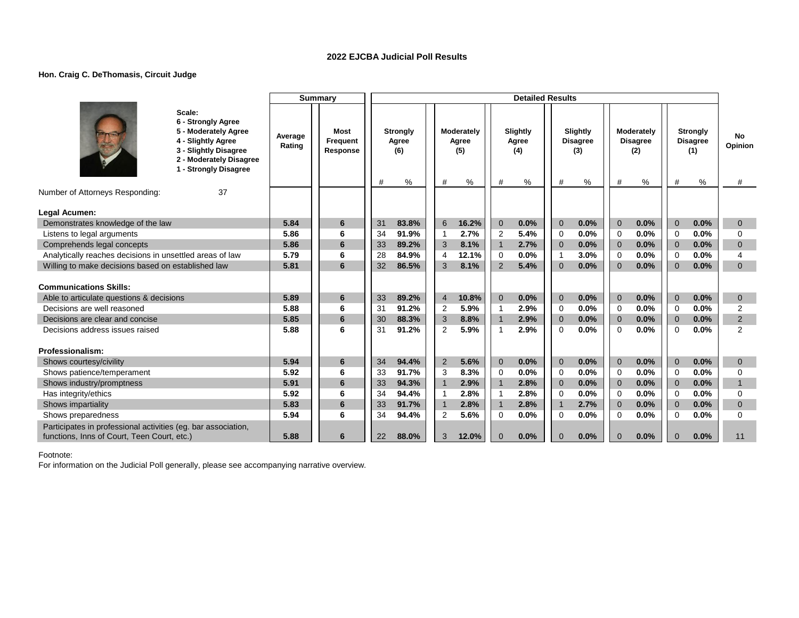### **Hon. Craig C. DeThomasis, Circuit Judge**

|                                                                                                              |                                                                                                                                                         |                   | <b>Summary</b>               |          |                                 |                     |                            |                          | <b>Detailed Results</b>  |                            |                                    |                            |                                      |                          |                                           |                          |
|--------------------------------------------------------------------------------------------------------------|---------------------------------------------------------------------------------------------------------------------------------------------------------|-------------------|------------------------------|----------|---------------------------------|---------------------|----------------------------|--------------------------|--------------------------|----------------------------|------------------------------------|----------------------------|--------------------------------------|--------------------------|-------------------------------------------|--------------------------|
|                                                                                                              | Scale:<br>6 - Strongly Agree<br>5 - Moderately Agree<br>4 - Slightly Agree<br>3 - Slightly Disagree<br>2 - Moderately Disagree<br>1 - Strongly Disagree | Average<br>Rating | Most<br>Frequent<br>Response |          | <b>Strongly</b><br>Agree<br>(6) |                     | Moderately<br>Agree<br>(5) |                          | Slightly<br>Agree<br>(4) |                            | Slightly<br><b>Disagree</b><br>(3) |                            | Moderately<br><b>Disagree</b><br>(2) |                          | <b>Strongly</b><br><b>Disagree</b><br>(1) | No.<br>Opinion           |
| Number of Attorneys Responding:                                                                              | 37                                                                                                                                                      |                   |                              | #        | %                               | #                   | $\%$                       | #                        | %                        | #                          | %                                  | #                          | %                                    | #                        | %                                         | #                        |
|                                                                                                              |                                                                                                                                                         |                   |                              |          |                                 |                     |                            |                          |                          |                            |                                    |                            |                                      |                          |                                           |                          |
| Legal Acumen:                                                                                                |                                                                                                                                                         |                   |                              |          |                                 |                     |                            |                          |                          |                            |                                    |                            |                                      |                          |                                           |                          |
| Demonstrates knowledge of the law                                                                            |                                                                                                                                                         | 5.84              | 6                            | 31       | 83.8%                           | 6                   | 16.2%                      | $\mathbf{0}$             | 0.0%<br>5.4%             | $\mathbf 0$                | 0.0%                               | $\overline{0}$             | 0.0%                                 | $\overline{0}$           | 0.0%                                      | $\mathbf{0}$             |
| Listens to legal arguments<br>Comprehends legal concepts                                                     |                                                                                                                                                         | 5.86<br>5.86      | 6<br>6                       | 34<br>33 | 91.9%<br>89.2%                  | $\mathbf{1}$<br>3   | 2.7%<br>8.1%               | 2<br>$\mathbf{1}$        | 2.7%                     | $\Omega$<br>$\overline{0}$ | 0.0%<br>0.0%                       | $\Omega$<br>$\overline{0}$ | 0.0%<br>0.0%                         | $\Omega$<br>$\mathbf{0}$ | 0.0%<br>0.0%                              | $\Omega$<br>$\mathbf{0}$ |
| Analytically reaches decisions in unsettled areas of law                                                     |                                                                                                                                                         | 5.79              | 6                            | 28       | 84.9%                           | $\overline{4}$      | 12.1%                      | $\mathbf 0$              | 0.0%                     | $\mathbf{1}$               | 3.0%                               | $\Omega$                   | 0.0%                                 | $\Omega$                 | 0.0%                                      | 4                        |
| Willing to make decisions based on established law                                                           |                                                                                                                                                         | 5.81              | 6                            | 32       | 86.5%                           | 3                   | 8.1%                       | $\overline{2}$           | 5.4%                     | $\Omega$                   | 0.0%                               | $\mathbf{0}$               | 0.0%                                 | $\mathbf{0}$             | 0.0%                                      | $\mathbf{0}$             |
|                                                                                                              |                                                                                                                                                         |                   |                              |          |                                 |                     |                            |                          |                          |                            |                                    |                            |                                      |                          |                                           |                          |
| <b>Communications Skills:</b>                                                                                |                                                                                                                                                         |                   |                              |          |                                 |                     |                            |                          |                          |                            |                                    |                            |                                      |                          |                                           |                          |
| Able to articulate questions & decisions                                                                     |                                                                                                                                                         | 5.89              | 6                            | 33       | 89.2%                           | $\overline{4}$      | 10.8%                      | $\mathbf{0}$             | 0.0%                     | $\mathbf 0$                | 0.0%                               | $\overline{0}$             | 0.0%                                 | $\overline{0}$           | 0.0%                                      | $\mathbf{0}$             |
| Decisions are well reasoned                                                                                  |                                                                                                                                                         | 5.88              | 6                            | 31       | 91.2%                           | 2                   | 5.9%                       | $\mathbf{1}$             | 2.9%                     | 0                          | 0.0%                               | $\mathbf 0$                | 0.0%                                 | $\mathbf 0$              | 0.0%                                      | 2                        |
| Decisions are clear and concise                                                                              |                                                                                                                                                         | 5.85              | 6                            | 30       | 88.3%                           | 3                   | 8.8%                       | $\mathbf{1}$             | 2.9%                     | $\overline{0}$             | 0.0%                               | $\overline{0}$             | 0.0%                                 | $\overline{0}$           | 0.0%                                      | 2                        |
| Decisions address issues raised                                                                              |                                                                                                                                                         | 5.88              | 6                            | 31       | 91.2%                           | 2                   | 5.9%                       | $\mathbf{1}$             | 2.9%                     | $\Omega$                   | 0.0%                               | $\Omega$                   | 0.0%                                 | $\Omega$                 | 0.0%                                      | $\overline{2}$           |
|                                                                                                              |                                                                                                                                                         |                   |                              |          |                                 |                     |                            |                          |                          |                            |                                    |                            |                                      |                          |                                           |                          |
| Professionalism:                                                                                             |                                                                                                                                                         |                   |                              |          |                                 |                     |                            |                          |                          |                            |                                    |                            |                                      |                          |                                           |                          |
| Shows courtesy/civility                                                                                      |                                                                                                                                                         | 5.94              | 6                            | 34       | 94.4%                           | 2                   | 5.6%                       | $\overline{0}$           | 0.0%                     | $\mathbf 0$                | 0.0%                               | $\mathbf{0}$               | 0.0%                                 | $\mathbf{0}$             | 0.0%                                      | $\mathbf{0}$             |
| Shows patience/temperament                                                                                   |                                                                                                                                                         | 5.92              | 6                            | 33       | 91.7%                           | 3                   | 8.3%                       | $\Omega$                 | 0.0%                     | 0                          | 0.0%                               | $\mathbf 0$                | 0.0%                                 | $\mathbf 0$              | 0.0%                                      | $\mathbf 0$              |
| Shows industry/promptness                                                                                    |                                                                                                                                                         | 5.91              | 6                            | 33       | 94.3%                           | $\overline{1}$      | 2.9%                       | $\mathbf{1}$             | 2.8%                     | $\overline{0}$             | 0.0%                               | $\overline{0}$             | 0.0%                                 | $\overline{0}$           | 0.0%                                      | $\mathbf{1}$             |
| Has integrity/ethics                                                                                         |                                                                                                                                                         | 5.92              | 6                            | 34       | 94.4%                           | $\overline{1}$      | 2.8%                       | $\mathbf{1}$             | 2.8%                     | $\Omega$                   | 0.0%                               | $\Omega$                   | 0.0%                                 | $\Omega$                 | 0.0%                                      | $\Omega$                 |
| Shows impartiality<br>Shows preparedness                                                                     |                                                                                                                                                         | 5.83<br>5.94      | 6<br>6                       | 33<br>34 | 91.7%<br>94.4%                  | $\overline{1}$<br>2 | 2.8%<br>5.6%               | $\mathbf{1}$<br>$\Omega$ | 2.8%<br>0.0%             | $\mathbf 1$<br>$\Omega$    | 2.7%<br>0.0%                       | $\Omega$<br>$\Omega$       | 0.0%<br>0.0%                         | $\mathbf{0}$<br>$\Omega$ | 0.0%<br>0.0%                              | $\mathbf{0}$<br>$\Omega$ |
|                                                                                                              |                                                                                                                                                         |                   |                              |          |                                 |                     |                            |                          |                          |                            |                                    |                            |                                      |                          |                                           |                          |
| Participates in professional activities (eg. bar association,<br>functions, Inns of Court, Teen Court, etc.) |                                                                                                                                                         | 5.88              | 6                            | 22       | 88.0%                           | 3                   | 12.0%                      | $\Omega$                 | 0.0%                     | $\Omega$                   | 0.0%                               | $\Omega$                   | 0.0%                                 | $\Omega$                 | 0.0%                                      | 11                       |
|                                                                                                              |                                                                                                                                                         |                   |                              |          |                                 |                     |                            |                          |                          |                            |                                    |                            |                                      |                          |                                           |                          |

Footnote: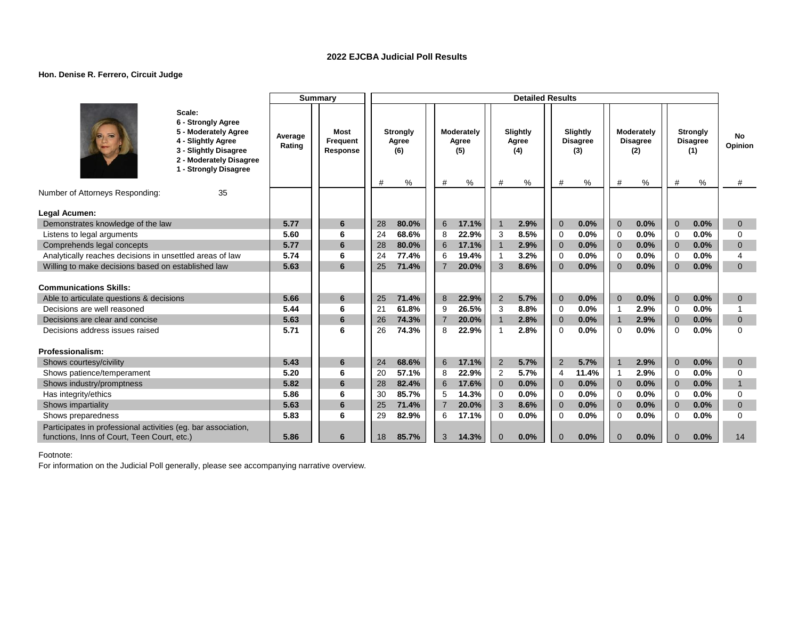### **Hon. Denise R. Ferrero, Circuit Judge**

|                                                                                                                |                                                                                                                                                         |                   | <b>Summary</b>               |          |                                      |                     |                                 |                   | <b>Detailed Results</b>       |                            |                                            |                            |                                           |                          |                                                   |                          |
|----------------------------------------------------------------------------------------------------------------|---------------------------------------------------------------------------------------------------------------------------------------------------------|-------------------|------------------------------|----------|--------------------------------------|---------------------|---------------------------------|-------------------|-------------------------------|----------------------------|--------------------------------------------|----------------------------|-------------------------------------------|--------------------------|---------------------------------------------------|--------------------------|
|                                                                                                                | Scale:<br>6 - Strongly Agree<br>5 - Moderately Agree<br>4 - Slightly Agree<br>3 - Slightly Disagree<br>2 - Moderately Disagree<br>1 - Strongly Disagree | Average<br>Rating | Most<br>Frequent<br>Response | #        | <b>Strongly</b><br>Agree<br>(6)<br>% | #                   | Moderately<br>Agree<br>(5)<br>% | #                 | Slightly<br>Agree<br>(4)<br>% | #                          | Slightly<br><b>Disagree</b><br>(3)<br>$\%$ | #                          | Moderately<br><b>Disagree</b><br>(2)<br>% | #                        | <b>Strongly</b><br><b>Disagree</b><br>(1)<br>$\%$ | No<br>Opinion<br>#       |
| Number of Attorneys Responding:                                                                                | 35                                                                                                                                                      |                   |                              |          |                                      |                     |                                 |                   |                               |                            |                                            |                            |                                           |                          |                                                   |                          |
|                                                                                                                |                                                                                                                                                         |                   |                              |          |                                      |                     |                                 |                   |                               |                            |                                            |                            |                                           |                          |                                                   |                          |
| Legal Acumen:                                                                                                  |                                                                                                                                                         |                   |                              |          |                                      |                     |                                 |                   |                               |                            |                                            |                            |                                           |                          |                                                   |                          |
| Demonstrates knowledge of the law                                                                              |                                                                                                                                                         | 5.77<br>5.60      | 6<br>6                       | 28       | 80.0%<br>68.6%                       | 6                   | 17.1%<br>22.9%                  | $\overline{1}$    | 2.9%<br>8.5%                  | $\overline{0}$             | 0.0%<br>0.0%                               | $\overline{0}$             | 0.0%<br>0.0%                              | $\overline{0}$           | 0.0%<br>0.0%                                      | $\mathbf 0$<br>$\Omega$  |
| Listens to legal arguments                                                                                     |                                                                                                                                                         | 5.77              | 6                            | 24<br>28 | 80.0%                                | 8                   | 17.1%                           | 3<br>$\mathbf{1}$ | 2.9%                          | $\Omega$<br>$\overline{0}$ | 0.0%                                       | $\Omega$<br>$\overline{0}$ | 0.0%                                      | $\Omega$<br>$\mathbf{0}$ | 0.0%                                              | $\mathbf{0}$             |
| Comprehends legal concepts                                                                                     |                                                                                                                                                         | 5.74              | 6                            | 24       | 77.4%                                | 6                   |                                 | $\mathbf{1}$      | 3.2%                          | $\mathbf 0$                | 0.0%                                       |                            | 0.0%                                      |                          | 0.0%                                              | 4                        |
| Analytically reaches decisions in unsettled areas of law<br>Willing to make decisions based on established law |                                                                                                                                                         | 5.63              | 6                            | 25       | 71.4%                                | 6<br>$\overline{7}$ | 19.4%<br>20.0%                  | 3                 | 8.6%                          | $\Omega$                   | 0.0%                                       | $\mathbf 0$<br>$\Omega$    | 0.0%                                      | $\mathbf 0$<br>$\Omega$  | 0.0%                                              | $\Omega$                 |
|                                                                                                                |                                                                                                                                                         |                   |                              |          |                                      |                     |                                 |                   |                               |                            |                                            |                            |                                           |                          |                                                   |                          |
| <b>Communications Skills:</b>                                                                                  |                                                                                                                                                         |                   |                              |          |                                      |                     |                                 |                   |                               |                            |                                            |                            |                                           |                          |                                                   |                          |
| Able to articulate questions & decisions                                                                       |                                                                                                                                                         | 5.66              | 6                            | 25       | 71.4%                                | 8                   | 22.9%                           | $\overline{2}$    | 5.7%                          | $\mathbf{0}$               | 0.0%                                       | $\Omega$                   | 0.0%                                      | $\mathbf{0}$             | 0.0%                                              | $\mathbf{0}$             |
| Decisions are well reasoned                                                                                    |                                                                                                                                                         | 5.44              | 6                            | 21       | 61.8%                                | 9                   | 26.5%                           | 3                 | 8.8%                          | 0                          | 0.0%                                       | -1                         | 2.9%                                      | 0                        | 0.0%                                              |                          |
| Decisions are clear and concise                                                                                |                                                                                                                                                         | 5.63              | 6                            | 26       | 74.3%                                | $\overline{7}$      | 20.0%                           | $\mathbf{1}$      | 2.8%                          | $\mathbf{0}$               | 0.0%                                       | $\overline{1}$             | 2.9%                                      | $\mathbf{0}$             | 0.0%                                              | $\mathbf{0}$             |
| Decisions address issues raised                                                                                |                                                                                                                                                         | 5.71              | 6                            | 26       | 74.3%                                | 8                   | 22.9%                           | $\mathbf{1}$      | 2.8%                          | $\Omega$                   | 0.0%                                       | $\Omega$                   | 0.0%                                      | $\Omega$                 | 0.0%                                              | $\Omega$                 |
| Professionalism:                                                                                               |                                                                                                                                                         |                   |                              |          |                                      |                     |                                 |                   |                               |                            |                                            |                            |                                           |                          |                                                   |                          |
|                                                                                                                |                                                                                                                                                         | 5.43              |                              | 24       | 68.6%                                | 6                   | 17.1%                           | $\overline{2}$    | 5.7%                          | $\overline{2}$             | 5.7%                                       |                            | 2.9%                                      | $\mathbf{0}$             | 0.0%                                              |                          |
| Shows courtesy/civility<br>Shows patience/temperament                                                          |                                                                                                                                                         | 5.20              | 6<br>6                       | 20       | 57.1%                                | 8                   | 22.9%                           | 2                 | 5.7%                          | $\overline{4}$             | 11.4%                                      | -1                         | 2.9%                                      | $\Omega$                 | 0.0%                                              | $\mathbf{0}$<br>$\Omega$ |
|                                                                                                                |                                                                                                                                                         | 5.82              | 6                            | 28       | 82.4%                                | 6                   | 17.6%                           | $\overline{0}$    | 0.0%                          | $\overline{0}$             | 0.0%                                       | $\overline{0}$             | 0.0%                                      | $\overline{0}$           | 0.0%                                              | $\mathbf{1}$             |
| Shows industry/promptness<br>Has integrity/ethics                                                              |                                                                                                                                                         | 5.86              | 6                            | 30       | 85.7%                                | 5                   | 14.3%                           | 0                 | 0.0%                          | $\Omega$                   | 0.0%                                       | $\Omega$                   | 0.0%                                      | $\Omega$                 | 0.0%                                              | $\Omega$                 |
| Shows impartiality                                                                                             |                                                                                                                                                         | 5.63              | 6                            | 25       | 71.4%                                | $\overline{7}$      | 20.0%                           | 3                 | 8.6%                          | $\mathbf{0}$               | 0.0%                                       | $\Omega$                   | 0.0%                                      | $\mathbf{0}$             | 0.0%                                              | $\mathbf{0}$             |
| Shows preparedness                                                                                             |                                                                                                                                                         | 5.83              | 6                            | 29       | 82.9%                                | 6                   | 17.1%                           | $\Omega$          | 0.0%                          | $\Omega$                   | 0.0%                                       | $\Omega$                   | 0.0%                                      | $\Omega$                 | 0.0%                                              | $\Omega$                 |
| Participates in professional activities (eg. bar association,                                                  |                                                                                                                                                         |                   |                              |          |                                      |                     |                                 |                   |                               |                            |                                            |                            |                                           |                          |                                                   |                          |
| functions, Inns of Court, Teen Court, etc.)                                                                    |                                                                                                                                                         | 5.86              | 6                            | 18       | 85.7%                                | 3                   | 14.3%                           | $\Omega$          | 0.0%                          | $\Omega$                   | 0.0%                                       | $\Omega$                   | 0.0%                                      | $\Omega$                 | 0.0%                                              | 14                       |
|                                                                                                                |                                                                                                                                                         |                   |                              |          |                                      |                     |                                 |                   |                               |                            |                                            |                            |                                           |                          |                                                   |                          |

Footnote: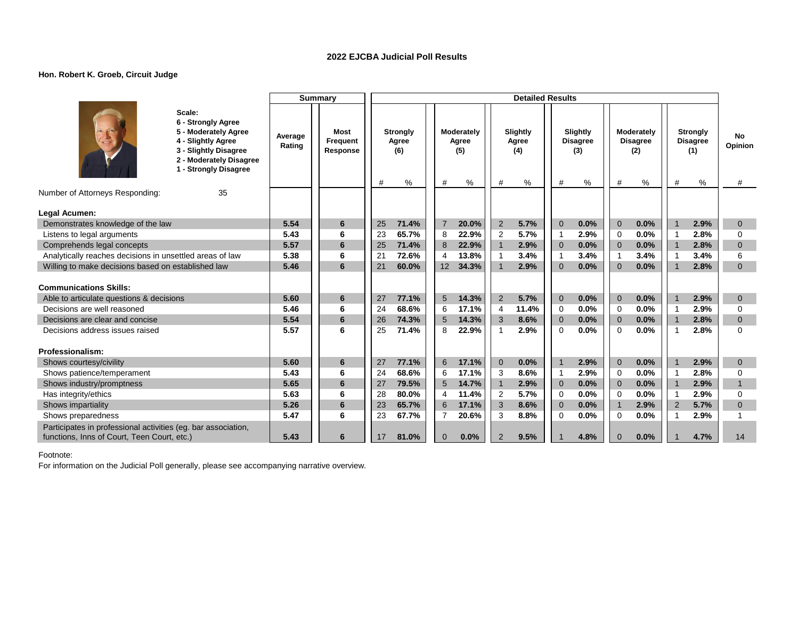### **Hon. Robert K. Groeb, Circuit Judge**

|                                                                                                                                                         |                   | <b>Summary</b>                      |                                           |                                      | <b>Detailed Results</b>            |                                                     |                                                |                                                     |                    |
|---------------------------------------------------------------------------------------------------------------------------------------------------------|-------------------|-------------------------------------|-------------------------------------------|--------------------------------------|------------------------------------|-----------------------------------------------------|------------------------------------------------|-----------------------------------------------------|--------------------|
| Scale:<br>6 - Strongly Agree<br>5 - Moderately Agree<br>4 - Slightly Agree<br>3 - Slightly Disagree<br>2 - Moderately Disagree<br>1 - Strongly Disagree | Average<br>Rating | <b>Most</b><br>Frequent<br>Response | <b>Strongly</b><br>Agree<br>(6)<br>%<br># | Moderately<br>Agree<br>(5)<br>#<br>% | Slightly<br>Agree<br>(4)<br>#<br>% | <b>Slightly</b><br><b>Disagree</b><br>(3)<br>%<br># | Moderately<br><b>Disagree</b><br>(2)<br>%<br># | <b>Strongly</b><br><b>Disagree</b><br>(1)<br>%<br># | No<br>Opinion<br># |
| Number of Attorneys Responding:<br>35                                                                                                                   |                   |                                     |                                           |                                      |                                    |                                                     |                                                |                                                     |                    |
|                                                                                                                                                         |                   |                                     |                                           |                                      |                                    |                                                     |                                                |                                                     |                    |
| Legal Acumen:                                                                                                                                           |                   |                                     |                                           |                                      |                                    |                                                     |                                                |                                                     |                    |
| Demonstrates knowledge of the law                                                                                                                       | 5.54              | 6                                   | 25<br>71.4%                               | $\overline{7}$<br>20.0%              | $\overline{2}$<br>5.7%             | 0.0%<br>$\overline{0}$                              | $\overline{0}$<br>0.0%                         | 2.9%                                                | $\mathbf{0}$       |
| Listens to legal arguments                                                                                                                              | 5.43              | 6                                   | 23<br>65.7%                               | 22.9%<br>8                           | 2<br>5.7%                          | 2.9%<br>$\mathbf{1}$                                | 0.0%<br>$\Omega$                               | 2.8%<br>-1                                          | $\Omega$           |
| Comprehends legal concepts                                                                                                                              | 5.57              | 6                                   | 25<br>71.4%                               | 8<br>22.9%                           | $\mathbf{1}$<br>2.9%               | 0.0%<br>$\overline{0}$                              | 0.0%<br>$\overline{0}$                         | 2.8%<br>$\overline{\mathbf{1}}$                     | $\Omega$           |
| Analytically reaches decisions in unsettled areas of law                                                                                                | 5.38              | 6                                   | 2 <sub>1</sub><br>72.6%                   | 13.8%<br>$\overline{4}$              | $\mathbf{1}$<br>3.4%               | 3.4%<br>$\mathbf 1$                                 | 3.4%<br>$\overline{1}$                         | 3.4%                                                | 6                  |
| Willing to make decisions based on established law                                                                                                      | 5.46              | 6                                   | 21<br>60.0%                               | 12<br>34.3%                          | $\overline{1}$<br>2.9%             | $\Omega$<br>0.0%                                    | 0.0%<br>$\Omega$                               | 2.8%                                                | $\mathbf{0}$       |
| <b>Communications Skills:</b>                                                                                                                           |                   |                                     |                                           |                                      |                                    |                                                     |                                                |                                                     |                    |
| Able to articulate questions & decisions                                                                                                                | 5.60              | 6                                   | 27<br>77.1%                               | 5<br>14.3%                           | $\overline{2}$<br>5.7%             | $\mathbf 0$<br>0.0%                                 | 0.0%<br>$\mathbf 0$                            | 2.9%                                                | $\mathbf{0}$       |
| Decisions are well reasoned                                                                                                                             | 5.46              | 6                                   | 24<br>68.6%                               | 6<br>17.1%                           | 11.4%<br>4                         | 0.0%<br>0                                           | 0.0%<br>$\mathbf 0$                            | 2.9%<br>-1                                          | 0                  |
| Decisions are clear and concise                                                                                                                         | 5.54              | 6                                   | 74.3%<br>26                               | 14.3%<br>5                           | 3<br>8.6%                          | 0.0%<br>$\overline{0}$                              | 0.0%<br>$\mathbf{0}$                           | 2.8%                                                | $\mathbf{0}$       |
| Decisions address issues raised                                                                                                                         | 5.57              | 6                                   | 71.4%<br>25                               | 8<br>22.9%                           | $\overline{1}$<br>2.9%             | 0.0%<br>$\Omega$                                    | 0.0%<br>$\Omega$                               | 2.8%                                                | $\Omega$           |
|                                                                                                                                                         |                   |                                     |                                           |                                      |                                    |                                                     |                                                |                                                     |                    |
| Professionalism:                                                                                                                                        |                   |                                     |                                           |                                      |                                    |                                                     |                                                |                                                     |                    |
| Shows courtesy/civility                                                                                                                                 | 5.60              | 6                                   | 27<br>77.1%                               | 6<br>17.1%                           | $\mathbf{0}$<br>0.0%               | 2.9%<br>$\mathbf{1}$                                | $\mathbf{0}$<br>0.0%                           | 2.9%                                                | $\mathbf{0}$       |
| Shows patience/temperament                                                                                                                              | 5.43              | 6                                   | 24<br>68.6%                               | 6<br>17.1%                           | 3<br>8.6%                          | 2.9%<br>$\mathbf{1}$                                | 0.0%<br>$\mathbf 0$                            | 2.8%                                                | $\mathbf 0$        |
| Shows industry/promptness                                                                                                                               | 5.65              | 6                                   | 79.5%<br>27                               | 14.7%<br>5                           | 2.9%<br>$\mathbf{1}$               | 0.0%<br>$\Omega$                                    | 0.0%<br>$\Omega$                               | 2.9%                                                | $\mathbf{1}$       |
| Has integrity/ethics                                                                                                                                    | 5.63              | 6                                   | 80.0%<br>28                               | 11.4%<br>4                           | 2<br>5.7%                          | 0.0%<br>$\Omega$                                    | 0.0%<br>$\Omega$                               | 2.9%<br>-1                                          | $\Omega$           |
| Shows impartiality                                                                                                                                      | 5.26              | 6                                   | 23<br>65.7%                               | 6<br>17.1%                           | 3<br>8.6%                          | 0.0%<br>$\overline{0}$                              | 2.9%<br>$\mathbf 1$                            | 5.7%<br>$\overline{2}$                              | $\mathbf{0}$       |
| Shows preparedness                                                                                                                                      | 5.47              | 6                                   | 23<br>67.7%                               | $\overline{7}$<br>20.6%              | 3<br>8.8%                          | 0.0%<br>$\Omega$                                    | 0.0%<br>$\Omega$                               | 2.9%                                                | 1                  |
| Participates in professional activities (eg. bar association,                                                                                           |                   |                                     |                                           |                                      |                                    |                                                     |                                                |                                                     |                    |
| functions, Inns of Court, Teen Court, etc.)                                                                                                             | 5.43              | 6                                   | 81.0%<br>17                               | 0.0%<br>$\Omega$                     | $\overline{2}$<br>9.5%             | 4.8%                                                | 0.0%<br>$\Omega$                               | 4.7%                                                | 14                 |

Footnote: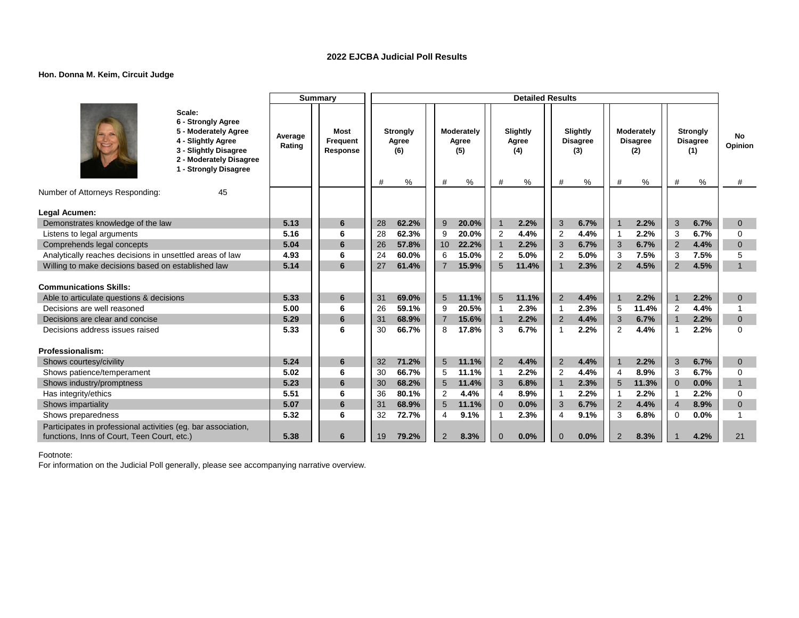# **Hon. Donna M. Keim, Circuit Judge**

|                                                               |                                                                                                                                                         |                   | <b>Summary</b>                      |    |                                      |                |                                    |                | <b>Detailed Results</b>          |                          |                                         |                       |                                           |                |                                                |                    |
|---------------------------------------------------------------|---------------------------------------------------------------------------------------------------------------------------------------------------------|-------------------|-------------------------------------|----|--------------------------------------|----------------|------------------------------------|----------------|----------------------------------|--------------------------|-----------------------------------------|-----------------------|-------------------------------------------|----------------|------------------------------------------------|--------------------|
|                                                               | Scale:<br>6 - Strongly Agree<br>5 - Moderately Agree<br>4 - Slightly Agree<br>3 - Slightly Disagree<br>2 - Moderately Disagree<br>1 - Strongly Disagree | Average<br>Rating | <b>Most</b><br>Frequent<br>Response | #  | <b>Strongly</b><br>Agree<br>(6)<br>% | #              | Moderately<br>Agree<br>(5)<br>$\%$ | #              | Slightly<br>Agree<br>(4)<br>$\%$ | $\#$                     | Slightly<br><b>Disagree</b><br>(3)<br>% | #                     | Moderately<br><b>Disagree</b><br>(2)<br>% | $\#$           | <b>Strongly</b><br><b>Disagree</b><br>(1)<br>% | No<br>Opinion<br># |
| Number of Attorneys Responding:                               | 45                                                                                                                                                      |                   |                                     |    |                                      |                |                                    |                |                                  |                          |                                         |                       |                                           |                |                                                |                    |
| Legal Acumen:                                                 |                                                                                                                                                         |                   |                                     |    |                                      |                |                                    |                |                                  |                          |                                         |                       |                                           |                |                                                |                    |
| Demonstrates knowledge of the law                             |                                                                                                                                                         | 5.13              | 6                                   | 28 | 62.2%                                | 9              | 20.0%                              | $\mathbf{1}$   | 2.2%                             | 3                        | 6.7%                                    |                       | 2.2%                                      | 3              | 6.7%                                           | $\mathbf{0}$       |
| Listens to legal arguments                                    |                                                                                                                                                         | 5.16              | 6                                   | 28 | 62.3%                                | 9              | 20.0%                              | $\overline{2}$ | 4.4%                             | $\overline{2}$           | 4.4%                                    | -1                    | 2.2%                                      | 3              | 6.7%                                           | $\Omega$           |
| Comprehends legal concepts                                    |                                                                                                                                                         | 5.04              | 6                                   | 26 | 57.8%                                | 10             | 22.2%                              | $\mathbf{1}$   | 2.2%                             | 3                        | 6.7%                                    | 3                     | 6.7%                                      | $\overline{2}$ | 4.4%                                           | $\mathbf{0}$       |
| Analytically reaches decisions in unsettled areas of law      |                                                                                                                                                         | 4.93              | 6                                   | 24 | 60.0%                                | 6              | 15.0%                              | $\overline{2}$ | 5.0%                             | $\overline{2}$           | 5.0%                                    | 3                     | 7.5%                                      | 3              | 7.5%                                           | 5                  |
| Willing to make decisions based on established law            |                                                                                                                                                         | 5.14              | 6                                   | 27 | 61.4%                                | $\overline{7}$ | 15.9%                              | 5              | 11.4%                            |                          | 2.3%                                    | 2                     | 4.5%                                      | 2              | 4.5%                                           | $\overline{1}$     |
|                                                               |                                                                                                                                                         |                   |                                     |    |                                      |                |                                    |                |                                  |                          |                                         |                       |                                           |                |                                                |                    |
| <b>Communications Skills:</b>                                 |                                                                                                                                                         |                   |                                     |    |                                      |                |                                    |                |                                  |                          |                                         |                       |                                           |                |                                                |                    |
| Able to articulate questions & decisions                      |                                                                                                                                                         | 5.33              | 6                                   | 31 | 69.0%                                | 5              | 11.1%                              | 5              | 11.1%                            | $\overline{2}$           | 4.4%                                    |                       | 2.2%                                      |                | 2.2%                                           | $\overline{0}$     |
| Decisions are well reasoned                                   |                                                                                                                                                         | 5.00              | 6                                   | 26 | 59.1%                                | 9              | 20.5%                              | $\mathbf{1}$   | 2.3%                             | $\overline{\phantom{a}}$ | 2.3%                                    | 5                     | 11.4%                                     | $\overline{2}$ | 4.4%                                           |                    |
| Decisions are clear and concise                               |                                                                                                                                                         | 5.29              | 6                                   | 31 | 68.9%                                | $\overline{7}$ | 15.6%                              | $\mathbf{1}$   | 2.2%                             | $\overline{2}$           | 4.4%                                    | 3                     | 6.7%                                      | $\overline{1}$ | 2.2%                                           | $\overline{0}$     |
| Decisions address issues raised                               |                                                                                                                                                         | 5.33              | 6                                   | 30 | 66.7%                                | 8              | 17.8%                              | 3              | 6.7%                             | $\overline{1}$           | 2.2%                                    | $\overline{2}$        | 4.4%                                      | -1             | 2.2%                                           | $\Omega$           |
|                                                               |                                                                                                                                                         |                   |                                     |    |                                      |                |                                    |                |                                  |                          |                                         |                       |                                           |                |                                                |                    |
| <b>Professionalism:</b>                                       |                                                                                                                                                         |                   |                                     |    |                                      |                |                                    |                |                                  |                          |                                         |                       |                                           |                |                                                |                    |
| Shows courtesy/civility                                       |                                                                                                                                                         | 5.24              | 6                                   | 32 | 71.2%                                | 5 <sup>5</sup> | 11.1%                              | 2              | 4.4%                             | $\overline{2}$           | 4.4%                                    |                       | 2.2%                                      | 3              | 6.7%                                           | $\mathbf{0}$       |
| Shows patience/temperament                                    |                                                                                                                                                         | 5.02              | 6                                   | 30 | 66.7%                                | 5              | 11.1%                              | $\overline{1}$ | 2.2%                             | $\overline{2}$           | 4.4%                                    | $\boldsymbol{\Delta}$ | 8.9%                                      | 3              | 6.7%                                           | $\mathbf 0$        |
| Shows industry/promptness                                     |                                                                                                                                                         | 5.23              | 6                                   | 30 | 68.2%                                | 5              | 11.4%                              | 3              | 6.8%                             | $\overline{1}$           | 2.3%                                    | 5                     | 11.3%                                     | $\overline{0}$ | 0.0%                                           | $\mathbf{1}$       |
| Has integrity/ethics                                          |                                                                                                                                                         | 5.51              | 6                                   | 36 | 80.1%                                | 2              | 4.4%                               | 4              | 8.9%                             | -1                       | 2.2%                                    | -1                    | 2.2%                                      | -1             | 2.2%                                           | $\Omega$           |
| Shows impartiality                                            |                                                                                                                                                         | 5.07              | 6                                   | 31 | 68.9%                                | 5              | 11.1%                              | $\overline{0}$ | 0.0%                             | 3                        | 6.7%                                    | 2                     | 4.4%                                      | $\overline{4}$ | 8.9%                                           | $\Omega$           |
| Shows preparedness                                            |                                                                                                                                                         | 5.32              | 6                                   | 32 | 72.7%                                | $\overline{4}$ | 9.1%                               | 1              | 2.3%                             | $\overline{4}$           | 9.1%                                    | 3                     | 6.8%                                      | $\Omega$       | 0.0%                                           | -1                 |
| Participates in professional activities (eg. bar association, |                                                                                                                                                         |                   |                                     |    |                                      |                |                                    |                |                                  |                          |                                         |                       |                                           |                |                                                |                    |
| functions, Inns of Court, Teen Court, etc.)                   |                                                                                                                                                         | 5.38              | 6                                   | 19 | 79.2%                                | $\overline{2}$ | 8.3%                               | $\Omega$       | 0.0%                             | $\Omega$                 | 0.0%                                    | 2                     | 8.3%                                      |                | 4.2%                                           | 21                 |

Footnote: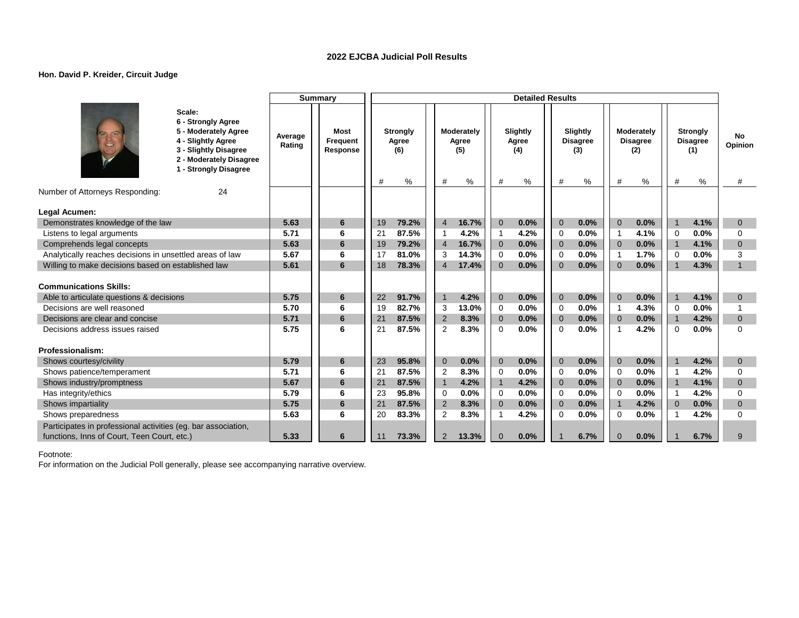### **Hon. David P. Kreider, Circuit Judge**

|                                                               |                                                                                                                                                         |                   | <b>Summary</b>                      |    |                                         |                |                                    |                | <b>Detailed Results</b>       |                |                                            |                |                                              |                         |                                                   |                    |
|---------------------------------------------------------------|---------------------------------------------------------------------------------------------------------------------------------------------------------|-------------------|-------------------------------------|----|-----------------------------------------|----------------|------------------------------------|----------------|-------------------------------|----------------|--------------------------------------------|----------------|----------------------------------------------|-------------------------|---------------------------------------------------|--------------------|
|                                                               | Scale:<br>6 - Strongly Agree<br>5 - Moderately Agree<br>4 - Slightly Agree<br>3 - Slightly Disagree<br>2 - Moderately Disagree<br>1 - Strongly Disagree | Average<br>Rating | <b>Most</b><br>Frequent<br>Response | #  | <b>Strongly</b><br>Agree<br>(6)<br>$\%$ | #              | Moderately<br>Agree<br>(5)<br>$\%$ | #              | Slightly<br>Agree<br>(4)<br>% | #              | Slightly<br><b>Disagree</b><br>(3)<br>$\%$ | #              | Moderately<br><b>Disagree</b><br>(2)<br>$\%$ | #                       | <b>Strongly</b><br><b>Disagree</b><br>(1)<br>$\%$ | No<br>Opinion<br># |
| Number of Attorneys Responding:                               | 24                                                                                                                                                      |                   |                                     |    |                                         |                |                                    |                |                               |                |                                            |                |                                              |                         |                                                   |                    |
| Legal Acumen:                                                 |                                                                                                                                                         |                   |                                     |    |                                         |                |                                    |                |                               |                |                                            |                |                                              |                         |                                                   |                    |
| Demonstrates knowledge of the law                             |                                                                                                                                                         | 5.63              | 6                                   | 19 | 79.2%                                   | $\overline{4}$ | 16.7%                              | $\overline{0}$ | 0.0%                          | $\overline{0}$ | 0.0%                                       | $\Omega$       | 0.0%                                         | $\mathbf 1$             | 4.1%                                              | $\mathbf{0}$       |
| Listens to legal arguments                                    |                                                                                                                                                         | 5.71              | 6                                   | 21 | 87.5%                                   | $\mathbf{1}$   | 4.2%                               | $\mathbf{1}$   | 4.2%                          | $\Omega$       | 0.0%                                       | $\mathbf{1}$   | 4.1%                                         | $\Omega$                | 0.0%                                              | $\Omega$           |
| Comprehends legal concepts                                    |                                                                                                                                                         | 5.63              | 6                                   | 19 | 79.2%                                   | $\overline{4}$ | 16.7%                              | $\mathbf 0$    | 0.0%                          | $\overline{0}$ | 0.0%                                       | $\Omega$       | 0.0%                                         | $\overline{1}$          | 4.1%                                              | $\mathbf{0}$       |
| Analytically reaches decisions in unsettled areas of law      |                                                                                                                                                         | 5.67              | 6                                   | 17 | 81.0%                                   | 3              | 14.3%                              | $\mathbf 0$    | 0.0%                          | $\Omega$       | 0.0%                                       | $\mathbf 1$    | 1.7%                                         | $\Omega$                | 0.0%                                              | 3                  |
| Willing to make decisions based on established law            |                                                                                                                                                         | 5.61              | 6                                   | 18 | 78.3%                                   | $\overline{4}$ | 17.4%                              | $\mathbf{0}$   | 0.0%                          | $\Omega$       | 0.0%                                       | $\Omega$       | 0.0%                                         | $\overline{1}$          | 4.3%                                              | $\mathbf{1}$       |
| <b>Communications Skills:</b>                                 |                                                                                                                                                         |                   |                                     |    |                                         |                |                                    |                |                               |                |                                            |                |                                              |                         |                                                   |                    |
| Able to articulate questions & decisions                      |                                                                                                                                                         | 5.75              | 6                                   | 22 | 91.7%                                   | $\overline{1}$ | 4.2%                               | $\mathbf{0}$   | 0.0%                          | $\Omega$       | 0.0%                                       | $\Omega$       | 0.0%                                         |                         | 4.1%                                              | $\overline{0}$     |
| Decisions are well reasoned                                   |                                                                                                                                                         | 5.70              | 6                                   | 19 | 82.7%                                   | 3              | 13.0%                              | $\Omega$       | 0.0%                          | $\Omega$       | 0.0%                                       | $\overline{1}$ | 4.3%                                         | $\mathbf 0$             | 0.0%                                              |                    |
| Decisions are clear and concise                               |                                                                                                                                                         | 5.71              | 6                                   | 21 | 87.5%                                   | 2              | 8.3%                               | $\overline{0}$ | 0.0%                          | $\overline{0}$ | 0.0%                                       | $\Omega$       | 0.0%                                         | $\overline{1}$          | 4.2%                                              | $\mathbf{0}$       |
| Decisions address issues raised                               |                                                                                                                                                         | 5.75              | 6                                   | 21 | 87.5%                                   | $\overline{2}$ | 8.3%                               | $\Omega$       | 0.0%                          | $\Omega$       | 0.0%                                       | $\overline{1}$ | 4.2%                                         | $\Omega$                | 0.0%                                              | $\Omega$           |
| Professionalism:                                              |                                                                                                                                                         |                   |                                     |    |                                         |                |                                    |                |                               |                |                                            |                |                                              |                         |                                                   |                    |
| Shows courtesy/civility                                       |                                                                                                                                                         | 5.79              | $6\phantom{1}6$                     | 23 | 95.8%                                   | $\overline{0}$ | 0.0%                               | $\mathbf{0}$   | 0.0%                          | $\overline{0}$ | 0.0%                                       | $\mathbf{0}$   | 0.0%                                         |                         | 4.2%                                              | $\mathbf{0}$       |
| Shows patience/temperament                                    |                                                                                                                                                         | 5.71              | 6                                   | 21 | 87.5%                                   | 2              | 8.3%                               | $\mathbf 0$    | 0.0%                          | $\Omega$       | 0.0%                                       | $\Omega$       | 0.0%                                         | $\overline{1}$          | 4.2%                                              | $\Omega$           |
| Shows industry/promptness                                     |                                                                                                                                                         | 5.67              | 6                                   | 21 | 87.5%                                   | $\overline{1}$ | 4.2%                               | $\mathbf{1}$   | 4.2%                          | $\overline{0}$ | 0.0%                                       | $\mathbf 0$    | 0.0%                                         | $\overline{\mathbf{1}}$ | 4.1%                                              | $\mathbf{0}$       |
| Has integrity/ethics                                          |                                                                                                                                                         | 5.79              | 6                                   | 23 | 95.8%                                   | $\mathbf 0$    | 0.0%                               | $\Omega$       | 0.0%                          | $\Omega$       | 0.0%                                       | $\Omega$       | 0.0%                                         | $\overline{1}$          | 4.2%                                              | $\Omega$           |
| Shows impartiality                                            |                                                                                                                                                         | 5.75              | 6                                   | 21 | 87.5%                                   | 2              | 8.3%                               | $\overline{0}$ | 0.0%                          | $\overline{0}$ | 0.0%                                       | $\mathbf{1}$   | 4.2%                                         | $\Omega$                | 0.0%                                              | $\mathbf{0}$       |
| Shows preparedness                                            |                                                                                                                                                         | 5.63              | 6                                   | 20 | 83.3%                                   | 2              | 8.3%                               | 1              | 4.2%                          | $\Omega$       | 0.0%                                       | $\Omega$       | 0.0%                                         |                         | 4.2%                                              | $\Omega$           |
| Participates in professional activities (eg. bar association, |                                                                                                                                                         |                   |                                     |    |                                         |                |                                    |                |                               |                |                                            |                |                                              |                         |                                                   |                    |
| functions, Inns of Court, Teen Court, etc.)                   |                                                                                                                                                         | 5.33              | 6                                   | 11 | 73.3%                                   | $\overline{2}$ | 13.3%                              | $\mathbf{0}$   | 0.0%                          |                | 6.7%                                       | $\Omega$       | 0.0%                                         |                         | 6.7%                                              | 9                  |

Footnote: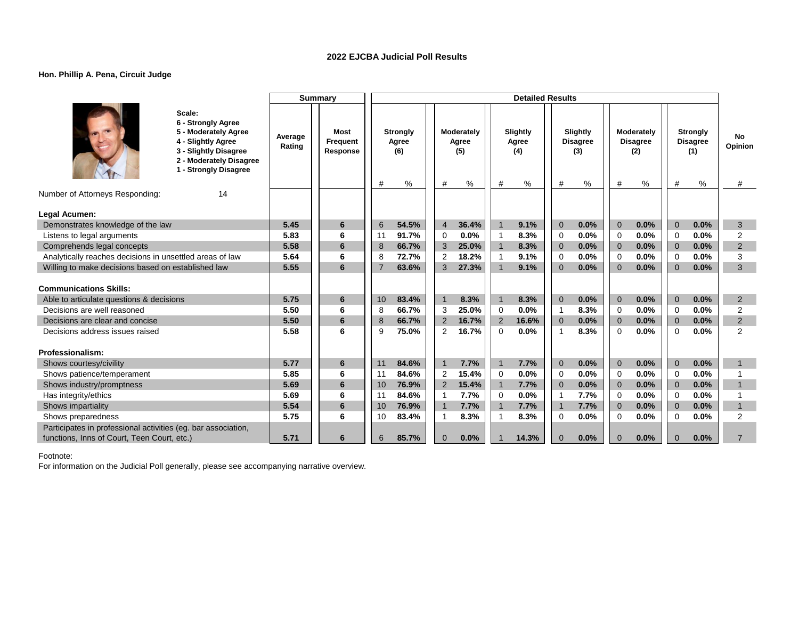### **Hon. Phillip A. Pena, Circuit Judge**

|                                                                                                                                                         |                   | <b>Summary</b>                      |                                           |                                      | <b>Detailed Results</b>            |                                              |                                                |                                                     |                    |
|---------------------------------------------------------------------------------------------------------------------------------------------------------|-------------------|-------------------------------------|-------------------------------------------|--------------------------------------|------------------------------------|----------------------------------------------|------------------------------------------------|-----------------------------------------------------|--------------------|
| Scale:<br>6 - Strongly Agree<br>5 - Moderately Agree<br>4 - Slightly Agree<br>3 - Slightly Disagree<br>2 - Moderately Disagree<br>1 - Strongly Disagree | Average<br>Rating | <b>Most</b><br>Frequent<br>Response | <b>Strongly</b><br>Agree<br>(6)<br>#<br>% | Moderately<br>Agree<br>(5)<br>#<br>% | Slightly<br>Agree<br>(4)<br>#<br>% | Slightly<br><b>Disagree</b><br>(3)<br>#<br>% | Moderately<br><b>Disagree</b><br>(2)<br>%<br># | <b>Strongly</b><br><b>Disagree</b><br>(1)<br>%<br># | No<br>Opinion<br># |
| Number of Attorneys Responding:<br>14                                                                                                                   |                   |                                     |                                           |                                      |                                    |                                              |                                                |                                                     |                    |
| Legal Acumen:                                                                                                                                           |                   |                                     |                                           |                                      |                                    |                                              |                                                |                                                     |                    |
| Demonstrates knowledge of the law                                                                                                                       | 5.45              | 6                                   | 54.5%<br>6                                | 36.4%<br>$\overline{4}$              | $\mathbf{1}$<br>9.1%               | 0.0%<br>$\Omega$                             | $\Omega$<br>0.0%                               | $\overline{0}$<br>0.0%                              | 3                  |
| Listens to legal arguments                                                                                                                              | 5.83              | 6                                   | 91.7%<br>11                               | 0.0%<br>$\Omega$                     | 8.3%<br>$\overline{1}$             | 0.0%<br>$\mathbf 0$                          | 0.0%<br>$\Omega$                               | 0.0%<br>$\Omega$                                    | $\overline{2}$     |
| Comprehends legal concepts                                                                                                                              | 5.58              | 6                                   | 66.7%<br>8                                | 25.0%<br>3                           | $\mathbf{1}$<br>8.3%               | 0.0%<br>$\Omega$                             | 0.0%<br>$\Omega$                               | 0.0%<br>$\Omega$                                    | 2                  |
| Analytically reaches decisions in unsettled areas of law                                                                                                | 5.64              | 6                                   | 72.7%<br>8                                | 18.2%<br>2                           | 9.1%<br>$\mathbf{1}$               | 0.0%<br>0                                    | 0.0%<br>0                                      | 0.0%<br>$\Omega$                                    | 3                  |
| Willing to make decisions based on established law                                                                                                      | 5.55              | 6                                   | 63.6%<br>7                                | 3<br>27.3%                           | 9.1%<br>$\overline{1}$             | 0.0%<br>$\Omega$                             | 0.0%<br>$\Omega$                               | 0.0%<br>$\Omega$                                    | 3                  |
|                                                                                                                                                         |                   |                                     |                                           |                                      |                                    |                                              |                                                |                                                     |                    |
| <b>Communications Skills:</b>                                                                                                                           |                   |                                     |                                           |                                      |                                    |                                              |                                                |                                                     |                    |
| Able to articulate questions & decisions                                                                                                                | 5.75              | 6                                   | 83.4%<br>10                               | $\overline{1}$<br>8.3%               | $\mathbf{1}$<br>8.3%               | $\Omega$<br>0.0%                             | $\overline{0}$<br>0.0%                         | $\overline{0}$<br>0.0%                              | 2                  |
| Decisions are well reasoned                                                                                                                             | 5.50              | 6                                   | 66.7%<br>8                                | 25.0%<br>3                           | 0.0%<br>0                          | 8.3%<br>$\mathbf 1$                          | 0.0%<br>$\Omega$                               | 0.0%<br>$\Omega$                                    | $\overline{2}$     |
| Decisions are clear and concise                                                                                                                         | 5.50              | 6                                   | 8<br>66.7%                                | 2<br>16.7%                           | 2<br>16.6%                         | 0.0%<br>$\mathbf{0}$                         | $\overline{0}$<br>0.0%                         | $\overline{0}$<br>0.0%                              | $\overline{2}$     |
| Decisions address issues raised                                                                                                                         | 5.58              | 6                                   | 75.0%<br>9                                | 2<br>16.7%                           | $\Omega$<br>0.0%                   | 8.3%<br>$\mathbf{1}$                         | 0.0%<br>$\Omega$                               | 0.0%<br>$\Omega$                                    | $\mathfrak{p}$     |
|                                                                                                                                                         |                   |                                     |                                           |                                      |                                    |                                              |                                                |                                                     |                    |
| Professionalism:                                                                                                                                        |                   |                                     |                                           |                                      |                                    |                                              |                                                |                                                     |                    |
| Shows courtesy/civility                                                                                                                                 | 5.77              | 6                                   | 11<br>84.6%                               | $\overline{1}$<br>7.7%               | $\overline{1}$<br>7.7%             | $\mathbf{0}$<br>0.0%                         | $\mathbf{0}$<br>0.0%                           | $\mathbf{0}$<br>0.0%                                |                    |
| Shows patience/temperament                                                                                                                              | 5.85              | 6                                   | 11<br>84.6%                               | $\overline{2}$<br>15.4%              | $\mathbf 0$<br>0.0%                | 0.0%<br>$\mathbf 0$                          | 0.0%<br>$\mathbf 0$                            | 0.0%<br>$\mathbf 0$                                 |                    |
| Shows industry/promptness                                                                                                                               | 5.69              | 6                                   | 76.9%<br>10                               | 2<br>15.4%                           | $\overline{1}$<br>7.7%             | 0.0%<br>$\overline{0}$                       | $\overline{0}$<br>0.0%                         | $\overline{0}$<br>0.0%                              | $\overline{1}$     |
| Has integrity/ethics                                                                                                                                    | 5.69              | 6                                   | 84.6%<br>11                               | 7.7%<br>$\mathbf{1}$                 | $\mathbf 0$<br>0.0%                | 7.7%<br>-1                                   | 0.0%<br>$\mathbf 0$                            | 0.0%<br>$\Omega$                                    |                    |
| Shows impartiality                                                                                                                                      | 5.54              | 6                                   | 76.9%<br>10                               | $\overline{1}$<br>7.7%               | $\mathbf{1}$<br>7.7%               | 7.7%<br>$\mathbf{1}$                         | $\overline{0}$<br>0.0%                         | $\mathbf{0}$<br>0.0%                                | $\mathbf{1}$       |
| Shows preparedness                                                                                                                                      | 5.75              | 6                                   | 83.4%<br>10                               | $\overline{1}$<br>8.3%               | $\overline{1}$<br>8.3%             | $\mathbf 0$<br>0.0%                          | 0.0%<br>$\mathbf 0$                            | 0.0%<br>$\mathbf 0$                                 | $\overline{2}$     |
| Participates in professional activities (eg. bar association,                                                                                           | 5.71              | 6                                   | 85.7%                                     | 0.0%                                 | 14.3%                              | 0.0%                                         | $\Omega$                                       | $\Omega$                                            | $\overline{7}$     |
| functions, Inns of Court, Teen Court, etc.)                                                                                                             |                   |                                     | 6                                         | $\Omega$                             |                                    | $\mathbf{0}$                                 | 0.0%                                           | 0.0%                                                |                    |

Footnote: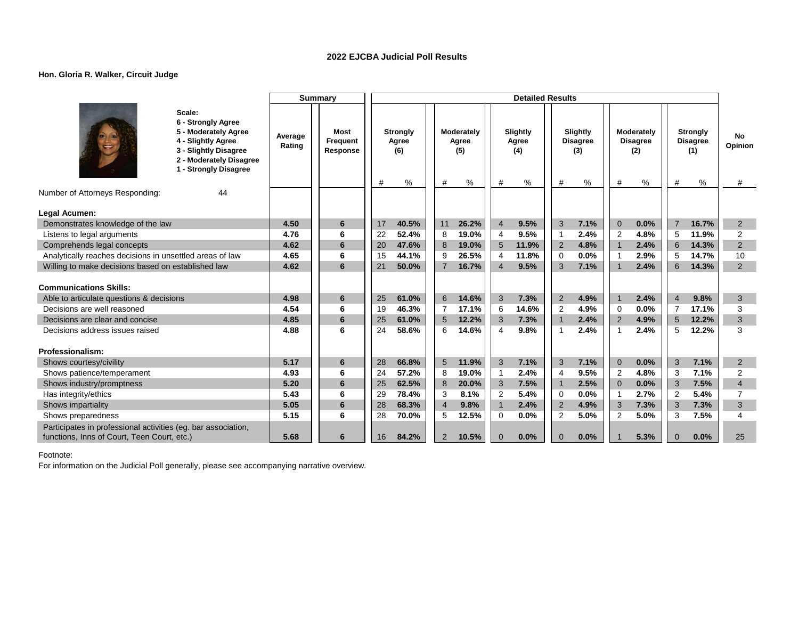### **Hon. Gloria R. Walker, Circuit Judge**

| Scale:<br>6 - Strongly Agree<br>5 - Moderately Agree<br>Slightly<br>Moderately<br><b>Most</b><br><b>Strongly</b><br>Moderately<br>Slightly<br><b>Strongly</b><br>No<br>Average<br>4 - Slightly Agree<br>Agree<br>Frequent<br>Agree<br>Agree<br><b>Disagree</b><br><b>Disagree</b><br><b>Disagree</b><br>Rating<br>Opinion<br>3 - Slightly Disagree<br>Response<br>(6)<br>(5)<br>(4)<br>(3)<br>(2)<br>(1)<br>2 - Moderately Disagree<br>- Strongly Disagree<br>%<br>%<br>%<br>%<br>#<br>%<br>#<br>%<br>#<br>#<br>#<br>#<br>#<br>Number of Attorneys Responding:<br>44<br>Legal Acumen:<br>4.50<br>11<br>26.2%<br>$\overline{4}$<br>9.5%<br>3<br>7.1%<br>Demonstrates knowledge of the law<br>6<br>17<br>40.5%<br>$\overline{0}$<br>0.0%<br>7<br>16.7%<br>2<br>19.0%<br>9.5%<br>2.4%<br>4.8%<br>$\overline{2}$<br>6<br>22<br>52.4%<br>$\overline{2}$<br>5<br>11.9%<br>Listens to legal arguments<br>4.76<br>8<br>4<br>-1<br>5<br>6<br>$\overline{2}$<br>4.62<br>$6\phantom{1}6$<br>8<br>19.0%<br>11.9%<br>$\overline{2}$<br>4.8%<br>$\overline{1}$<br>2.4%<br>14.3%<br>Comprehends legal concepts<br>20<br>47.6% |
|----------------------------------------------------------------------------------------------------------------------------------------------------------------------------------------------------------------------------------------------------------------------------------------------------------------------------------------------------------------------------------------------------------------------------------------------------------------------------------------------------------------------------------------------------------------------------------------------------------------------------------------------------------------------------------------------------------------------------------------------------------------------------------------------------------------------------------------------------------------------------------------------------------------------------------------------------------------------------------------------------------------------------------------------------------------------------------------------------------------|
|                                                                                                                                                                                                                                                                                                                                                                                                                                                                                                                                                                                                                                                                                                                                                                                                                                                                                                                                                                                                                                                                                                                |
|                                                                                                                                                                                                                                                                                                                                                                                                                                                                                                                                                                                                                                                                                                                                                                                                                                                                                                                                                                                                                                                                                                                |
|                                                                                                                                                                                                                                                                                                                                                                                                                                                                                                                                                                                                                                                                                                                                                                                                                                                                                                                                                                                                                                                                                                                |
|                                                                                                                                                                                                                                                                                                                                                                                                                                                                                                                                                                                                                                                                                                                                                                                                                                                                                                                                                                                                                                                                                                                |
|                                                                                                                                                                                                                                                                                                                                                                                                                                                                                                                                                                                                                                                                                                                                                                                                                                                                                                                                                                                                                                                                                                                |
|                                                                                                                                                                                                                                                                                                                                                                                                                                                                                                                                                                                                                                                                                                                                                                                                                                                                                                                                                                                                                                                                                                                |
|                                                                                                                                                                                                                                                                                                                                                                                                                                                                                                                                                                                                                                                                                                                                                                                                                                                                                                                                                                                                                                                                                                                |
| Analytically reaches decisions in unsettled areas of law<br>4.65<br>26.5%<br>11.8%<br>0.0%<br>2.9%<br>6<br>15<br>44.1%<br>9<br>4<br>$\mathbf 0$<br>5<br>14.7%<br>10<br>-1                                                                                                                                                                                                                                                                                                                                                                                                                                                                                                                                                                                                                                                                                                                                                                                                                                                                                                                                      |
| $\overline{7}$<br>$\overline{4}$<br>6<br>2<br>Willing to make decisions based on established law<br>4.62<br>6<br>16.7%<br>9.5%<br>3<br>7.1%<br>2.4%<br>14.3%<br>21<br>50.0%<br>$\overline{1}$                                                                                                                                                                                                                                                                                                                                                                                                                                                                                                                                                                                                                                                                                                                                                                                                                                                                                                                  |
| <b>Communications Skills:</b>                                                                                                                                                                                                                                                                                                                                                                                                                                                                                                                                                                                                                                                                                                                                                                                                                                                                                                                                                                                                                                                                                  |
| 6<br>$\mathbf{3}$<br>$\overline{2}$<br>4.98<br>$6\phantom{1}6$<br>25<br>7.3%<br>4.9%<br>2.4%<br>9.8%<br>3<br>Able to articulate questions & decisions<br>61.0%<br>14.6%<br>$\overline{4}$                                                                                                                                                                                                                                                                                                                                                                                                                                                                                                                                                                                                                                                                                                                                                                                                                                                                                                                      |
| 14.6%<br>4.9%<br>0.0%<br>4.54<br>6<br>19<br>46.3%<br>$\overline{7}$<br>17.1%<br>$\overline{2}$<br>$\overline{7}$<br>17.1%<br>3<br>Decisions are well reasoned<br>6<br>$\Omega$                                                                                                                                                                                                                                                                                                                                                                                                                                                                                                                                                                                                                                                                                                                                                                                                                                                                                                                                 |
| 4.9%<br>3<br>Decisions are clear and concise<br>4.85<br>6<br>61.0%<br>5<br>12.2%<br>3<br>7.3%<br>2.4%<br>$\overline{2}$<br>5<br>12.2%<br>25<br>$\mathbf{1}$                                                                                                                                                                                                                                                                                                                                                                                                                                                                                                                                                                                                                                                                                                                                                                                                                                                                                                                                                    |
| 2.4%<br>3<br>4.88<br>6<br>24<br>14.6%<br>9.8%<br>2.4%<br>12.2%<br>Decisions address issues raised<br>58.6%<br>6<br>4<br>$\mathbf{1}$<br>5<br>-1                                                                                                                                                                                                                                                                                                                                                                                                                                                                                                                                                                                                                                                                                                                                                                                                                                                                                                                                                                |
| <b>Professionalism:</b>                                                                                                                                                                                                                                                                                                                                                                                                                                                                                                                                                                                                                                                                                                                                                                                                                                                                                                                                                                                                                                                                                        |
| 3<br>5.17<br>$\sqrt{5}$<br>3<br>3<br>Shows courtesy/civility<br>6<br>66.8%<br>11.9%<br>7.1%<br>7.1%<br>$\overline{0}$<br>0.0%<br>7.1%<br>28<br>$\overline{2}$                                                                                                                                                                                                                                                                                                                                                                                                                                                                                                                                                                                                                                                                                                                                                                                                                                                                                                                                                  |
| 9.5%<br>2.4%<br>4.8%<br>7.1%<br>$\overline{2}$<br>Shows patience/temperament<br>4.93<br>6<br>24<br>57.2%<br>19.0%<br>$\overline{2}$<br>3<br>8<br>4<br>$\mathbf{1}$                                                                                                                                                                                                                                                                                                                                                                                                                                                                                                                                                                                                                                                                                                                                                                                                                                                                                                                                             |
| 2.5%<br>0.0%<br>5.20<br>6<br>62.5%<br>20.0%<br>7.5%<br>3<br>7.5%<br>Shows industry/promptness<br>25<br>8<br>3<br>$\Omega$<br>$\overline{4}$<br>$\overline{1}$                                                                                                                                                                                                                                                                                                                                                                                                                                                                                                                                                                                                                                                                                                                                                                                                                                                                                                                                                  |
| 2.7%<br>8.1%<br>2<br>5.4%<br>0.0%<br>5.4%<br>$\overline{7}$<br>5.43<br>6<br>29<br>78.4%<br>3<br>$\overline{2}$<br>$\Omega$<br>$\overline{1}$<br>Has integrity/ethics                                                                                                                                                                                                                                                                                                                                                                                                                                                                                                                                                                                                                                                                                                                                                                                                                                                                                                                                           |
| $\mathbf{1}$<br>3<br>7.3%<br>3<br>7.3%<br>3<br>Shows impartiality<br>5.05<br>6<br>28<br>68.3%<br>$\overline{4}$<br>9.8%<br>2.4%<br>$\overline{2}$<br>4.9%                                                                                                                                                                                                                                                                                                                                                                                                                                                                                                                                                                                                                                                                                                                                                                                                                                                                                                                                                      |
| 5.15<br>12.5%<br>0.0%<br>$\overline{2}$<br>5.0%<br>5.0%<br>7.5%<br>6<br>28<br>70.0%<br>5<br>0<br>2<br>3<br>Shows preparedness<br>$\overline{4}$                                                                                                                                                                                                                                                                                                                                                                                                                                                                                                                                                                                                                                                                                                                                                                                                                                                                                                                                                                |
| Participates in professional activities (eg. bar association,                                                                                                                                                                                                                                                                                                                                                                                                                                                                                                                                                                                                                                                                                                                                                                                                                                                                                                                                                                                                                                                  |
| functions, Inns of Court, Teen Court, etc.)<br>5.68<br>10.5%<br>5.3%<br>6<br>84.2%<br>0.0%<br>$\mathbf{0}$<br>0.0%<br>0.0%<br>25<br>16<br>2<br>$\Omega$<br>$\Omega$                                                                                                                                                                                                                                                                                                                                                                                                                                                                                                                                                                                                                                                                                                                                                                                                                                                                                                                                            |

Footnote: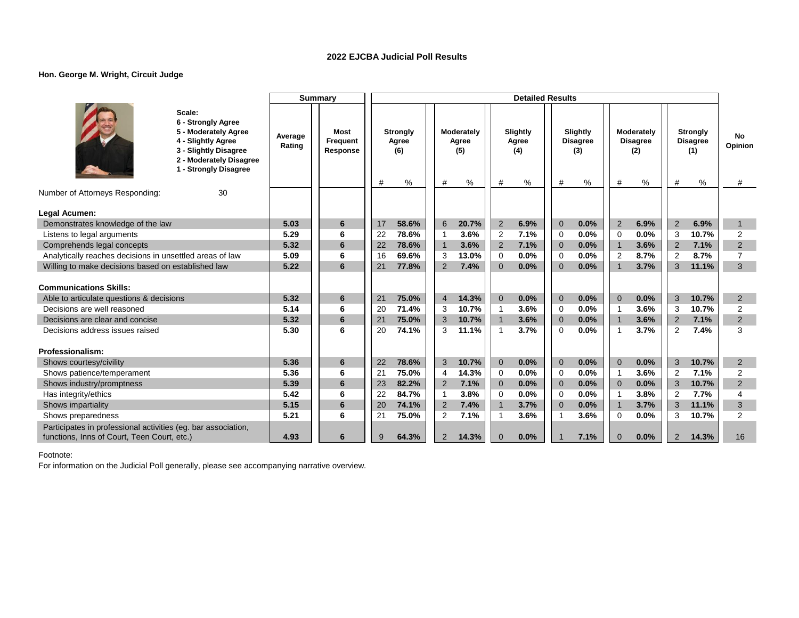# **Hon. George M. Wright, Circuit Judge**

|                                                               |                                                                                                                                                         |                   | <b>Summary</b>               |          |                                         |                   |                                 |                | <b>Detailed Results</b>       |                            |                                         |                            |                                           |                     |                                                   |                    |
|---------------------------------------------------------------|---------------------------------------------------------------------------------------------------------------------------------------------------------|-------------------|------------------------------|----------|-----------------------------------------|-------------------|---------------------------------|----------------|-------------------------------|----------------------------|-----------------------------------------|----------------------------|-------------------------------------------|---------------------|---------------------------------------------------|--------------------|
|                                                               | Scale:<br>6 - Strongly Agree<br>5 - Moderately Agree<br>4 - Slightly Agree<br>3 - Slightly Disagree<br>2 - Moderately Disagree<br>1 - Strongly Disagree | Average<br>Rating | Most<br>Frequent<br>Response | #        | <b>Strongly</b><br>Agree<br>(6)<br>$\%$ | #                 | Moderately<br>Agree<br>(5)<br>% | #              | Slightly<br>Agree<br>(4)<br>% | #                          | Slightly<br><b>Disagree</b><br>(3)<br>% | #                          | Moderately<br><b>Disagree</b><br>(2)<br>% | #                   | <b>Strongly</b><br><b>Disagree</b><br>(1)<br>$\%$ | No<br>Opinion<br># |
| Number of Attorneys Responding:                               | 30                                                                                                                                                      |                   |                              |          |                                         |                   |                                 |                |                               |                            |                                         |                            |                                           |                     |                                                   |                    |
|                                                               |                                                                                                                                                         |                   |                              |          |                                         |                   |                                 |                |                               |                            |                                         |                            |                                           |                     |                                                   |                    |
| Legal Acumen:                                                 |                                                                                                                                                         |                   |                              |          |                                         |                   |                                 |                |                               |                            |                                         |                            |                                           |                     |                                                   |                    |
| Demonstrates knowledge of the law                             |                                                                                                                                                         | 5.03<br>5.29      | 6<br>6                       | 17<br>22 | 58.6%<br>78.6%                          | 6<br>$\mathbf{1}$ | 20.7%<br>3.6%                   | 2              | 6.9%<br>7.1%                  | $\overline{0}$<br>$\Omega$ | 0.0%<br>0.0%                            | $\overline{2}$<br>$\Omega$ | 6.9%<br>0.0%                              | $\overline{2}$<br>3 | 6.9%<br>10.7%                                     | $\mathbf{1}$<br>2  |
| Listens to legal arguments<br>Comprehends legal concepts      |                                                                                                                                                         | 5.32              | 6                            | 22       | 78.6%                                   | $\mathbf{1}$      | 3.6%                            | 2<br>2         | 7.1%                          | $\overline{0}$             | 0.0%                                    | $\overline{1}$             | 3.6%                                      | $\overline{2}$      | 7.1%                                              | $\overline{2}$     |
| Analytically reaches decisions in unsettled areas of law      |                                                                                                                                                         | 5.09              | 6                            | 16       | 69.6%                                   | 3                 | 13.0%                           | $\mathbf 0$    | 0.0%                          | $\mathbf 0$                | 0.0%                                    | $\overline{2}$             | 8.7%                                      | $\overline{2}$      | 8.7%                                              | $\overline{7}$     |
| Willing to make decisions based on established law            |                                                                                                                                                         | 5.22              | 6                            | 21       | 77.8%                                   | $\overline{2}$    | 7.4%                            | $\Omega$       | 0.0%                          | $\Omega$                   | 0.0%                                    | $\overline{1}$             | 3.7%                                      | 3                   | 11.1%                                             | 3                  |
|                                                               |                                                                                                                                                         |                   |                              |          |                                         |                   |                                 |                |                               |                            |                                         |                            |                                           |                     |                                                   |                    |
| <b>Communications Skills:</b>                                 |                                                                                                                                                         |                   |                              |          |                                         |                   |                                 |                |                               |                            |                                         |                            |                                           |                     |                                                   |                    |
| Able to articulate questions & decisions                      |                                                                                                                                                         | 5.32              | 6                            | 21       | 75.0%                                   | $\overline{4}$    | 14.3%                           | $\mathbf{0}$   | 0.0%                          | $\overline{0}$             | 0.0%                                    | $\Omega$                   | 0.0%                                      | 3                   | 10.7%                                             | 2                  |
| Decisions are well reasoned                                   |                                                                                                                                                         | 5.14              | 6                            | 20       | 71.4%                                   | 3                 | 10.7%                           | $\mathbf{1}$   | 3.6%                          | $\Omega$                   | 0.0%                                    | $\mathbf 1$                | 3.6%                                      | 3                   | 10.7%                                             | $\overline{2}$     |
| Decisions are clear and concise                               |                                                                                                                                                         | 5.32              | 6                            | 21       | 75.0%                                   | 3                 | 10.7%                           | $\mathbf{1}$   | 3.6%                          | $\overline{0}$             | 0.0%                                    | $\overline{1}$             | 3.6%                                      | $\overline{2}$      | 7.1%                                              | $\overline{2}$     |
| Decisions address issues raised                               |                                                                                                                                                         | 5.30              | 6                            | 20       | 74.1%                                   | 3                 | 11.1%                           | $\overline{1}$ | 3.7%                          | $\Omega$                   | 0.0%                                    | $\overline{1}$             | 3.7%                                      | 2                   | 7.4%                                              | 3                  |
|                                                               |                                                                                                                                                         |                   |                              |          |                                         |                   |                                 |                |                               |                            |                                         |                            |                                           |                     |                                                   |                    |
| Professionalism:                                              |                                                                                                                                                         |                   |                              |          |                                         |                   |                                 |                |                               |                            |                                         |                            |                                           |                     |                                                   |                    |
| Shows courtesy/civility                                       |                                                                                                                                                         | 5.36              | 6                            | 22       | 78.6%                                   | 3                 | 10.7%                           | $\mathbf 0$    | 0.0%                          | $\overline{0}$             | 0.0%                                    | $\Omega$                   | 0.0%                                      | 3                   | 10.7%                                             | $\overline{2}$     |
| Shows patience/temperament                                    |                                                                                                                                                         | 5.36              | 6                            | 21       | 75.0%                                   | $\overline{4}$    | 14.3%                           | $\Omega$       | 0.0%                          | $\Omega$                   | 0.0%                                    | $\mathbf 1$                | 3.6%                                      | 2                   | 7.1%                                              | $\overline{2}$     |
| Shows industry/promptness                                     |                                                                                                                                                         | 5.39              | 6                            | 23       | 82.2%                                   | $\overline{2}$    | 7.1%                            | $\mathbf{0}$   | 0.0%                          | $\Omega$                   | 0.0%                                    | $\Omega$                   | 0.0%                                      | 3                   | 10.7%                                             | $\overline{2}$     |
| Has integrity/ethics                                          |                                                                                                                                                         | 5.42              | 6                            | 22       | 84.7%                                   | $\mathbf{1}$      | 3.8%                            | $\Omega$       | 0.0%                          | $\Omega$                   | 0.0%                                    | $\mathbf 1$                | 3.8%                                      | $\overline{2}$      | 7.7%                                              | 4                  |
| Shows impartiality                                            |                                                                                                                                                         | 5.15              | 6                            | 20       | 74.1%                                   | 2                 | 7.4%                            | $\mathbf{1}$   | 3.7%                          | $\overline{0}$             | 0.0%                                    | $\mathbf{1}$               | 3.7%                                      | 3                   | 11.1%                                             | 3                  |
| Shows preparedness                                            |                                                                                                                                                         | 5.21              | 6                            | 21       | 75.0%                                   | 2                 | 7.1%                            | 1              | 3.6%                          |                            | 3.6%                                    | $\Omega$                   | 0.0%                                      | 3                   | 10.7%                                             | 2                  |
| Participates in professional activities (eg. bar association, |                                                                                                                                                         |                   |                              |          |                                         |                   |                                 |                |                               |                            |                                         |                            |                                           |                     |                                                   |                    |
| functions, Inns of Court, Teen Court, etc.)                   |                                                                                                                                                         | 4.93              | 6                            | 9        | 64.3%                                   | $\overline{2}$    | 14.3%                           | $\Omega$       | 0.0%                          |                            | 7.1%                                    | $\Omega$                   | 0.0%                                      | 2                   | 14.3%                                             | 16                 |

Footnote: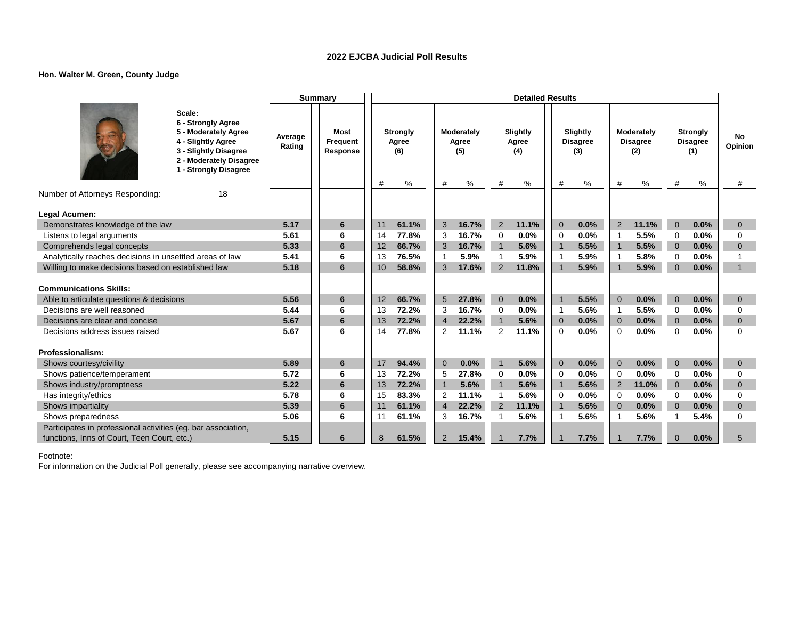### **Hon. Walter M. Green, County Judge**

|                                                               |                                                                                                                                                            |                   | <b>Summary</b>                             |                 |                                         |                |                                 |                | <b>Detailed Results</b>       |                          |                                         |                |                                           |                |                                                |                    |
|---------------------------------------------------------------|------------------------------------------------------------------------------------------------------------------------------------------------------------|-------------------|--------------------------------------------|-----------------|-----------------------------------------|----------------|---------------------------------|----------------|-------------------------------|--------------------------|-----------------------------------------|----------------|-------------------------------------------|----------------|------------------------------------------------|--------------------|
|                                                               | Scale:<br>6 - Strongly Agree<br>5 - Moderately Agree<br>4 - Slightly Agree<br>3 - Slightly Disagree<br>2 - Moderately Disagree<br>- Strongly Disagree<br>1 | Average<br>Rating | <b>Most</b><br><b>Frequent</b><br>Response |                 | <b>Strongly</b><br>Agree<br>(6)<br>$\%$ | #              | Moderately<br>Agree<br>(5)<br>% | #              | Slightly<br>Agree<br>(4)<br>% | #                        | Slightly<br><b>Disagree</b><br>(3)<br>% | #              | Moderately<br><b>Disagree</b><br>(2)<br>% | #              | <b>Strongly</b><br><b>Disagree</b><br>(1)<br>% | No<br>Opinion<br># |
| Number of Attorneys Responding:                               | 18                                                                                                                                                         |                   |                                            |                 |                                         |                |                                 |                |                               |                          |                                         |                |                                           |                |                                                |                    |
|                                                               |                                                                                                                                                            |                   |                                            |                 |                                         |                |                                 |                |                               |                          |                                         |                |                                           |                |                                                |                    |
| Legal Acumen:<br>Demonstrates knowledge of the law            |                                                                                                                                                            | 5.17              | 6                                          | 11              | 61.1%                                   | 3              | 16.7%                           | 2              | 11.1%                         | $\Omega$                 | 0.0%                                    | $\overline{2}$ | 11.1%                                     | $\Omega$       | 0.0%                                           | $\Omega$           |
| Listens to legal arguments                                    |                                                                                                                                                            | 5.61              | 6                                          | 14              | 77.8%                                   | 3              | 16.7%                           | 0              | 0.0%                          | $\Omega$                 | 0.0%                                    |                | 5.5%                                      | $\Omega$       | 0.0%                                           | 0                  |
| Comprehends legal concepts                                    |                                                                                                                                                            | 5.33              | 6                                          | 12              | 66.7%                                   | 3              | 16.7%                           | $\mathbf{1}$   | 5.6%                          | $\overline{1}$           | 5.5%                                    | $\overline{1}$ | 5.5%                                      | $\Omega$       | 0.0%                                           | $\overline{0}$     |
| Analytically reaches decisions in unsettled areas of law      |                                                                                                                                                            | 5.41              | 6                                          | 13              | 76.5%                                   | 1              | 5.9%                            | $\mathbf{1}$   | 5.9%                          | $\overline{1}$           | 5.9%                                    | -1             | 5.8%                                      | $\Omega$       | 0.0%                                           |                    |
| Willing to make decisions based on established law            |                                                                                                                                                            | 5.18              | 6                                          | 10 <sup>1</sup> | 58.8%                                   | 3              | 17.6%                           | 2              | 11.8%                         | $\overline{\mathbf{1}}$  | 5.9%                                    |                | 5.9%                                      | $\Omega$       | 0.0%                                           | $\mathbf{1}$       |
|                                                               |                                                                                                                                                            |                   |                                            |                 |                                         |                |                                 |                |                               |                          |                                         |                |                                           |                |                                                |                    |
| <b>Communications Skills:</b>                                 |                                                                                                                                                            |                   |                                            |                 |                                         |                |                                 |                |                               |                          |                                         |                |                                           |                |                                                |                    |
| Able to articulate questions & decisions                      |                                                                                                                                                            | 5.56              | 6                                          | 12              | 66.7%                                   | 5              | 27.8%                           | $\mathbf{0}$   | 0.0%                          | $\overline{1}$           | 5.5%                                    | $\Omega$       | 0.0%                                      | $\overline{0}$ | 0.0%                                           | $\overline{0}$     |
| Decisions are well reasoned                                   |                                                                                                                                                            | 5.44              | 6                                          | 13              | 72.2%                                   | 3              | 16.7%                           | 0              | 0.0%                          | $\overline{\mathbf{1}}$  | 5.6%                                    | -1             | 5.5%                                      | $\Omega$       | 0.0%                                           | 0                  |
| Decisions are clear and concise                               |                                                                                                                                                            | 5.67              | $6\phantom{1}6$                            | 13              | 72.2%                                   | $\overline{4}$ | 22.2%                           | $\overline{1}$ | 5.6%                          | $\overline{0}$           | 0.0%                                    | $\overline{0}$ | 0.0%                                      | $\mathbf{0}$   | 0.0%                                           | $\overline{0}$     |
| Decisions address issues raised                               |                                                                                                                                                            | 5.67              | 6                                          | 14              | 77.8%                                   | 2              | 11.1%                           | 2              | 11.1%                         | $\Omega$                 | 0.0%                                    | $\Omega$       | 0.0%                                      | $\Omega$       | 0.0%                                           | $\Omega$           |
|                                                               |                                                                                                                                                            |                   |                                            |                 |                                         |                |                                 |                |                               |                          |                                         |                |                                           |                |                                                |                    |
| Professionalism:                                              |                                                                                                                                                            |                   |                                            |                 |                                         |                |                                 |                |                               |                          |                                         |                |                                           |                |                                                |                    |
| Shows courtesy/civility                                       |                                                                                                                                                            | 5.89              | 6                                          | 17              | 94.4%                                   | $\mathbf{0}$   | 0.0%                            | $\overline{1}$ | 5.6%                          | $\overline{0}$           | 0.0%                                    | $\Omega$       | 0.0%                                      | $\mathbf{0}$   | 0.0%                                           | $\overline{0}$     |
| Shows patience/temperament                                    |                                                                                                                                                            | 5.72              | 6                                          | 13              | 72.2%                                   | 5              | 27.8%                           | 0              | 0.0%                          | $\mathbf 0$              | 0.0%                                    | $\mathbf 0$    | 0.0%                                      | $\overline{0}$ | 0.0%                                           | 0                  |
| Shows industry/promptness                                     |                                                                                                                                                            | 5.22              | $6\phantom{1}6$                            | 13              | 72.2%                                   | $\mathbf{1}$   | 5.6%                            | $\mathbf{1}$   | 5.6%                          | $\overline{1}$           | 5.6%                                    | $\overline{2}$ | 11.0%                                     | $\overline{0}$ | 0.0%                                           | $\overline{0}$     |
| Has integrity/ethics                                          |                                                                                                                                                            | 5.78              | 6                                          | 15              | 83.3%                                   | 2              | 11.1%                           | $\mathbf{1}$   | 5.6%                          | $\Omega$                 | 0.0%                                    | $\Omega$       | 0.0%                                      | $\Omega$       | 0.0%                                           | 0                  |
| Shows impartiality                                            |                                                                                                                                                            | 5.39              | $6\phantom{1}6$                            | 11              | 61.1%                                   | $\overline{4}$ | 22.2%                           | 2              | 11.1%                         | $\overline{1}$           | 5.6%                                    | $\overline{0}$ | 0.0%                                      | $\overline{0}$ | 0.0%                                           | $\overline{0}$     |
| Shows preparedness                                            |                                                                                                                                                            | 5.06              | 6                                          | 11              | 61.1%                                   | 3              | 16.7%                           | $\overline{1}$ | 5.6%                          | $\overline{\phantom{a}}$ | 5.6%                                    |                | 5.6%                                      |                | 5.4%                                           | $\Omega$           |
| Participates in professional activities (eg. bar association, |                                                                                                                                                            |                   |                                            |                 |                                         |                |                                 |                |                               |                          |                                         |                |                                           |                |                                                |                    |
| functions, Inns of Court, Teen Court, etc.)                   |                                                                                                                                                            | 5.15              | 6                                          | 8               | 61.5%                                   | $\overline{2}$ | 15.4%                           |                | 7.7%                          |                          | 7.7%                                    |                | 7.7%                                      | $\Omega$       | 0.0%                                           | 5                  |

Footnote: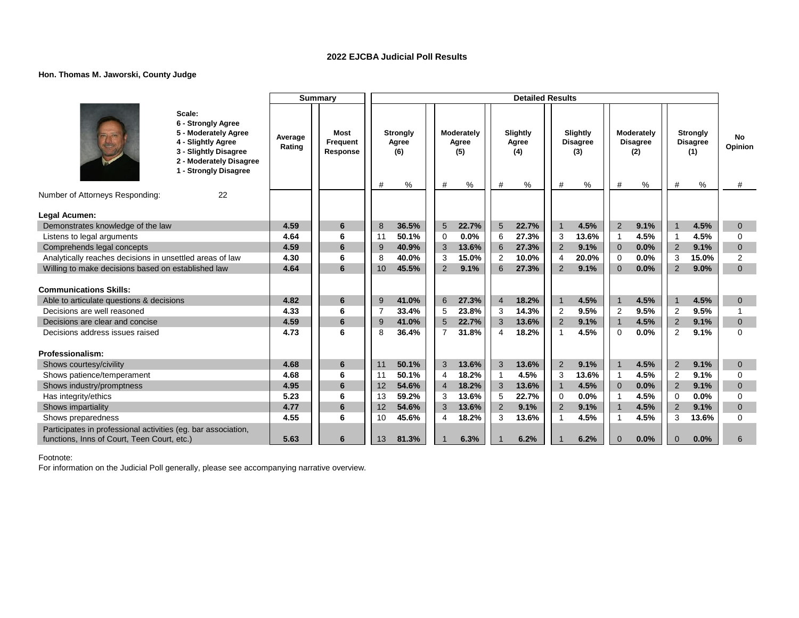### **Hon. Thomas M. Jaworski, County Judge**

|                                                               |                                                                                                                                                         |                   | <b>Summary</b>               |                |                                 |                           |                            |                | <b>Detailed Results</b>  |                         |                                    |                                  |                                      |                |                                                |                      |
|---------------------------------------------------------------|---------------------------------------------------------------------------------------------------------------------------------------------------------|-------------------|------------------------------|----------------|---------------------------------|---------------------------|----------------------------|----------------|--------------------------|-------------------------|------------------------------------|----------------------------------|--------------------------------------|----------------|------------------------------------------------|----------------------|
|                                                               | Scale:<br>6 - Strongly Agree<br>5 - Moderately Agree<br>4 - Slightly Agree<br>3 - Slightly Disagree<br>2 - Moderately Disagree<br>1 - Strongly Disagree | Average<br>Rating | Most<br>Frequent<br>Response |                | <b>Strongly</b><br>Agree<br>(6) |                           | Moderately<br>Agree<br>(5) | #              | Slightly<br>Agree<br>(4) |                         | Slightly<br><b>Disagree</b><br>(3) |                                  | Moderately<br><b>Disagree</b><br>(2) |                | <b>Strongly</b><br><b>Disagree</b><br>(1)<br>% | <b>No</b><br>Opinion |
| Number of Attorneys Responding:                               | 22                                                                                                                                                      |                   |                              | #              | $\%$                            | #                         | ℅                          |                | %                        | #                       | %                                  | #                                | $\%$                                 | #              |                                                | #                    |
|                                                               |                                                                                                                                                         |                   |                              |                |                                 |                           |                            |                |                          |                         |                                    |                                  |                                      |                |                                                |                      |
| Legal Acumen:                                                 |                                                                                                                                                         |                   |                              |                |                                 |                           |                            |                |                          |                         |                                    |                                  |                                      |                |                                                |                      |
| Demonstrates knowledge of the law                             |                                                                                                                                                         | 4.59              | $6\phantom{1}$               | 8              | 36.5%                           | $\overline{5}$            | 22.7%                      | $5\phantom{1}$ | 22.7%                    | $\overline{1}$          | 4.5%                               | $\overline{2}$                   | 9.1%                                 |                | 4.5%                                           | $\mathbf{0}$         |
| Listens to legal arguments                                    |                                                                                                                                                         | 4.64              | 6                            | 11             | 50.1%                           | 0                         | 0.0%                       | 6              | 27.3%                    | 3                       | 13.6%                              | $\mathbf{1}$                     | 4.5%                                 | $\overline{1}$ | 4.5%                                           | $\Omega$             |
| Comprehends legal concepts                                    |                                                                                                                                                         | 4.59              | 6                            | 9              | 40.9%                           | $\ensuremath{\mathsf{3}}$ | 13.6%                      | 6              | 27.3%                    | 2                       | 9.1%                               | $\overline{0}$                   | 0.0%                                 | $\overline{2}$ | 9.1%                                           | $\mathbf 0$          |
| Analytically reaches decisions in unsettled areas of law      |                                                                                                                                                         | 4.30              | 6                            | 8              | 40.0%                           | 3                         | 15.0%                      | 2              | 10.0%                    | $\overline{4}$          | 20.0%                              | $\Omega$                         | 0.0%                                 | 3              | 15.0%                                          | $\overline{2}$       |
| Willing to make decisions based on established law            |                                                                                                                                                         | 4.64              | 6                            | 10             | 45.5%                           | 2                         | 9.1%                       | 6              | 27.3%                    | 2                       | 9.1%                               | $\Omega$                         | 0.0%                                 | $\overline{2}$ | 9.0%                                           | $\Omega$             |
| <b>Communications Skills:</b>                                 |                                                                                                                                                         |                   |                              |                |                                 |                           |                            |                |                          |                         |                                    |                                  |                                      |                |                                                |                      |
| Able to articulate questions & decisions                      |                                                                                                                                                         | 4.82              | 6                            | 9              | 41.0%                           | $6\phantom{1}$            | 27.3%                      | $\overline{4}$ | 18.2%                    | $\overline{1}$          | 4.5%                               | $\overline{1}$                   | 4.5%                                 | $\overline{1}$ | 4.5%                                           | $\overline{0}$       |
| Decisions are well reasoned                                   |                                                                                                                                                         | 4.33              | 6                            | $\overline{7}$ | 33.4%                           | 5                         | 23.8%                      | 3              | 14.3%                    | $\overline{2}$          | 9.5%                               | $\overline{2}$                   | 9.5%                                 | $\overline{2}$ | 9.5%                                           |                      |
| Decisions are clear and concise                               |                                                                                                                                                         | 4.59              | 6                            | 9              | 41.0%                           | 5                         | 22.7%                      | 3              | 13.6%                    | $\overline{2}$          | 9.1%                               | $\overline{1}$                   | 4.5%                                 | $\overline{2}$ | 9.1%                                           | $\Omega$             |
| Decisions address issues raised                               |                                                                                                                                                         | 4.73              | 6                            | 8              | 36.4%                           | $\overline{7}$            | 31.8%                      | 4              | 18.2%                    | $\overline{\mathbf{1}}$ | 4.5%                               | $\Omega$                         | 0.0%                                 | $\overline{2}$ | 9.1%                                           | $\Omega$             |
|                                                               |                                                                                                                                                         |                   |                              |                |                                 |                           |                            |                |                          |                         |                                    |                                  |                                      |                |                                                |                      |
| Professionalism:                                              |                                                                                                                                                         |                   |                              |                |                                 |                           |                            |                |                          |                         |                                    |                                  |                                      |                |                                                |                      |
| Shows courtesy/civility                                       |                                                                                                                                                         | 4.68              | 6<br>6                       | 11             | 50.1%                           | 3                         | 13.6%                      | 3              | 13.6%                    | 2                       | 9.1%                               | $\overline{1}$                   | 4.5%                                 | $\overline{2}$ | 9.1%                                           | $\overline{0}$       |
| Shows patience/temperament                                    |                                                                                                                                                         | 4.68              |                              | 11             | 50.1%                           | $\overline{4}$            | 18.2%                      | 1              | 4.5%                     | 3                       | 13.6%                              | $\overline{\mathbf{1}}$          | 4.5%                                 | $\overline{2}$ | 9.1%                                           | $\mathbf 0$          |
| Shows industry/promptness                                     |                                                                                                                                                         | 4.95              | 6                            | 12             | 54.6%                           | $\overline{4}$            | 18.2%                      | 3              | 13.6%                    | $\overline{1}$          | 4.5%                               | $\Omega$                         | 0.0%                                 | $\overline{2}$ | 9.1%                                           | $\overline{0}$       |
| Has integrity/ethics                                          |                                                                                                                                                         | 5.23              | 6                            | 13             | 59.2%                           | 3                         | 13.6%                      | 5              | 22.7%                    | $\mathbf 0$             | 0.0%                               | $\overline{1}$                   | 4.5%                                 | $\mathbf 0$    | 0.0%                                           | $\mathbf 0$          |
| Shows impartiality                                            |                                                                                                                                                         | 4.77              | 6<br>6                       | 12             | 54.6%                           | 3                         | 13.6%                      | 2              | 9.1%                     | $\overline{2}$          | 9.1%                               | $\overline{1}$<br>$\overline{1}$ | 4.5%                                 | $\overline{2}$ | 9.1%                                           | $\Omega$             |
| Shows preparedness                                            |                                                                                                                                                         | 4.55              |                              | 10             | 45.6%                           | 4                         | 18.2%                      | 3              | 13.6%                    | -1                      | 4.5%                               |                                  | 4.5%                                 | 3              | 13.6%                                          | $\Omega$             |
| Participates in professional activities (eg. bar association, |                                                                                                                                                         |                   |                              |                |                                 |                           |                            |                |                          |                         |                                    |                                  |                                      |                |                                                |                      |
| functions, Inns of Court, Teen Court, etc.)                   |                                                                                                                                                         | 5.63              | 6                            | 13             | 81.3%                           |                           | 6.3%                       |                | 6.2%                     |                         | 6.2%                               | $\Omega$                         | 0.0%                                 | $\Omega$       | 0.0%                                           | 6                    |

Footnote: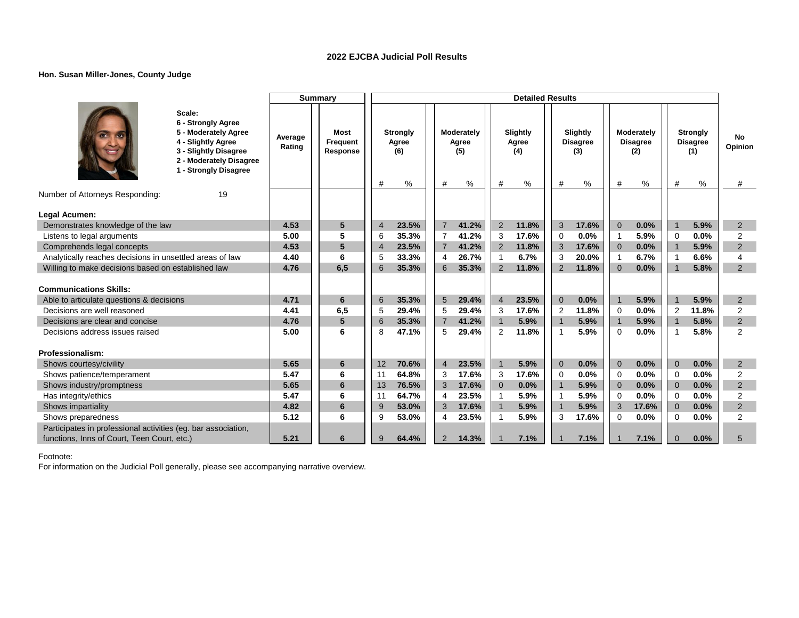### **Hon. Susan Miller-Jones, County Judge**

|                                                                                                                                                         |                   | <b>Summary</b>               |                |                                         |                |                                 | <b>Detailed Results</b>            |                |                                         |                         |                                           |                |                                                   |                           |
|---------------------------------------------------------------------------------------------------------------------------------------------------------|-------------------|------------------------------|----------------|-----------------------------------------|----------------|---------------------------------|------------------------------------|----------------|-----------------------------------------|-------------------------|-------------------------------------------|----------------|---------------------------------------------------|---------------------------|
| Scale:<br>6 - Strongly Agree<br>5 - Moderately Agree<br>4 - Slightly Agree<br>3 - Slightly Disagree<br>2 - Moderately Disagree<br>1 - Strongly Disagree | Average<br>Rating | Most<br>Frequent<br>Response | #              | <b>Strongly</b><br>Agree<br>(6)<br>$\%$ | #              | Moderately<br>Agree<br>(5)<br>% | Slightly<br>Agree<br>(4)<br>#<br>% | #              | Slightly<br><b>Disagree</b><br>(3)<br>% | #                       | Moderately<br><b>Disagree</b><br>(2)<br>% | #              | <b>Strongly</b><br><b>Disagree</b><br>(1)<br>$\%$ | <b>No</b><br>Opinion<br># |
| Number of Attorneys Responding:<br>19                                                                                                                   |                   |                              |                |                                         |                |                                 |                                    |                |                                         |                         |                                           |                |                                                   |                           |
| Legal Acumen:                                                                                                                                           |                   |                              |                |                                         |                |                                 |                                    |                |                                         |                         |                                           |                |                                                   |                           |
| Demonstrates knowledge of the law                                                                                                                       | 4.53              | 5                            | $\overline{4}$ | 23.5%                                   | $\overline{7}$ | 41.2%                           | 2<br>11.8%                         | 3              | 17.6%                                   | $\overline{0}$          | 0.0%                                      |                | 5.9%                                              | $\overline{2}$            |
| Listens to legal arguments                                                                                                                              | 5.00              | 5                            | 6              | 35.3%                                   | $\overline{7}$ | 41.2%                           | 3<br>17.6%                         | $\mathbf 0$    | 0.0%                                    | $\overline{\mathbf{1}}$ | 5.9%                                      | $\overline{0}$ | 0.0%                                              | 2                         |
| Comprehends legal concepts                                                                                                                              | 4.53              | 5                            | $\overline{4}$ | 23.5%                                   | $\overline{7}$ | 41.2%                           | 2<br>11.8%                         | 3              | 17.6%                                   | $\overline{0}$          | 0.0%                                      | $\overline{1}$ | 5.9%                                              | 2                         |
| Analytically reaches decisions in unsettled areas of law                                                                                                | 4.40              | 6                            | 5              | 33.3%                                   | 4              | 26.7%                           | 6.7%<br>-1                         | 3              | 20.0%                                   | -1                      | 6.7%                                      | $\overline{1}$ | 6.6%                                              | 4                         |
| Willing to make decisions based on established law                                                                                                      | 4.76              | 6,5                          | 6              | 35.3%                                   | 6              | 35.3%                           | 11.8%<br>$\overline{2}$            | 2              | 11.8%                                   | $\Omega$                | 0.0%                                      |                | 5.8%                                              | 2                         |
| <b>Communications Skills:</b>                                                                                                                           |                   |                              |                |                                         |                |                                 |                                    |                |                                         |                         |                                           |                |                                                   |                           |
| Able to articulate questions & decisions                                                                                                                | 4.71              | 6                            | 6              | 35.3%                                   | 5              | 29.4%                           | $\overline{4}$<br>23.5%            | $\overline{0}$ | 0.0%                                    | $\overline{1}$          | 5.9%                                      | $\mathbf{1}$   | 5.9%                                              | 2                         |
| Decisions are well reasoned                                                                                                                             | 4.41              | 6,5                          | 5              | 29.4%                                   | 5              | 29.4%                           | 17.6%<br>3                         | $\overline{2}$ | 11.8%                                   | $\Omega$                | 0.0%                                      | $\overline{2}$ | 11.8%                                             | $\overline{2}$            |
| Decisions are clear and concise                                                                                                                         | 4.76              | 5                            | 6              | 35.3%                                   | $\overline{7}$ | 41.2%                           | $\mathbf{1}$<br>5.9%               | $\overline{1}$ | 5.9%                                    | $\overline{1}$          | 5.9%                                      | $\overline{1}$ | 5.8%                                              | $\overline{2}$            |
| Decisions address issues raised                                                                                                                         | 5.00              | 6                            | 8              | 47.1%                                   | 5              | 29.4%                           | 2<br>11.8%                         | $\overline{1}$ | 5.9%                                    | $\Omega$                | 0.0%                                      |                | 5.8%                                              | $\overline{2}$            |
| Professionalism:                                                                                                                                        |                   |                              |                |                                         |                |                                 |                                    |                |                                         |                         |                                           |                |                                                   |                           |
| Shows courtesy/civility                                                                                                                                 | 5.65              | 6                            | 12             | 70.6%                                   | $\overline{4}$ | 23.5%                           | $\overline{1}$<br>5.9%             | $\overline{0}$ | 0.0%                                    | $\Omega$                | 0.0%                                      | $\overline{0}$ | 0.0%                                              | $\overline{2}$            |
| Shows patience/temperament                                                                                                                              | 5.47              | 6                            | 11             | 64.8%                                   | 3              | 17.6%                           | 3<br>17.6%                         | $\Omega$       | 0.0%                                    | $\Omega$                | 0.0%                                      | $\Omega$       | 0.0%                                              | 2                         |
| Shows industry/promptness                                                                                                                               | 5.65              | 6                            | 13             | 76.5%                                   | 3              | 17.6%                           | 0.0%<br>$\Omega$                   | $\mathbf 1$    | 5.9%                                    | $\Omega$                | 0.0%                                      | $\Omega$       | 0.0%                                              | 2                         |
| Has integrity/ethics                                                                                                                                    | 5.47              | 6                            | 11             | 64.7%                                   | 4              | 23.5%                           | 5.9%<br>$\mathbf{1}$               | -1             | 5.9%                                    | $\Omega$                | 0.0%                                      | $\Omega$       | 0.0%                                              | $\overline{2}$            |
| Shows impartiality                                                                                                                                      | 4.82              | $6\phantom{1}6$              | 9              | 53.0%                                   | 3              | 17.6%                           | $\overline{1}$<br>5.9%             | $\overline{1}$ | 5.9%                                    | 3                       | 17.6%                                     | $\overline{0}$ | 0.0%                                              | 2                         |
| Shows preparedness                                                                                                                                      | 5.12              | 6                            | 9              | 53.0%                                   | 4              | 23.5%                           | 5.9%                               | 3              | 17.6%                                   | $\Omega$                | 0.0%                                      | $\Omega$       | 0.0%                                              | 2                         |
| Participates in professional activities (eg. bar association,<br>functions, Inns of Court, Teen Court, etc.)                                            | 5.21              | 6                            | 9              | 64.4%                                   | $\overline{2}$ | 14.3%                           | 7.1%                               |                | 7.1%                                    |                         | 7.1%                                      | $\Omega$       | 0.0%                                              | 5                         |

Footnote: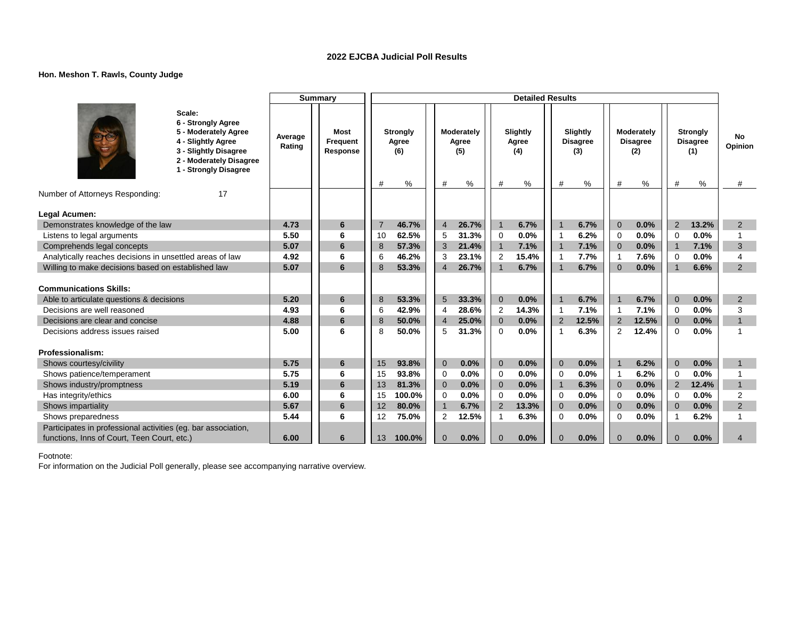### **Hon. Meshon T. Rawls, County Judge**

|                                                               |                                                                                                                                                         |                   | <b>Summary</b>                      |    |                               |                |                                 |                | <b>Detailed Results</b>       |                          |                                         |                         |                                           |                |                                                |                           |
|---------------------------------------------------------------|---------------------------------------------------------------------------------------------------------------------------------------------------------|-------------------|-------------------------------------|----|-------------------------------|----------------|---------------------------------|----------------|-------------------------------|--------------------------|-----------------------------------------|-------------------------|-------------------------------------------|----------------|------------------------------------------------|---------------------------|
|                                                               | Scale:<br>6 - Strongly Agree<br>5 - Moderately Agree<br>4 - Slightly Agree<br>3 - Slightly Disagree<br>2 - Moderately Disagree<br>1 - Strongly Disagree | Average<br>Rating | <b>Most</b><br>Frequent<br>Response |    | Strongly<br>Agree<br>(6)<br>% | #              | Moderately<br>Agree<br>(5)<br>% | #              | Slightly<br>Agree<br>(4)<br>% | #                        | Slightly<br><b>Disagree</b><br>(3)<br>% | #                       | Moderately<br><b>Disagree</b><br>(2)<br>% | #              | <b>Strongly</b><br><b>Disagree</b><br>(1)<br>% | <b>No</b><br>Opinion<br># |
| Number of Attorneys Responding:                               | 17                                                                                                                                                      |                   |                                     |    |                               |                |                                 |                |                               |                          |                                         |                         |                                           |                |                                                |                           |
|                                                               |                                                                                                                                                         |                   |                                     |    |                               |                |                                 |                |                               |                          |                                         |                         |                                           |                |                                                |                           |
| Legal Acumen:                                                 |                                                                                                                                                         |                   |                                     |    |                               |                |                                 |                |                               |                          |                                         |                         |                                           |                |                                                |                           |
| Demonstrates knowledge of the law                             |                                                                                                                                                         | 4.73              | 6                                   | 7  | 46.7%                         | $\overline{4}$ | 26.7%                           | $\mathbf{1}$   | 6.7%                          | $\overline{1}$           | 6.7%                                    | $\Omega$                | 0.0%                                      | $\overline{2}$ | 13.2%                                          | 2                         |
| Listens to legal arguments                                    |                                                                                                                                                         | 5.50              | 6                                   | 10 | 62.5%                         | 5              | 31.3%                           | 0              | 0.0%                          | $\overline{\phantom{0}}$ | 6.2%                                    | $\mathbf 0$             | 0.0%                                      | $\mathbf 0$    | 0.0%                                           |                           |
| Comprehends legal concepts                                    |                                                                                                                                                         | 5.07              | 6                                   | 8  | 57.3%                         | 3              | 21.4%                           | $\mathbf{1}$   | 7.1%                          | $\overline{1}$           | 7.1%                                    | $\Omega$                | 0.0%                                      | $\overline{1}$ | 7.1%                                           | 3                         |
| Analytically reaches decisions in unsettled areas of law      |                                                                                                                                                         | 4.92              | 6                                   | 6  | 46.2%                         | 3              | 23.1%                           | 2              | 15.4%                         | $\overline{1}$           | 7.7%                                    | -1                      | 7.6%                                      | $\overline{0}$ | 0.0%                                           | $\overline{4}$            |
| Willing to make decisions based on established law            |                                                                                                                                                         | 5.07              | 6                                   | 8  | 53.3%                         | $\overline{4}$ | 26.7%                           | $\overline{1}$ | 6.7%                          | $\overline{1}$           | 6.7%                                    | $\Omega$                | 0.0%                                      | $\overline{1}$ | 6.6%                                           | 2                         |
| <b>Communications Skills:</b>                                 |                                                                                                                                                         |                   |                                     |    |                               |                |                                 |                |                               |                          |                                         |                         |                                           |                |                                                |                           |
| Able to articulate questions & decisions                      |                                                                                                                                                         | 5.20              | 6                                   | 8  | 53.3%                         | 5              | 33.3%                           | $\mathbf 0$    | 0.0%                          | $\overline{1}$           | 6.7%                                    |                         | 6.7%                                      | $\mathbf 0$    | 0.0%                                           | 2                         |
| Decisions are well reasoned                                   |                                                                                                                                                         | 4.93              | 6                                   | 6  | 42.9%                         | $\overline{4}$ | 28.6%                           | 2              | 14.3%                         | $\overline{\phantom{a}}$ | 7.1%                                    | $\overline{1}$          | 7.1%                                      | $\Omega$       | 0.0%                                           | 3                         |
| Decisions are clear and concise                               |                                                                                                                                                         | 4.88              | 6                                   | 8  | 50.0%                         | $\overline{4}$ | 25.0%                           | $\mathbf{0}$   | 0.0%                          | $\overline{2}$           | 12.5%                                   | $\overline{2}$          | 12.5%                                     | $\overline{0}$ | 0.0%                                           | $\overline{1}$            |
| Decisions address issues raised                               |                                                                                                                                                         | 5.00              | 6                                   | 8  | 50.0%                         | 5              | 31.3%                           | $\Omega$       | 0.0%                          | $\overline{\mathbf{1}}$  | 6.3%                                    | $\overline{2}$          | 12.4%                                     | $\Omega$       | 0.0%                                           | $\overline{ }$            |
| Professionalism:                                              |                                                                                                                                                         |                   |                                     |    |                               |                |                                 |                |                               |                          |                                         |                         |                                           |                |                                                |                           |
| Shows courtesy/civility                                       |                                                                                                                                                         | 5.75              | $6\phantom{1}6$                     | 15 | 93.8%                         | $\mathbf 0$    | 0.0%                            | $\mathbf{0}$   | 0.0%                          | $\mathbf{0}$             | 0.0%                                    | -1                      | 6.2%                                      | $\overline{0}$ | 0.0%                                           | $\mathbf{1}$              |
| Shows patience/temperament                                    |                                                                                                                                                         | 5.75              | 6                                   | 15 | 93.8%                         | $\mathbf 0$    | 0.0%                            | 0              | 0.0%                          | $\mathbf 0$              | 0.0%                                    | $\overline{\mathbf{1}}$ | 6.2%                                      | $\mathbf 0$    | 0.0%                                           |                           |
| Shows industry/promptness                                     |                                                                                                                                                         | 5.19              | 6                                   | 13 | 81.3%                         | $\mathbf{0}$   | 0.0%                            | $\mathbf{0}$   | 0.0%                          | $\mathbf 1$              | 6.3%                                    | $\overline{0}$          | 0.0%                                      | $\overline{2}$ | 12.4%                                          | $\mathbf{1}$              |
| Has integrity/ethics                                          |                                                                                                                                                         | 6.00              | 6                                   | 15 | 100.0%                        | $\mathbf 0$    | 0.0%                            | 0              | 0.0%                          | $\mathbf 0$              | 0.0%                                    | $\Omega$                | 0.0%                                      | $\Omega$       | 0.0%                                           | $\overline{2}$            |
| Shows impartiality                                            |                                                                                                                                                         | 5.67              | $6\phantom{1}6$                     | 12 | 80.0%                         | $\overline{1}$ | 6.7%                            | 2              | 13.3%                         | $\mathbf 0$              | 0.0%                                    | $\mathbf 0$             | 0.0%                                      | $\overline{0}$ | 0.0%                                           | 2                         |
| Shows preparedness                                            |                                                                                                                                                         | 5.44              | 6                                   | 12 | 75.0%                         | 2              | 12.5%                           |                | 6.3%                          | $\Omega$                 | 0.0%                                    | $\Omega$                | 0.0%                                      |                | 6.2%                                           |                           |
| Participates in professional activities (eg. bar association, |                                                                                                                                                         |                   |                                     |    |                               |                |                                 |                |                               |                          |                                         |                         |                                           |                |                                                |                           |
| functions, Inns of Court, Teen Court, etc.)                   |                                                                                                                                                         | 6.00              | 6                                   | 13 | 100.0%                        | $\mathbf{0}$   | 0.0%                            | $\mathbf 0$    | 0.0%                          | $\overline{0}$           | 0.0%                                    | $\Omega$                | 0.0%                                      | $\Omega$       | 0.0%                                           | $\boldsymbol{\Delta}$     |
|                                                               |                                                                                                                                                         |                   |                                     |    |                               |                |                                 |                |                               |                          |                                         |                         |                                           |                |                                                |                           |

Footnote: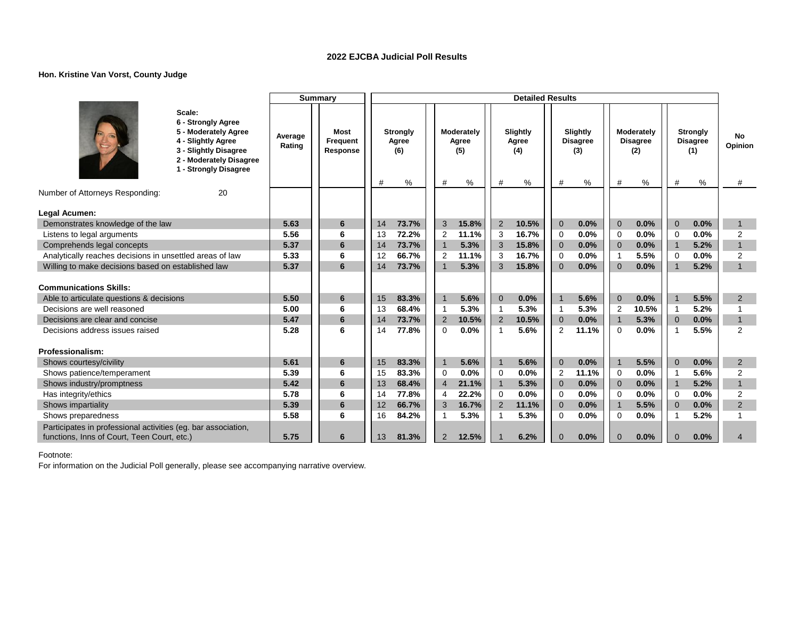### **Hon. Kristine Van Vorst, County Judge**

|                                                               |                                                                                                                                                         |                   | <b>Summary</b>               |          |                                      |                     |                                 |                | <b>Detailed Results</b>       |                         |                                         |                            |                                           |                            |                                                |                                  |
|---------------------------------------------------------------|---------------------------------------------------------------------------------------------------------------------------------------------------------|-------------------|------------------------------|----------|--------------------------------------|---------------------|---------------------------------|----------------|-------------------------------|-------------------------|-----------------------------------------|----------------------------|-------------------------------------------|----------------------------|------------------------------------------------|----------------------------------|
|                                                               | Scale:<br>6 - Strongly Agree<br>5 - Moderately Agree<br>4 - Slightly Agree<br>3 - Slightly Disagree<br>2 - Moderately Disagree<br>1 - Strongly Disagree | Average<br>Rating | Most<br>Frequent<br>Response | #        | <b>Strongly</b><br>Agree<br>(6)<br>% | #                   | Moderately<br>Agree<br>(5)<br>% | #              | Slightly<br>Agree<br>(4)<br>% | #                       | Slightly<br><b>Disagree</b><br>(3)<br>% | #                          | Moderately<br><b>Disagree</b><br>(2)<br>℅ | #                          | <b>Strongly</b><br><b>Disagree</b><br>(1)<br>% | No<br>Opinion<br>#               |
| Number of Attorneys Responding:                               | 20                                                                                                                                                      |                   |                              |          |                                      |                     |                                 |                |                               |                         |                                         |                            |                                           |                            |                                                |                                  |
|                                                               |                                                                                                                                                         |                   |                              |          |                                      |                     |                                 |                |                               |                         |                                         |                            |                                           |                            |                                                |                                  |
| Legal Acumen:                                                 |                                                                                                                                                         |                   |                              |          |                                      |                     |                                 |                |                               |                         |                                         |                            |                                           |                            |                                                |                                  |
| Demonstrates knowledge of the law                             |                                                                                                                                                         | 5.63              | 6                            | 14       | 73.7%                                | 3                   | 15.8%                           | 2              | 10.5%                         | $\overline{0}$          | 0.0%                                    | $\overline{0}$             | 0.0%                                      | $\overline{0}$             | 0.0%                                           | $\mathbf{1}$                     |
| Listens to legal arguments                                    |                                                                                                                                                         | 5.56              | 6                            | 13       | 72.2%                                | 2<br>$\overline{1}$ | 11.1%<br>5.3%                   | 3<br>3         | 16.7%                         | $\mathbf 0$             | 0.0%                                    | $\Omega$                   | 0.0%                                      | $\overline{0}$             | 0.0%<br>5.2%                                   | $\overline{2}$<br>$\overline{1}$ |
| Comprehends legal concepts                                    |                                                                                                                                                         | 5.37              | 6<br>6                       | 14       | 73.7%<br>66.7%                       |                     |                                 |                | 15.8%<br>16.7%                | $\overline{0}$          | 0.0%<br>0.0%                            | $\overline{0}$             | 0.0%<br>5.5%                              | $\overline{1}$             | 0.0%                                           |                                  |
| Analytically reaches decisions in unsettled areas of law      |                                                                                                                                                         | 5.33<br>5.37      | 6                            | 12<br>14 | 73.7%                                | $\overline{2}$      | 11.1%<br>5.3%                   | 3<br>3         | 15.8%                         | $\mathbf 0$<br>$\Omega$ | 0.0%                                    | $\overline{1}$<br>$\Omega$ | 0.0%                                      | $\Omega$<br>$\overline{1}$ | 5.2%                                           | 2<br>$\mathbf{1}$                |
| Willing to make decisions based on established law            |                                                                                                                                                         |                   |                              |          |                                      |                     |                                 |                |                               |                         |                                         |                            |                                           |                            |                                                |                                  |
| <b>Communications Skills:</b>                                 |                                                                                                                                                         |                   |                              |          |                                      |                     |                                 |                |                               |                         |                                         |                            |                                           |                            |                                                |                                  |
| Able to articulate questions & decisions                      |                                                                                                                                                         | 5.50              | 6                            | 15       | 83.3%                                | $\overline{1}$      | 5.6%                            | $\mathbf{0}$   | 0.0%                          | $\overline{1}$          | 5.6%                                    | $\Omega$                   | 0.0%                                      |                            | 5.5%                                           | 2                                |
| Decisions are well reasoned                                   |                                                                                                                                                         | 5.00              | 6                            | 13       | 68.4%                                | -1                  | 5.3%                            | $\mathbf{1}$   | 5.3%                          | $\overline{\mathbf{1}}$ | 5.3%                                    | $\overline{2}$             | 10.5%                                     | $\overline{1}$             | 5.2%                                           |                                  |
| Decisions are clear and concise                               |                                                                                                                                                         | 5.47              | 6                            | 14       | 73.7%                                | 2                   | 10.5%                           | 2              | 10.5%                         | $\overline{0}$          | 0.0%                                    | $\overline{1}$             | 5.3%                                      | $\overline{0}$             | 0.0%                                           | $\mathbf{1}$                     |
| Decisions address issues raised                               |                                                                                                                                                         | 5.28              | 6                            | 14       | 77.8%                                | $\Omega$            | 0.0%                            | -1             | 5.6%                          | $\overline{2}$          | 11.1%                                   | $\Omega$                   | 0.0%                                      | -1                         | 5.5%                                           | 2                                |
|                                                               |                                                                                                                                                         |                   |                              |          |                                      |                     |                                 |                |                               |                         |                                         |                            |                                           |                            |                                                |                                  |
| Professionalism:                                              |                                                                                                                                                         |                   |                              |          |                                      |                     |                                 |                |                               |                         |                                         |                            |                                           |                            |                                                |                                  |
| Shows courtesy/civility                                       |                                                                                                                                                         | 5.61              | 6                            | 15       | 83.3%                                | $\overline{1}$      | 5.6%                            | $\overline{1}$ | 5.6%                          | $\overline{0}$          | 0.0%                                    |                            | 5.5%                                      | $\overline{0}$             | 0.0%                                           | 2                                |
| Shows patience/temperament                                    |                                                                                                                                                         | 5.39              | 6                            | 15       | 83.3%                                | 0                   | 0.0%                            | 0              | 0.0%                          | $\overline{2}$          | 11.1%                                   | $\Omega$                   | 0.0%                                      | -1                         | 5.6%                                           | 2                                |
| Shows industry/promptness                                     |                                                                                                                                                         | 5.42              | 6                            | 13       | 68.4%                                | $\overline{4}$      | 21.1%                           | $\mathbf{1}$   | 5.3%                          | $\Omega$                | 0.0%                                    | $\Omega$                   | 0.0%                                      | $\mathbf{1}$               | 5.2%                                           | $\mathbf{1}$                     |
| Has integrity/ethics                                          |                                                                                                                                                         | 5.78              | 6                            | 14       | 77.8%                                | 4                   | 22.2%                           | 0              | 0.0%                          | $\Omega$                | 0.0%                                    | $\Omega$                   | 0.0%                                      | $\Omega$                   | 0.0%                                           | $\overline{2}$                   |
| Shows impartiality                                            |                                                                                                                                                         | 5.39              | 6                            | 12       | 66.7%                                | 3                   | 16.7%                           | $\overline{2}$ | 11.1%                         | $\overline{0}$          | 0.0%                                    | $\overline{1}$             | 5.5%                                      | $\Omega$                   | 0.0%                                           | 2                                |
| Shows preparedness                                            |                                                                                                                                                         | 5.58              | 6                            | 16       | 84.2%                                |                     | 5.3%                            |                | 5.3%                          | $\Omega$                | 0.0%                                    | $\Omega$                   | 0.0%                                      |                            | 5.2%                                           |                                  |
| Participates in professional activities (eg. bar association, |                                                                                                                                                         |                   |                              |          |                                      |                     |                                 |                |                               |                         |                                         |                            |                                           |                            |                                                |                                  |
| functions, Inns of Court, Teen Court, etc.)                   |                                                                                                                                                         | 5.75              | 6                            | 13       | 81.3%                                | 2                   | 12.5%                           |                | 6.2%                          | $\Omega$                | 0.0%                                    | $\Omega$                   | 0.0%                                      | $\Omega$                   | 0.0%                                           | 4                                |

Footnote: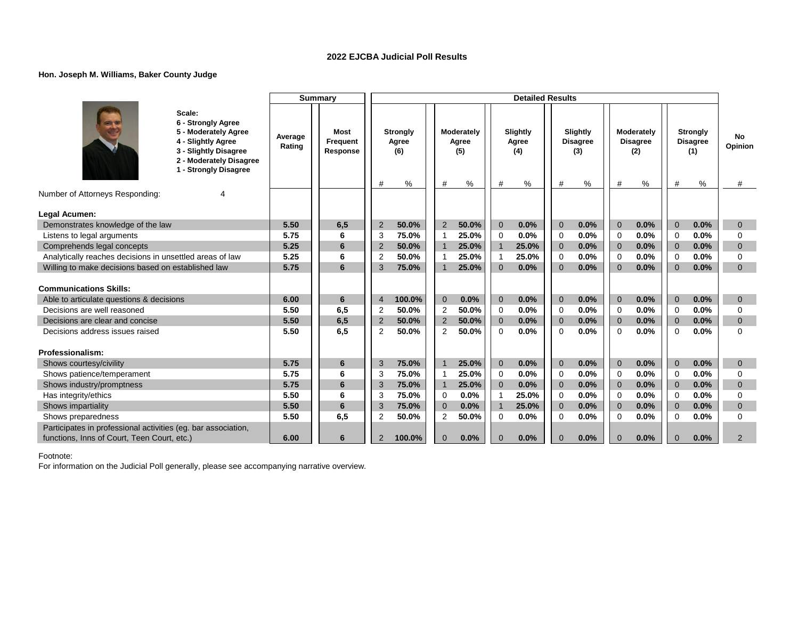### **Hon. Joseph M. Williams, Baker County Judge**

|                                                                                                              |                                                                                                                                                         |                   | <b>Summary</b>                      |                |                                      |                |                                 |                | <b>Detailed Results</b>       |                |                                         |                |                                           |                |                                                |                    |
|--------------------------------------------------------------------------------------------------------------|---------------------------------------------------------------------------------------------------------------------------------------------------------|-------------------|-------------------------------------|----------------|--------------------------------------|----------------|---------------------------------|----------------|-------------------------------|----------------|-----------------------------------------|----------------|-------------------------------------------|----------------|------------------------------------------------|--------------------|
|                                                                                                              | Scale:<br>6 - Strongly Agree<br>5 - Moderately Agree<br>4 - Slightly Agree<br>3 - Slightly Disagree<br>2 - Moderately Disagree<br>1 - Strongly Disagree | Average<br>Rating | <b>Most</b><br>Frequent<br>Response | #              | <b>Strongly</b><br>Agree<br>(6)<br>% | #              | Moderately<br>Agree<br>(5)<br>% | #              | Slightly<br>Agree<br>(4)<br>% | #              | Slightly<br><b>Disagree</b><br>(3)<br>% | #              | Moderately<br><b>Disagree</b><br>(2)<br>% | #              | <b>Strongly</b><br><b>Disagree</b><br>(1)<br>% | No<br>Opinion<br># |
| Number of Attorneys Responding:                                                                              |                                                                                                                                                         |                   |                                     |                |                                      |                |                                 |                |                               |                |                                         |                |                                           |                |                                                |                    |
| Legal Acumen:                                                                                                |                                                                                                                                                         |                   |                                     |                |                                      |                |                                 |                |                               |                |                                         |                |                                           |                |                                                |                    |
| Demonstrates knowledge of the law                                                                            |                                                                                                                                                         | 5.50              | 6,5                                 | $\overline{2}$ | 50.0%                                | 2              | 50.0%                           | $\overline{0}$ | 0.0%                          | $\Omega$       | 0.0%                                    | $\Omega$       | 0.0%                                      | $\Omega$       | 0.0%                                           | $\mathbf{0}$       |
| Listens to legal arguments                                                                                   |                                                                                                                                                         | 5.75              | 6                                   | 3              | 75.0%                                | -1             | 25.0%                           | 0              | 0.0%                          | 0              | 0.0%                                    | $\Omega$       | 0.0%                                      | $\Omega$       | 0.0%                                           | $\Omega$           |
| Comprehends legal concepts                                                                                   |                                                                                                                                                         | 5.25              | 6                                   | $\overline{2}$ | 50.0%                                |                | 25.0%                           | $\mathbf{1}$   | 25.0%                         | $\Omega$       | 0.0%                                    | $\Omega$       | 0.0%                                      | $\Omega$       | 0.0%                                           | $\mathbf{0}$       |
| Analytically reaches decisions in unsettled areas of law                                                     |                                                                                                                                                         | 5.25              | 6                                   | 2              | 50.0%                                |                | 25.0%                           | 1              | 25.0%                         | $\mathbf 0$    | 0.0%                                    | $\Omega$       | 0.0%                                      | $\Omega$       | 0.0%                                           | $\Omega$           |
| Willing to make decisions based on established law                                                           |                                                                                                                                                         | 5.75              | 6                                   | 3              | 75.0%                                |                | 25.0%                           | $\Omega$       | 0.0%                          | $\Omega$       | 0.0%                                    | $\Omega$       | 0.0%                                      | $\Omega$       | 0.0%                                           | $\Omega$           |
|                                                                                                              |                                                                                                                                                         |                   |                                     |                |                                      |                |                                 |                |                               |                |                                         |                |                                           |                |                                                |                    |
| <b>Communications Skills:</b>                                                                                |                                                                                                                                                         |                   |                                     |                |                                      |                |                                 |                |                               |                |                                         |                |                                           |                |                                                |                    |
| Able to articulate questions & decisions                                                                     |                                                                                                                                                         | 6.00              | 6                                   | $\overline{4}$ | 100.0%                               | $\mathbf 0$    | 0.0%                            | $\mathbf{0}$   | 0.0%                          | $\overline{0}$ | 0.0%                                    | $\overline{0}$ | 0.0%                                      | $\overline{0}$ | 0.0%                                           | $\mathbf 0$        |
| Decisions are well reasoned                                                                                  |                                                                                                                                                         | 5.50              | 6,5                                 | $\overline{2}$ | 50.0%                                | 2              | 50.0%                           | 0              | 0.0%                          | $\Omega$       | 0.0%                                    | $\Omega$       | 0.0%                                      | $\Omega$       | 0.0%                                           | $\Omega$           |
| Decisions are clear and concise                                                                              |                                                                                                                                                         | 5.50              | 6,5                                 | $\overline{2}$ | 50.0%                                | $\overline{2}$ | 50.0%                           | $\mathbf{0}$   | 0.0%                          | $\overline{0}$ | 0.0%                                    | $\overline{0}$ | 0.0%                                      | $\overline{0}$ | 0.0%                                           | $\mathbf{0}$       |
| Decisions address issues raised                                                                              |                                                                                                                                                         | 5.50              | 6,5                                 | $\overline{c}$ | 50.0%                                | $\overline{2}$ | 50.0%                           | $\mathbf 0$    | 0.0%                          | $\mathbf 0$    | 0.0%                                    | $\Omega$       | 0.0%                                      | $\Omega$       | 0.0%                                           | $\Omega$           |
|                                                                                                              |                                                                                                                                                         |                   |                                     |                |                                      |                |                                 |                |                               |                |                                         |                |                                           |                |                                                |                    |
| Professionalism:                                                                                             |                                                                                                                                                         |                   |                                     |                |                                      |                |                                 |                |                               |                |                                         |                |                                           |                |                                                |                    |
| Shows courtesy/civility                                                                                      |                                                                                                                                                         | 5.75              | 6                                   | 3              | 75.0%                                | $\overline{1}$ | 25.0%                           | $\mathbf{0}$   | 0.0%                          | $\mathbf 0$    | 0.0%                                    | $\Omega$       | 0.0%                                      | $\mathbf{0}$   | 0.0%                                           | $\mathbf{0}$       |
| Shows patience/temperament                                                                                   |                                                                                                                                                         | 5.75              | 6                                   | 3              | 75.0%                                |                | 25.0%                           | $\mathbf 0$    | 0.0%                          | $\mathbf 0$    | 0.0%                                    | $\mathbf 0$    | 0.0%                                      | $\overline{0}$ | 0.0%                                           | 0                  |
| Shows industry/promptness                                                                                    |                                                                                                                                                         | 5.75              | 6                                   | 3              | 75.0%                                | $\overline{1}$ | 25.0%                           | $\overline{0}$ | 0.0%                          | $\overline{0}$ | 0.0%                                    | $\overline{0}$ | 0.0%                                      | $\overline{0}$ | 0.0%                                           | $\mathbf{0}$       |
| Has integrity/ethics                                                                                         |                                                                                                                                                         | 5.50              | 6                                   | 3              | 75.0%                                | 0              | 0.0%                            | $\mathbf{1}$   | 25.0%                         | $\mathbf 0$    | 0.0%                                    | $\Omega$       | 0.0%                                      | $\Omega$       | 0.0%                                           | $\Omega$           |
| Shows impartiality                                                                                           |                                                                                                                                                         | 5.50              | 6                                   | 3              | 75.0%                                | $\mathbf{0}$   | 0.0%                            | $\overline{1}$ | 25.0%                         | $\overline{0}$ | 0.0%                                    | $\overline{0}$ | 0.0%                                      | $\overline{0}$ | 0.0%                                           | $\mathbf{0}$       |
| Shows preparedness                                                                                           |                                                                                                                                                         | 5.50              | 6.5                                 | $\overline{c}$ | 50.0%                                | $\overline{2}$ | 50.0%                           | $\mathbf 0$    | 0.0%                          | $\mathbf 0$    | 0.0%                                    | $\Omega$       | 0.0%                                      | $\mathbf 0$    | 0.0%                                           | $\Omega$           |
| Participates in professional activities (eg. bar association,<br>functions, Inns of Court, Teen Court, etc.) |                                                                                                                                                         | 6.00              | 6                                   | $\overline{2}$ | 100.0%                               | $\mathbf{0}$   | 0.0%                            | $\mathbf{0}$   | 0.0%                          | $\mathbf{0}$   | 0.0%                                    | $\Omega$       | 0.0%                                      | $\Omega$       | 0.0%                                           | 2                  |
|                                                                                                              |                                                                                                                                                         |                   |                                     |                |                                      |                |                                 |                |                               |                |                                         |                |                                           |                |                                                |                    |

Footnote: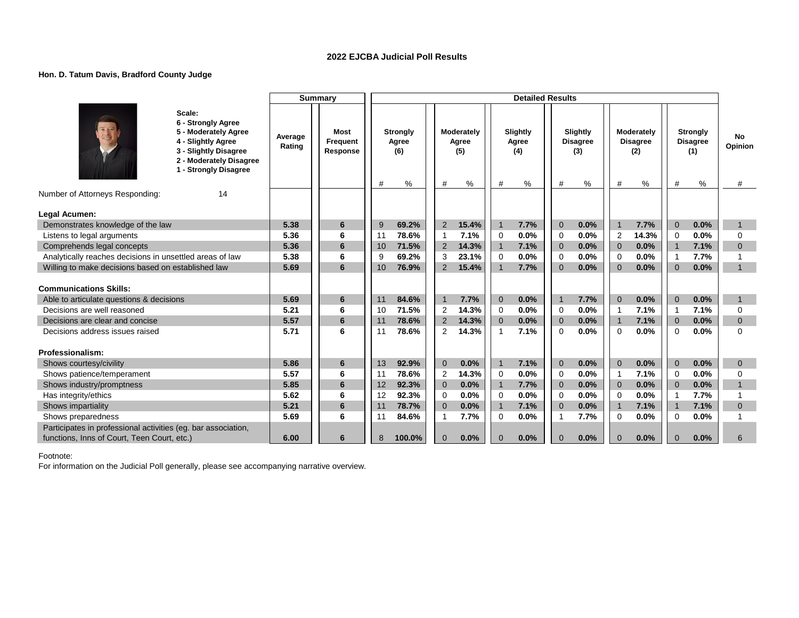### **Hon. D. Tatum Davis, Bradford County Judge**

|                                                                                                              |                                                                                                                                                         |                   | <b>Summary</b>               |    |                                      |                |                                 |                | <b>Detailed Results</b>       |                |                                         |                         |                                           |                         |                                                |                           |
|--------------------------------------------------------------------------------------------------------------|---------------------------------------------------------------------------------------------------------------------------------------------------------|-------------------|------------------------------|----|--------------------------------------|----------------|---------------------------------|----------------|-------------------------------|----------------|-----------------------------------------|-------------------------|-------------------------------------------|-------------------------|------------------------------------------------|---------------------------|
|                                                                                                              | Scale:<br>6 - Strongly Agree<br>5 - Moderately Agree<br>4 - Slightly Agree<br>3 - Slightly Disagree<br>2 - Moderately Disagree<br>1 - Strongly Disagree | Average<br>Rating | Most<br>Frequent<br>Response | #  | <b>Strongly</b><br>Agree<br>(6)<br>% | #              | Moderately<br>Agree<br>(5)<br>% | #              | Slightly<br>Agree<br>(4)<br>% | #              | Slightly<br><b>Disagree</b><br>(3)<br>% | #                       | Moderately<br><b>Disagree</b><br>(2)<br>% | #                       | <b>Strongly</b><br><b>Disagree</b><br>(1)<br>% | <b>No</b><br>Opinion<br># |
| Number of Attorneys Responding:                                                                              | 14                                                                                                                                                      |                   |                              |    |                                      |                |                                 |                |                               |                |                                         |                         |                                           |                         |                                                |                           |
|                                                                                                              |                                                                                                                                                         |                   |                              |    |                                      |                |                                 |                |                               |                |                                         |                         |                                           |                         |                                                |                           |
| Legal Acumen:<br>Demonstrates knowledge of the law                                                           |                                                                                                                                                         | 5.38              | 6                            | -9 | 69.2%                                | 2              | 15.4%                           | $\overline{1}$ | 7.7%                          | $\overline{0}$ | 0.0%                                    | $\mathbf{1}$            | 7.7%                                      | $\overline{0}$          | 0.0%                                           | $\mathbf{1}$              |
| Listens to legal arguments                                                                                   |                                                                                                                                                         | 5.36              | 6                            | 11 | 78.6%                                | $\overline{1}$ | 7.1%                            | 0              | 0.0%                          | $\mathbf 0$    | 0.0%                                    | $\overline{2}$          | 14.3%                                     | $\Omega$                | 0.0%                                           | $\Omega$                  |
| Comprehends legal concepts                                                                                   |                                                                                                                                                         | 5.36              | 6                            | 10 | 71.5%                                | $\overline{2}$ | 14.3%                           | $\overline{1}$ | 7.1%                          | $\overline{0}$ | 0.0%                                    | $\Omega$                | 0.0%                                      | $\overline{1}$          | 7.1%                                           | $\Omega$                  |
| Analytically reaches decisions in unsettled areas of law                                                     |                                                                                                                                                         | 5.38              | 6                            | 9  | 69.2%                                | 3              | 23.1%                           | 0              | 0.0%                          | $\mathbf 0$    | 0.0%                                    | $\mathbf 0$             | 0.0%                                      | $\overline{\mathbf{1}}$ | 7.7%                                           |                           |
| Willing to make decisions based on established law                                                           |                                                                                                                                                         | 5.69              | 6                            | 10 | 76.9%                                | 2              | 15.4%                           | $\mathbf{1}$   | 7.7%                          | $\Omega$       | 0.0%                                    | $\Omega$                | 0.0%                                      | $\Omega$                | 0.0%                                           | $\mathbf{1}$              |
|                                                                                                              |                                                                                                                                                         |                   |                              |    |                                      |                |                                 |                |                               |                |                                         |                         |                                           |                         |                                                |                           |
| <b>Communications Skills:</b>                                                                                |                                                                                                                                                         |                   |                              |    |                                      |                |                                 |                |                               |                |                                         |                         |                                           |                         |                                                |                           |
| Able to articulate questions & decisions                                                                     |                                                                                                                                                         | 5.69              | 6                            | 11 | 84.6%                                | $\overline{1}$ | 7.7%                            | $\mathbf{0}$   | 0.0%                          | $\overline{1}$ | 7.7%                                    | $\overline{0}$          | 0.0%                                      | $\overline{0}$          | 0.0%                                           | $\mathbf{1}$              |
| Decisions are well reasoned                                                                                  |                                                                                                                                                         | 5.21              | 6                            | 10 | 71.5%                                | $\overline{2}$ | 14.3%                           | $\mathbf 0$    | 0.0%                          | $\Omega$       | 0.0%                                    | $\overline{\mathbf{1}}$ | 7.1%                                      | $\overline{\mathbf{1}}$ | 7.1%                                           | $\Omega$                  |
| Decisions are clear and concise                                                                              |                                                                                                                                                         | 5.57              | 6                            | 11 | 78.6%                                | 2              | 14.3%                           | $\mathbf{0}$   | 0.0%                          | $\mathbf 0$    | 0.0%                                    | $\overline{1}$          | 7.1%                                      | $\mathbf 0$             | 0.0%                                           | $\mathbf 0$               |
| Decisions address issues raised                                                                              |                                                                                                                                                         | 5.71              | 6                            | 11 | 78.6%                                | 2              | 14.3%                           | $\mathbf{1}$   | 7.1%                          | $\Omega$       | 0.0%                                    | $\Omega$                | 0.0%                                      | $\Omega$                | 0.0%                                           | $\Omega$                  |
|                                                                                                              |                                                                                                                                                         |                   |                              |    |                                      |                |                                 |                |                               |                |                                         |                         |                                           |                         |                                                |                           |
| Professionalism:                                                                                             |                                                                                                                                                         |                   |                              |    |                                      |                |                                 |                |                               |                |                                         |                         |                                           |                         |                                                |                           |
| Shows courtesy/civility                                                                                      |                                                                                                                                                         | 5.86              | 6                            | 13 | 92.9%                                | $\mathbf{0}$   | 0.0%                            | $\overline{1}$ | 7.1%                          | $\mathbf 0$    | 0.0%                                    | $\overline{0}$          | 0.0%                                      | $\mathbf{0}$            | 0.0%                                           | $\overline{0}$            |
| Shows patience/temperament                                                                                   |                                                                                                                                                         | 5.57              | 6                            | 11 | 78.6%                                | $\overline{2}$ | 14.3%                           | $\mathbf 0$    | 0.0%                          | $\mathbf 0$    | 0.0%                                    | $\overline{1}$          | 7.1%                                      | $\overline{0}$          | 0.0%                                           | $\mathbf 0$               |
| Shows industry/promptness                                                                                    |                                                                                                                                                         | 5.85              | 6                            | 12 | 92.3%                                | $\mathbf 0$    | 0.0%                            | $\overline{1}$ | 7.7%                          | $\overline{0}$ | 0.0%                                    | $\Omega$                | 0.0%                                      | $\overline{0}$          | 0.0%                                           | $\mathbf{1}$              |
| Has integrity/ethics                                                                                         |                                                                                                                                                         | 5.62              | 6                            | 12 | 92.3%                                | 0              | 0.0%                            | 0              | 0.0%                          | $\mathbf 0$    | 0.0%                                    | $\Omega$                | 0.0%                                      | -1                      | 7.7%                                           |                           |
| Shows impartiality                                                                                           |                                                                                                                                                         | 5.21              | 6                            | 11 | 78.7%                                | $\mathbf 0$    | 0.0%                            | $\overline{1}$ | 7.1%                          | $\mathbf 0$    | 0.0%                                    | $\overline{1}$          | 7.1%                                      | $\overline{1}$          | 7.1%                                           | $\mathbf 0$               |
| Shows preparedness                                                                                           |                                                                                                                                                         | 5.69              | 6                            | 11 | 84.6%                                | $\overline{1}$ | 7.7%                            | $\mathbf 0$    | 0.0%                          | 1              | 7.7%                                    | $\Omega$                | 0.0%                                      | $\mathbf 0$             | 0.0%                                           |                           |
| Participates in professional activities (eg. bar association,<br>functions, Inns of Court, Teen Court, etc.) |                                                                                                                                                         | 6.00              | 6                            | 8  | 100.0%                               | $\mathbf{0}$   | 0.0%                            | $\mathbf{0}$   | 0.0%                          | $\mathbf{0}$   | 0.0%                                    | $\Omega$                | 0.0%                                      | $\Omega$                | 0.0%                                           | 6                         |
|                                                                                                              |                                                                                                                                                         |                   |                              |    |                                      |                |                                 |                |                               |                |                                         |                         |                                           |                         |                                                |                           |

Footnote: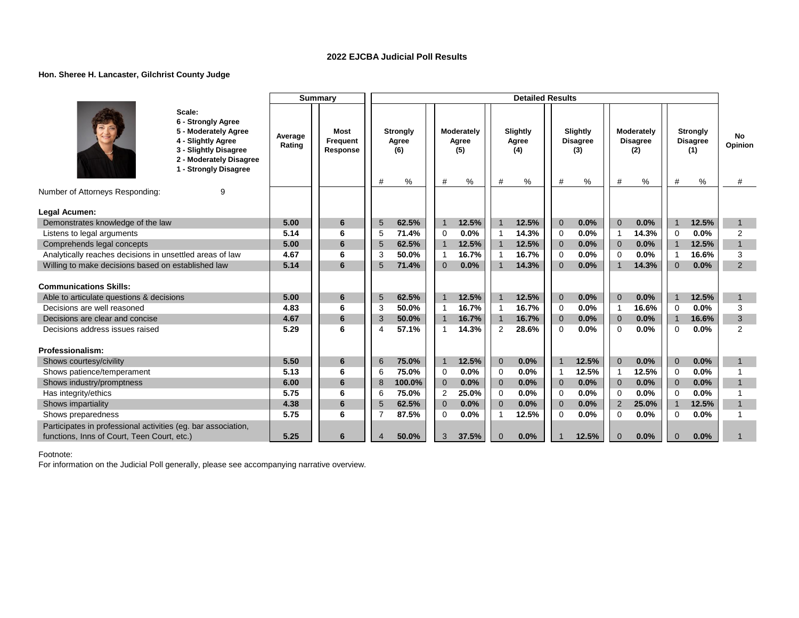### **Hon. Sheree H. Lancaster, Gilchrist County Judge**

|                                                                                                                                                         |                   | <b>Summary</b>                      |                |                                      |                |                                    |                | <b>Detailed Results</b>          |                |                                            |                         |                                           |                |                                                   |                    |
|---------------------------------------------------------------------------------------------------------------------------------------------------------|-------------------|-------------------------------------|----------------|--------------------------------------|----------------|------------------------------------|----------------|----------------------------------|----------------|--------------------------------------------|-------------------------|-------------------------------------------|----------------|---------------------------------------------------|--------------------|
| Scale:<br>6 - Strongly Agree<br>5 - Moderately Agree<br>4 - Slightly Agree<br>3 - Slightly Disagree<br>2 - Moderately Disagree<br>1 - Strongly Disagree | Average<br>Rating | <b>Most</b><br>Frequent<br>Response | #              | <b>Strongly</b><br>Agree<br>(6)<br>% | #              | Moderately<br>Agree<br>(5)<br>$\%$ | #              | Slightly<br>Agree<br>(4)<br>$\%$ | #              | Slightly<br><b>Disagree</b><br>(3)<br>$\%$ | #                       | Moderately<br><b>Disagree</b><br>(2)<br>% | #              | <b>Strongly</b><br><b>Disagree</b><br>(1)<br>$\%$ | No<br>Opinion<br># |
| Number of Attorneys Responding:<br>g                                                                                                                    |                   |                                     |                |                                      |                |                                    |                |                                  |                |                                            |                         |                                           |                |                                                   |                    |
| Legal Acumen:                                                                                                                                           |                   |                                     |                |                                      |                |                                    |                |                                  |                |                                            |                         |                                           |                |                                                   |                    |
| Demonstrates knowledge of the law                                                                                                                       | 5.00              | 6                                   | 5              | 62.5%                                | $\overline{1}$ | 12.5%                              | $\mathbf{1}$   | 12.5%                            | $\overline{0}$ | 0.0%                                       | $\Omega$                | 0.0%                                      | $\overline{1}$ | 12.5%                                             | $\mathbf{1}$       |
| Listens to legal arguments                                                                                                                              | 5.14              | 6                                   | 5              | 71.4%                                | $\Omega$       | 0.0%                               | $\overline{1}$ | 14.3%                            | $\mathbf 0$    | 0.0%                                       | $\overline{1}$          | 14.3%                                     | $\Omega$       | 0.0%                                              | 2                  |
| Comprehends legal concepts                                                                                                                              | 5.00              | 6                                   | 5              | 62.5%                                | $\overline{1}$ | 12.5%                              | $\mathbf{1}$   | 12.5%                            | $\mathbf 0$    | 0.0%                                       | $\mathbf{0}$            | 0.0%                                      | $\overline{1}$ | 12.5%                                             | $\mathbf{1}$       |
| Analytically reaches decisions in unsettled areas of law                                                                                                | 4.67              | 6                                   | 3              | 50.0%                                | $\overline{1}$ | 16.7%                              | $\overline{1}$ | 16.7%                            | $\mathbf 0$    | 0.0%                                       | $\Omega$                | 0.0%                                      | -1             | 16.6%                                             | 3                  |
| Willing to make decisions based on established law                                                                                                      | 5.14              | 6                                   | 5              | 71.4%                                | $\overline{0}$ | 0.0%                               | $\mathbf 1$    | 14.3%                            | $\Omega$       | 0.0%                                       | $\overline{\mathbf{1}}$ | 14.3%                                     | $\mathbf{0}$   | 0.0%                                              | 2                  |
|                                                                                                                                                         |                   |                                     |                |                                      |                |                                    |                |                                  |                |                                            |                         |                                           |                |                                                   |                    |
| <b>Communications Skills:</b>                                                                                                                           |                   |                                     |                |                                      |                |                                    |                |                                  |                |                                            |                         |                                           |                |                                                   |                    |
| Able to articulate questions & decisions                                                                                                                | 5.00              | 6                                   | 5              | 62.5%                                | $\overline{1}$ | 12.5%                              | $\mathbf{1}$   | 12.5%                            | $\mathbf{0}$   | 0.0%                                       | $\Omega$                | 0.0%                                      |                | 12.5%                                             | $\mathbf{1}$       |
| Decisions are well reasoned                                                                                                                             | 4.83              | 6                                   | 3              | 50.0%                                | $\mathbf 1$    | 16.7%                              | $\overline{1}$ | 16.7%                            | $\mathbf 0$    | 0.0%                                       | $\overline{1}$          | 16.6%                                     | $\mathbf 0$    | 0.0%                                              | 3                  |
| Decisions are clear and concise                                                                                                                         | 4.67              | 6                                   | 3              | 50.0%                                | $\overline{1}$ | 16.7%                              | $\mathbf{1}$   | 16.7%                            | $\mathbf{0}$   | 0.0%                                       | $\mathbf{0}$            | 0.0%                                      | $\overline{1}$ | 16.6%                                             | 3                  |
| Decisions address issues raised                                                                                                                         | 5.29              | 6                                   | $\overline{4}$ | 57.1%                                | -1             | 14.3%                              | 2              | 28.6%                            | $\Omega$       | 0.0%                                       | $\Omega$                | 0.0%                                      | $\Omega$       | 0.0%                                              | $\overline{2}$     |
| Professionalism:                                                                                                                                        |                   |                                     |                |                                      |                |                                    |                |                                  |                |                                            |                         |                                           |                |                                                   |                    |
| Shows courtesy/civility                                                                                                                                 | 5.50              | 6                                   | 6              | 75.0%                                | $\overline{1}$ | 12.5%                              | $\mathbf{0}$   | 0.0%                             | $\mathbf{1}$   | 12.5%                                      | $\Omega$                | 0.0%                                      | $\mathbf{0}$   | 0.0%                                              | $\mathbf{1}$       |
| Shows patience/temperament                                                                                                                              | 5.13              | 6                                   | 6              | 75.0%                                | $\mathbf 0$    | 0.0%                               | $\mathbf 0$    | 0.0%                             | $\mathbf{1}$   | 12.5%                                      | -1                      | 12.5%                                     | $\mathbf 0$    | 0.0%                                              |                    |
| Shows industry/promptness                                                                                                                               | 6.00              | 6                                   | 8              | 100.0%                               | $\overline{0}$ | 0.0%                               | $\mathbf{0}$   | 0.0%                             | $\overline{0}$ | 0.0%                                       | $\overline{0}$          | 0.0%                                      | $\overline{0}$ | 0.0%                                              | $\mathbf{1}$       |
| Has integrity/ethics                                                                                                                                    | 5.75              | 6                                   | 6              | 75.0%                                | 2              | 25.0%                              | $\Omega$       | 0.0%                             | $\Omega$       | 0.0%                                       | $\Omega$                | 0.0%                                      | $\Omega$       | 0.0%                                              |                    |
| Shows impartiality                                                                                                                                      | 4.38              | 6                                   | 5              | 62.5%                                | $\overline{0}$ | 0.0%                               | $\overline{0}$ | 0.0%                             | $\mathbf{0}$   | 0.0%                                       | 2                       | 25.0%                                     | $\overline{1}$ | 12.5%                                             | $\overline{1}$     |
| Shows preparedness                                                                                                                                      | 5.75              | 6                                   |                | 87.5%                                | $\Omega$       | 0.0%                               | $\mathbf 1$    | 12.5%                            | $\Omega$       | 0.0%                                       | $\Omega$                | 0.0%                                      | $\Omega$       | 0.0%                                              |                    |
| Participates in professional activities (eg. bar association,                                                                                           |                   |                                     |                |                                      |                |                                    |                |                                  |                |                                            |                         |                                           |                |                                                   |                    |
| functions, Inns of Court, Teen Court, etc.)                                                                                                             | 5.25              | 6                                   |                | 50.0%                                | 3              | 37.5%                              | $\mathbf{0}$   | 0.0%                             |                | 12.5%                                      | $\Omega$                | 0.0%                                      | $\Omega$       | 0.0%                                              |                    |

Footnote: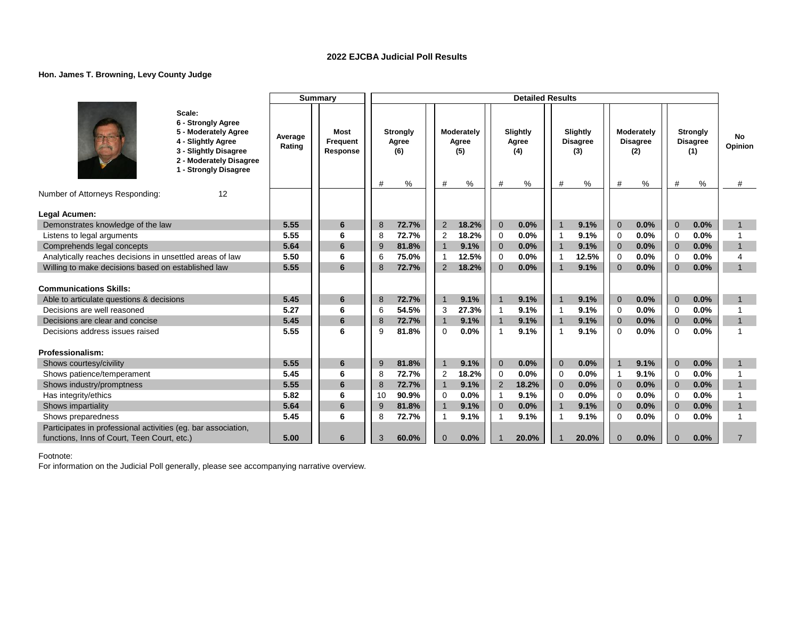### **Hon. James T. Browning, Levy County Judge**

|                                                                                                              |                                                                                                                                                         |                   | Summary                             |    |                                      |                |                                 |                | <b>Detailed Results</b>       |                |                                         |                |                                           |                |                                                |                    |
|--------------------------------------------------------------------------------------------------------------|---------------------------------------------------------------------------------------------------------------------------------------------------------|-------------------|-------------------------------------|----|--------------------------------------|----------------|---------------------------------|----------------|-------------------------------|----------------|-----------------------------------------|----------------|-------------------------------------------|----------------|------------------------------------------------|--------------------|
|                                                                                                              | Scale:<br>6 - Strongly Agree<br>5 - Moderately Agree<br>4 - Slightly Agree<br>3 - Slightly Disagree<br>2 - Moderately Disagree<br>1 - Strongly Disagree | Average<br>Rating | <b>Most</b><br>Frequent<br>Response | #  | <b>Strongly</b><br>Agree<br>(6)<br>% | #              | Moderately<br>Agree<br>(5)<br>% | #              | Slightly<br>Agree<br>(4)<br>% | #              | Slightly<br><b>Disagree</b><br>(3)<br>% | #              | Moderately<br><b>Disagree</b><br>(2)<br>% | #              | <b>Strongly</b><br><b>Disagree</b><br>(1)<br>% | No<br>Opinion<br># |
| Number of Attorneys Responding:                                                                              | 12                                                                                                                                                      |                   |                                     |    |                                      |                |                                 |                |                               |                |                                         |                |                                           |                |                                                |                    |
|                                                                                                              |                                                                                                                                                         |                   |                                     |    |                                      |                |                                 |                |                               |                |                                         |                |                                           |                |                                                |                    |
| Legal Acumen:                                                                                                |                                                                                                                                                         |                   |                                     |    |                                      |                |                                 |                |                               |                |                                         |                |                                           |                |                                                |                    |
| Demonstrates knowledge of the law                                                                            |                                                                                                                                                         | 5.55              | 6                                   | 8  | 72.7%                                | 2              | 18.2%                           | $\overline{0}$ | 0.0%                          | $\overline{1}$ | 9.1%                                    | $\Omega$       | 0.0%                                      | $\Omega$       | 0.0%                                           | $\mathbf{1}$       |
| Listens to legal arguments                                                                                   |                                                                                                                                                         | 5.55              | 6                                   | 8  | 72.7%                                | 2              | 18.2%                           | 0              | 0.0%                          | -1             | 9.1%                                    | $\Omega$       | 0.0%                                      | $\Omega$       | 0.0%                                           |                    |
| Comprehends legal concepts                                                                                   |                                                                                                                                                         | 5.64              | 6                                   | 9  | 81.8%                                | $\overline{1}$ | 9.1%                            | $\mathbf{0}$   | 0.0%                          | $\overline{1}$ | 9.1%                                    | $\Omega$       | 0.0%                                      | $\Omega$       | 0.0%                                           | $\mathbf{1}$       |
| Analytically reaches decisions in unsettled areas of law                                                     |                                                                                                                                                         | 5.50              | 6                                   | 6  | 75.0%                                | -1             | 12.5%                           | 0              | 0.0%                          | -1             | 12.5%                                   | - 0            | 0.0%                                      | $\Omega$       | 0.0%                                           | 4                  |
| Willing to make decisions based on established law                                                           |                                                                                                                                                         | 5.55              | 6                                   | 8  | 72.7%                                | 2              | 18.2%                           | $\Omega$       | 0.0%                          | 1              | 9.1%                                    | $\Omega$       | 0.0%                                      | $\Omega$       | 0.0%                                           | $\mathbf{1}$       |
| <b>Communications Skills:</b>                                                                                |                                                                                                                                                         |                   |                                     |    |                                      |                |                                 |                |                               |                |                                         |                |                                           |                |                                                |                    |
| Able to articulate questions & decisions                                                                     |                                                                                                                                                         | 5.45              | 6                                   | 8  | 72.7%                                | $\overline{1}$ | 9.1%                            | $\overline{1}$ | 9.1%                          | $\overline{1}$ | 9.1%                                    | $\Omega$       | 0.0%                                      | $\overline{0}$ | 0.0%                                           | $\mathbf{1}$       |
| Decisions are well reasoned                                                                                  |                                                                                                                                                         | 5.27              | 6                                   | 6  | 54.5%                                | 3              | 27.3%                           | $\overline{1}$ | 9.1%                          | -1             | 9.1%                                    | $\Omega$       | 0.0%                                      | $\Omega$       | 0.0%                                           |                    |
| Decisions are clear and concise                                                                              |                                                                                                                                                         | 5.45              | 6                                   | 8  | 72.7%                                | $\overline{1}$ | 9.1%                            | $\overline{1}$ | 9.1%                          | $\overline{1}$ | 9.1%                                    | $\overline{0}$ | 0.0%                                      | $\overline{0}$ | 0.0%                                           | $\overline{1}$     |
| Decisions address issues raised                                                                              |                                                                                                                                                         | 5.55              | 6                                   | 9  | 81.8%                                | $\Omega$       | 0.0%                            | $\overline{1}$ | 9.1%                          | $\overline{1}$ | 9.1%                                    | $\Omega$       | 0.0%                                      | $\Omega$       | 0.0%                                           |                    |
| Professionalism:                                                                                             |                                                                                                                                                         |                   |                                     |    |                                      |                |                                 |                |                               |                |                                         |                |                                           |                |                                                |                    |
| Shows courtesy/civility                                                                                      |                                                                                                                                                         | 5.55              | 6                                   | 9  | 81.8%                                | $\overline{1}$ | 9.1%                            | $\mathbf{0}$   | 0.0%                          | $\overline{0}$ | 0.0%                                    | $\overline{1}$ | 9.1%                                      | $\mathbf{0}$   | 0.0%                                           | $\mathbf 1$        |
| Shows patience/temperament                                                                                   |                                                                                                                                                         | 5.45              | 6                                   | 8  | 72.7%                                | $\overline{2}$ | 18.2%                           | $\mathbf 0$    | 0.0%                          | $\mathbf 0$    | 0.0%                                    | -1             | 9.1%                                      | $\overline{0}$ | 0.0%                                           |                    |
| Shows industry/promptness                                                                                    |                                                                                                                                                         | 5.55              | 6                                   | 8  | 72.7%                                | $\overline{1}$ | 9.1%                            | 2              | 18.2%                         | $\overline{0}$ | 0.0%                                    | $\Omega$       | 0.0%                                      | $\overline{0}$ | 0.0%                                           | $\overline{1}$     |
| Has integrity/ethics                                                                                         |                                                                                                                                                         | 5.82              | 6                                   | 10 | 90.9%                                | 0              | 0.0%                            | $\mathbf{1}$   | 9.1%                          | $\mathbf 0$    | 0.0%                                    | $\Omega$       | 0.0%                                      | $\Omega$       | 0.0%                                           |                    |
| Shows impartiality                                                                                           |                                                                                                                                                         | 5.64              | 6                                   | 9  | 81.8%                                | $\overline{1}$ | 9.1%                            | $\mathbf{0}$   | 0.0%                          | $\overline{1}$ | 9.1%                                    | $\overline{0}$ | 0.0%                                      | $\overline{0}$ | 0.0%                                           | $\overline{1}$     |
| Shows preparedness                                                                                           |                                                                                                                                                         | 5.45              | 6                                   | 8  | 72.7%                                | 1              | 9.1%                            |                | 9.1%                          | 1              | 9.1%                                    | $\Omega$       | 0.0%                                      | $\mathbf 0$    | 0.0%                                           |                    |
| Participates in professional activities (eg. bar association,<br>functions, Inns of Court, Teen Court, etc.) |                                                                                                                                                         | 5.00              | 6                                   | 3  | 60.0%                                | $\mathbf{0}$   | 0.0%                            |                | 20.0%                         |                | 20.0%                                   | $\Omega$       | 0.0%                                      | $\Omega$       | 0.0%                                           | $\overline{7}$     |
|                                                                                                              |                                                                                                                                                         |                   |                                     |    |                                      |                |                                 |                |                               |                |                                         |                |                                           |                |                                                |                    |

Footnote: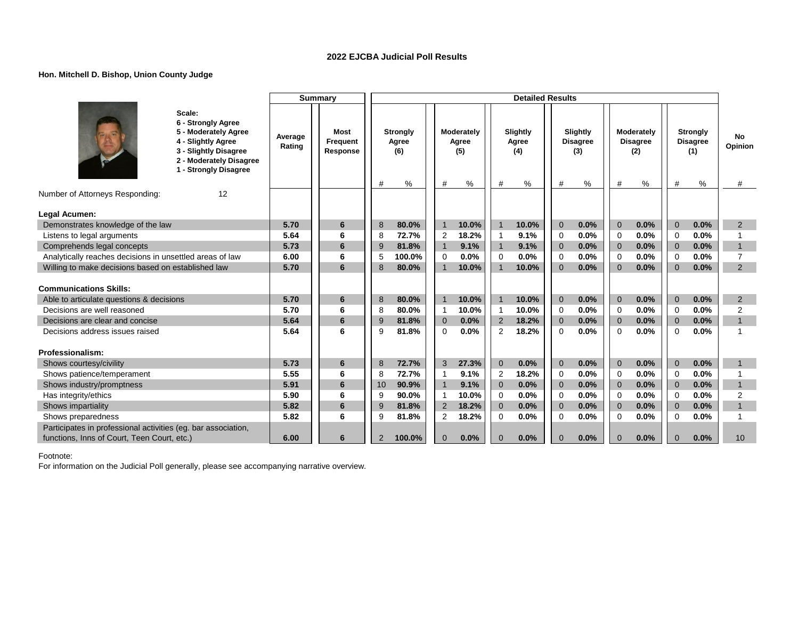### **Hon. Mitchell D. Bishop, Union County Judge**

|                                                                                                                                                         | Summary           |                                     |                |                                      |                |                            | <b>Detailed Results</b> |                          |                |                                    |                |                                      |                |                                                |                    |
|---------------------------------------------------------------------------------------------------------------------------------------------------------|-------------------|-------------------------------------|----------------|--------------------------------------|----------------|----------------------------|-------------------------|--------------------------|----------------|------------------------------------|----------------|--------------------------------------|----------------|------------------------------------------------|--------------------|
| Scale:<br>6 - Strongly Agree<br>5 - Moderately Agree<br>4 - Slightly Agree<br>3 - Slightly Disagree<br>2 - Moderately Disagree<br>1 - Strongly Disagree | Average<br>Rating | <b>Most</b><br>Frequent<br>Response | #              | <b>Strongly</b><br>Agree<br>(6)<br>% | #              | Moderately<br>Agree<br>(5) | #                       | Slightly<br>Agree<br>(4) |                | Slightly<br><b>Disagree</b><br>(3) | #              | Moderately<br><b>Disagree</b><br>(2) | #              | <b>Strongly</b><br><b>Disagree</b><br>(1)<br>% | No<br>Opinion<br># |
| Number of Attorneys Responding:<br>12                                                                                                                   |                   |                                     |                |                                      |                | %                          |                         | %                        | #              | %                                  |                | %                                    |                |                                                |                    |
|                                                                                                                                                         |                   |                                     |                |                                      |                |                            |                         |                          |                |                                    |                |                                      |                |                                                |                    |
| Legal Acumen:                                                                                                                                           |                   |                                     |                |                                      |                |                            |                         |                          |                |                                    |                |                                      |                |                                                |                    |
| Demonstrates knowledge of the law                                                                                                                       | 5.70              | 6                                   | 8              | 80.0%                                | $\overline{1}$ | 10.0%                      | $\overline{1}$          | 10.0%                    | $\Omega$       | 0.0%                               | $\Omega$       | 0.0%                                 | $\Omega$       | 0.0%                                           | 2                  |
| Listens to legal arguments                                                                                                                              | 5.64              | 6                                   | 8              | 72.7%                                | $\overline{2}$ | 18.2%                      | $\mathbf 1$             | 9.1%                     | 0              | 0.0%                               | $\Omega$       | 0.0%                                 | $\Omega$       | 0.0%                                           |                    |
| Comprehends legal concepts                                                                                                                              | 5.73              | 6                                   | 9              | 81.8%                                | $\overline{1}$ | 9.1%                       | $\mathbf{1}$            | 9.1%                     | $\Omega$       | 0.0%                               | $\Omega$       | 0.0%                                 | $\Omega$       | 0.0%                                           | $\mathbf{1}$       |
| Analytically reaches decisions in unsettled areas of law                                                                                                | 6.00              | 6                                   | 5              | 100.0%                               | 0              | 0.0%                       | 0                       | 0.0%                     | $\mathbf 0$    | 0.0%                               | $\Omega$       | 0.0%                                 | $\Omega$       | 0.0%                                           | $\overline{7}$     |
| Willing to make decisions based on established law                                                                                                      | 5.70              | 6                                   | 8              | 80.0%                                |                | 10.0%                      | $\mathbf{1}$            | 10.0%                    | $\Omega$       | 0.0%                               | $\Omega$       | 0.0%                                 | $\Omega$       | 0.0%                                           | 2                  |
| <b>Communications Skills:</b>                                                                                                                           |                   |                                     |                |                                      |                |                            |                         |                          |                |                                    |                |                                      |                |                                                |                    |
| Able to articulate questions & decisions                                                                                                                | 5.70              | 6                                   | 8              | 80.0%                                | $\overline{1}$ | 10.0%                      | $\overline{1}$          | 10.0%                    | $\overline{0}$ | 0.0%                               | $\overline{0}$ | 0.0%                                 | $\overline{0}$ | 0.0%                                           | $\overline{2}$     |
| Decisions are well reasoned                                                                                                                             | 5.70              | 6                                   | 8              | 80.0%                                | $\overline{1}$ | 10.0%                      | $\mathbf 1$             | 10.0%                    | $\Omega$       | 0.0%                               | $\Omega$       | 0.0%                                 | $\Omega$       | 0.0%                                           | $\overline{2}$     |
| Decisions are clear and concise                                                                                                                         | 5.64              | 6                                   | 9              | 81.8%                                | $\mathbf 0$    | 0.0%                       | 2                       | 18.2%                    | $\overline{0}$ | 0.0%                               | $\overline{0}$ | 0.0%                                 | $\overline{0}$ | 0.0%                                           | $\mathbf{1}$       |
| Decisions address issues raised                                                                                                                         | 5.64              | 6                                   | 9              | 81.8%                                | 0              | 0.0%                       | 2                       | 18.2%                    | $\Omega$       | 0.0%                               | $\Omega$       | 0.0%                                 | $\Omega$       | 0.0%                                           | 1                  |
| Professionalism:                                                                                                                                        |                   |                                     |                |                                      |                |                            |                         |                          |                |                                    |                |                                      |                |                                                |                    |
| Shows courtesy/civility                                                                                                                                 | 5.73              | 6                                   | 8              | 72.7%                                | 3              | 27.3%                      | $\mathbf{0}$            | 0.0%                     | $\overline{0}$ | 0.0%                               | $\Omega$       | 0.0%                                 | $\mathbf{0}$   | 0.0%                                           | $\mathbf{1}$       |
| Shows patience/temperament                                                                                                                              | 5.55              | 6                                   | 8              | 72.7%                                | $\overline{1}$ | 9.1%                       | $\overline{2}$          | 18.2%                    | $\mathbf 0$    | 0.0%                               | $\mathbf 0$    | 0.0%                                 | $\overline{0}$ | 0.0%                                           |                    |
| Shows industry/promptness                                                                                                                               | 5.91              | 6                                   | 10             | 90.9%                                | $\overline{1}$ | 9.1%                       | $\overline{0}$          | 0.0%                     | $\overline{0}$ | 0.0%                               | $\overline{0}$ | 0.0%                                 | $\overline{0}$ | 0.0%                                           | $\mathbf{1}$       |
| Has integrity/ethics                                                                                                                                    | 5.90              | 6                                   | g              | 90.0%                                | $\mathbf{1}$   | 10.0%                      | 0                       | 0.0%                     | $\mathbf 0$    | 0.0%                               | $\Omega$       | 0.0%                                 | $\Omega$       | 0.0%                                           | $\overline{2}$     |
| Shows impartiality                                                                                                                                      | 5.82              | 6                                   | 9              | 81.8%                                | 2              | 18.2%                      | $\mathbf{0}$            | 0.0%                     | $\overline{0}$ | 0.0%                               | $\overline{0}$ | 0.0%                                 | $\overline{0}$ | 0.0%                                           | $\overline{1}$     |
| Shows preparedness                                                                                                                                      | 5.82              | 6                                   | 9              | 81.8%                                | $\overline{2}$ | 18.2%                      | $\mathbf 0$             | 0.0%                     | $\mathbf 0$    | 0.0%                               | $\Omega$       | 0.0%                                 | $\mathbf 0$    | 0.0%                                           |                    |
| Participates in professional activities (eg. bar association,<br>functions, Inns of Court, Teen Court, etc.)                                            | 6.00              | 6                                   | $\overline{2}$ | 100.0%                               | $\mathbf{0}$   | 0.0%                       | $\mathbf{0}$            | 0.0%                     | $\overline{0}$ | 0.0%                               | $\Omega$       | 0.0%                                 | $\Omega$       | 0.0%                                           | 10                 |

Footnote: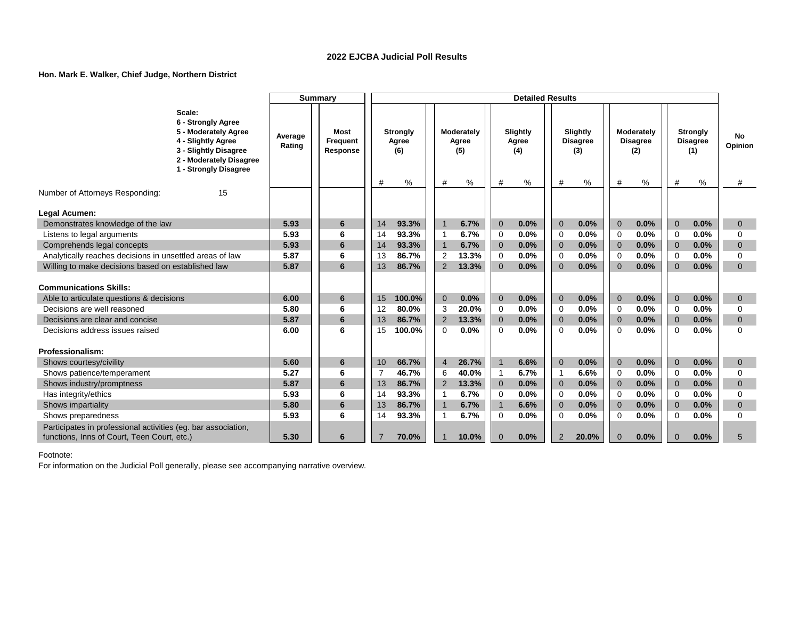### **Hon. Mark E. Walker, Chief Judge, Northern District**

|                                                                    |                                                                                                                                                         |                   | <b>Summary</b>               |          |                                 |                |                            |                            | <b>Detailed Results</b>  |                            |                                    |                            |                                      |                            |                                           |                          |
|--------------------------------------------------------------------|---------------------------------------------------------------------------------------------------------------------------------------------------------|-------------------|------------------------------|----------|---------------------------------|----------------|----------------------------|----------------------------|--------------------------|----------------------------|------------------------------------|----------------------------|--------------------------------------|----------------------------|-------------------------------------------|--------------------------|
|                                                                    | Scale:<br>6 - Strongly Agree<br>5 - Moderately Agree<br>4 - Slightly Agree<br>3 - Slightly Disagree<br>2 - Moderately Disagree<br>1 - Strongly Disagree | Average<br>Rating | Most<br>Frequent<br>Response |          | <b>Strongly</b><br>Agree<br>(6) |                | Moderately<br>Agree<br>(5) |                            | Slightly<br>Agree<br>(4) |                            | Slightly<br><b>Disagree</b><br>(3) |                            | Moderately<br><b>Disagree</b><br>(2) |                            | <b>Strongly</b><br><b>Disagree</b><br>(1) | No<br>Opinion            |
|                                                                    | 15                                                                                                                                                      |                   |                              | #        | $\%$                            | #              | ℅                          | #                          | %                        | #                          | %                                  | #                          | %                                    | #                          | %                                         | #                        |
| Number of Attorneys Responding:                                    |                                                                                                                                                         |                   |                              |          |                                 |                |                            |                            |                          |                            |                                    |                            |                                      |                            |                                           |                          |
| Legal Acumen:                                                      |                                                                                                                                                         |                   |                              |          |                                 |                |                            |                            |                          |                            |                                    |                            |                                      |                            |                                           |                          |
| Demonstrates knowledge of the law                                  |                                                                                                                                                         | 5.93              | 6                            | 14       | 93.3%                           | $\overline{1}$ | 6.7%                       | $\mathbf{0}$               | 0.0%                     | $\overline{0}$             | 0.0%                               | $\overline{0}$             | 0.0%                                 | $\overline{0}$             | 0.0%                                      | $\mathbf{0}$             |
| Listens to legal arguments                                         |                                                                                                                                                         | 5.93              | 6                            | 14       | 93.3%                           | -1             | 6.7%                       | $\mathbf 0$                | 0.0%                     | $\Omega$                   | 0.0%                               | $\Omega$                   | 0.0%                                 | $\Omega$                   | 0.0%                                      | 0                        |
| Comprehends legal concepts                                         |                                                                                                                                                         | 5.93              | 6                            | 14       | 93.3%                           | $\overline{1}$ | 6.7%                       | $\mathbf{0}$               | 0.0%                     | $\overline{0}$             | 0.0%                               | $\overline{0}$             | 0.0%                                 | $\overline{0}$             | 0.0%                                      | $\mathbf{0}$             |
| Analytically reaches decisions in unsettled areas of law           |                                                                                                                                                         | 5.87              | 6                            | 13       | 86.7%                           | 2              | 13.3%                      | $\mathbf 0$                | 0.0%                     | $\mathbf 0$                | 0.0%                               | 0                          | 0.0%                                 | 0                          | 0.0%                                      | $\mathbf 0$              |
| Willing to make decisions based on established law                 |                                                                                                                                                         | 5.87              | 6                            | 13       | 86.7%                           | 2              | 13.3%                      | $\Omega$                   | 0.0%                     | $\Omega$                   | 0.0%                               | $\Omega$                   | 0.0%                                 | $\Omega$                   | 0.0%                                      | $\Omega$                 |
|                                                                    |                                                                                                                                                         |                   |                              |          |                                 |                |                            |                            |                          |                            |                                    |                            |                                      |                            |                                           |                          |
| <b>Communications Skills:</b>                                      |                                                                                                                                                         |                   |                              |          |                                 |                |                            |                            |                          |                            |                                    |                            |                                      |                            |                                           |                          |
| Able to articulate questions & decisions                           |                                                                                                                                                         | 6.00              | 6                            | 15       | 100.0%                          | $\mathbf{0}$   | 0.0%                       | $\mathbf{0}$               | 0.0%                     | $\mathbf 0$                | 0.0%                               | $\overline{0}$             | 0.0%                                 | $\overline{0}$             | 0.0%                                      | $\mathbf{0}$             |
| Decisions are well reasoned                                        |                                                                                                                                                         | 5.80              | 6                            | 12       | 80.0%                           | 3              | 20.0%                      | 0                          | 0.0%                     | $\Omega$                   | 0.0%                               | $\Omega$                   | 0.0%                                 | $\Omega$                   | 0.0%                                      | $\Omega$                 |
| Decisions are clear and concise<br>Decisions address issues raised |                                                                                                                                                         | 5.87<br>6.00      | 6<br>6                       | 13<br>15 | 86.7%<br>100.0%                 | 2<br>$\Omega$  | 13.3%<br>0.0%              | $\overline{0}$<br>$\Omega$ | 0.0%<br>0.0%             | $\overline{0}$<br>$\Omega$ | 0.0%<br>0.0%                       | $\overline{0}$<br>$\Omega$ | 0.0%<br>0.0%                         | $\overline{0}$<br>$\Omega$ | 0.0%<br>0.0%                              | $\mathbf{0}$<br>$\Omega$ |
|                                                                    |                                                                                                                                                         |                   |                              |          |                                 |                |                            |                            |                          |                            |                                    |                            |                                      |                            |                                           |                          |
| Professionalism:                                                   |                                                                                                                                                         |                   |                              |          |                                 |                |                            |                            |                          |                            |                                    |                            |                                      |                            |                                           |                          |
| Shows courtesy/civility                                            |                                                                                                                                                         | 5.60              | 6                            | 10       | 66.7%                           | $\overline{4}$ | 26.7%                      | $\mathbf{1}$               | 6.6%                     | $\Omega$                   | 0.0%                               | $\overline{0}$             | 0.0%                                 | $\overline{0}$             | 0.0%                                      | $\mathbf{0}$             |
| Shows patience/temperament                                         |                                                                                                                                                         | 5.27              | 6                            | 7        | 46.7%                           | 6              | 40.0%                      | $\mathbf{1}$               | 6.7%                     | $\overline{1}$             | 6.6%                               | $\Omega$                   | 0.0%                                 | $\Omega$                   | 0.0%                                      | $\Omega$                 |
| Shows industry/promptness                                          |                                                                                                                                                         | 5.87              | 6                            | 13       | 86.7%                           | $\overline{2}$ | 13.3%                      | $\mathbf 0$                | 0.0%                     | $\Omega$                   | 0.0%                               | $\overline{0}$             | 0.0%                                 | $\overline{0}$             | 0.0%                                      | $\mathbf{0}$             |
| Has integrity/ethics                                               |                                                                                                                                                         | 5.93              | 6                            | 14       | 93.3%                           | $\overline{1}$ | 6.7%                       | $\mathbf 0$                | 0.0%                     | $\Omega$                   | 0.0%                               | $\Omega$                   | 0.0%                                 | $\Omega$                   | 0.0%                                      | $\Omega$                 |
| Shows impartiality                                                 |                                                                                                                                                         | 5.80              | 6                            | 13       | 86.7%                           | $\overline{1}$ | 6.7%                       | $\mathbf{1}$               | 6.6%                     | $\Omega$                   | 0.0%                               | $\overline{0}$             | 0.0%                                 | $\overline{0}$             | 0.0%                                      | $\mathbf{0}$             |
| Shows preparedness                                                 |                                                                                                                                                         | 5.93              | 6                            | 14       | 93.3%                           | $\mathbf 1$    | 6.7%                       | $\Omega$                   | 0.0%                     | $\Omega$                   | 0.0%                               | $\Omega$                   | 0.0%                                 | $\Omega$                   | 0.0%                                      | $\Omega$                 |
| Participates in professional activities (eg. bar association,      |                                                                                                                                                         |                   |                              |          |                                 |                |                            |                            |                          |                            |                                    |                            |                                      |                            |                                           |                          |
| functions, Inns of Court, Teen Court, etc.)                        |                                                                                                                                                         | 5.30              | 6                            |          | 70.0%                           |                | 10.0%                      | $\Omega$                   | 0.0%                     | $\overline{2}$             | 20.0%                              | $\Omega$                   | 0.0%                                 | $\Omega$                   | 0.0%                                      | 5                        |

Footnote: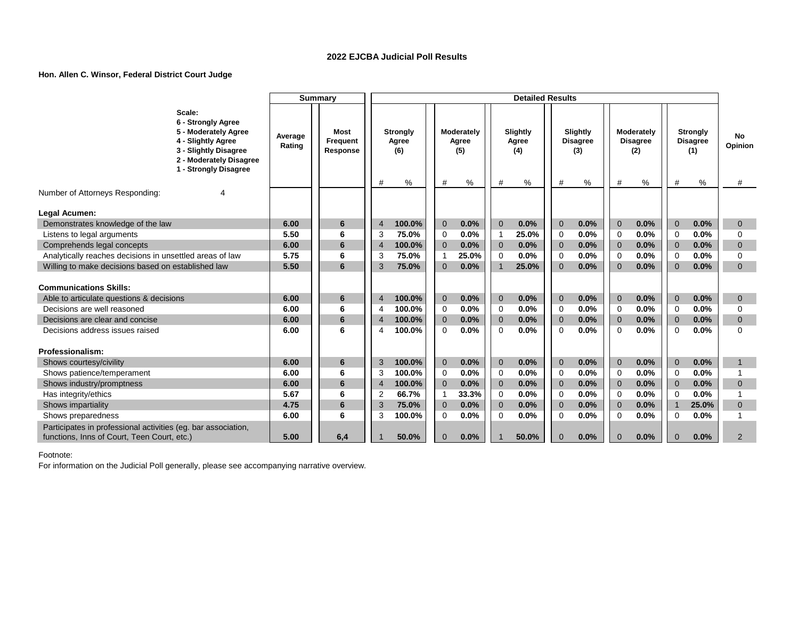#### **Hon. Allen C. Winsor, Federal District Court Judge**

|                                                                                                              |                                                                                                                                                         |                   | <b>Summary</b>               |                     |                                 |                             |                            |                              | <b>Detailed Results</b>  |                            |                                    |                            |                                      |                            |                                           |                     |
|--------------------------------------------------------------------------------------------------------------|---------------------------------------------------------------------------------------------------------------------------------------------------------|-------------------|------------------------------|---------------------|---------------------------------|-----------------------------|----------------------------|------------------------------|--------------------------|----------------------------|------------------------------------|----------------------------|--------------------------------------|----------------------------|-------------------------------------------|---------------------|
|                                                                                                              | Scale:<br>6 - Strongly Agree<br>5 - Moderately Agree<br>4 - Slightly Agree<br>3 - Slightly Disagree<br>2 - Moderately Disagree<br>1 - Strongly Disagree | Average<br>Rating | Most<br>Frequent<br>Response |                     | <b>Strongly</b><br>Agree<br>(6) |                             | Moderately<br>Agree<br>(5) |                              | Slightly<br>Agree<br>(4) |                            | Slightly<br><b>Disagree</b><br>(3) |                            | Moderately<br><b>Disagree</b><br>(2) |                            | <b>Strongly</b><br><b>Disagree</b><br>(1) | No<br>Opinion       |
| Number of Attorneys Responding:                                                                              |                                                                                                                                                         |                   |                              | #                   | %                               | #                           | ℅                          | #                            | %                        | #                          | %                                  | #                          | %                                    | #                          | $\%$                                      | #                   |
|                                                                                                              |                                                                                                                                                         |                   |                              |                     |                                 |                             |                            |                              |                          |                            |                                    |                            |                                      |                            |                                           |                     |
| Legal Acumen:                                                                                                |                                                                                                                                                         |                   |                              |                     |                                 |                             |                            |                              |                          |                            |                                    |                            |                                      |                            |                                           |                     |
| Demonstrates knowledge of the law                                                                            |                                                                                                                                                         | 6.00<br>5.50      | 6<br>6                       | $\overline{4}$<br>3 | 100.0%<br>75.0%                 | $\mathbf{0}$                | 0.0%<br>0.0%               | $\mathbf{0}$<br>$\mathbf{1}$ | 0.0%<br>25.0%            | $\overline{0}$<br>$\Omega$ | 0.0%<br>0.0%                       | $\overline{0}$<br>$\Omega$ | 0.0%<br>0.0%                         | $\overline{0}$<br>$\Omega$ | 0.0%<br>0.0%                              | $\overline{0}$      |
| Listens to legal arguments<br>Comprehends legal concepts                                                     |                                                                                                                                                         | 6.00              | 6                            | $\overline{4}$      | 100.0%                          | $\mathbf 0$<br>$\mathbf{0}$ | 0.0%                       | $\mathbf{0}$                 | 0.0%                     | $\overline{0}$             | 0.0%                               | $\overline{0}$             | 0.0%                                 | $\overline{0}$             | 0.0%                                      | 0<br>$\mathbf{0}$   |
| Analytically reaches decisions in unsettled areas of law                                                     |                                                                                                                                                         | 5.75              | 6                            | 3                   | 75.0%                           | -1                          | 25.0%                      | 0                            | 0.0%                     | $\Omega$                   | 0.0%                               | $\Omega$                   | 0.0%                                 | $\Omega$                   | 0.0%                                      | $\Omega$            |
| Willing to make decisions based on established law                                                           |                                                                                                                                                         | 5.50              | 6                            | 3                   | 75.0%                           | $\Omega$                    | 0.0%                       | $\mathbf{1}$                 | 25.0%                    | $\Omega$                   | 0.0%                               | $\Omega$                   | 0.0%                                 | $\Omega$                   | 0.0%                                      | $\Omega$            |
|                                                                                                              |                                                                                                                                                         |                   |                              |                     |                                 |                             |                            |                              |                          |                            |                                    |                            |                                      |                            |                                           |                     |
| <b>Communications Skills:</b>                                                                                |                                                                                                                                                         |                   |                              |                     |                                 |                             |                            |                              |                          |                            |                                    |                            |                                      |                            |                                           |                     |
| Able to articulate questions & decisions                                                                     |                                                                                                                                                         | 6.00              | 6                            | $\overline{4}$      | 100.0%                          | $\mathbf{0}$                | 0.0%                       | $\overline{0}$               | 0.0%                     | $\Omega$                   | 0.0%                               | $\Omega$                   | 0.0%                                 | $\Omega$                   | 0.0%                                      | $\mathbf{0}$        |
| Decisions are well reasoned                                                                                  |                                                                                                                                                         | 6.00              | 6                            |                     | 100.0%                          | 0                           | 0.0%                       | $\Omega$                     | 0.0%                     | $\Omega$                   | 0.0%                               | $\Omega$                   | 0.0%                                 | $\Omega$                   | 0.0%                                      | $\Omega$            |
| Decisions are clear and concise                                                                              |                                                                                                                                                         | 6.00              | 6                            | $\overline{4}$      | 100.0%                          | $\mathbf{0}$                | 0.0%                       | $\overline{0}$               | 0.0%                     | $\overline{0}$             | 0.0%                               | $\overline{0}$             | 0.0%                                 | $\overline{0}$             | 0.0%                                      | $\overline{0}$      |
| Decisions address issues raised                                                                              |                                                                                                                                                         | 6.00              | 6                            | 4                   | 100.0%                          | $\Omega$                    | 0.0%                       | $\Omega$                     | 0.0%                     | $\Omega$                   | 0.0%                               | $\Omega$                   | 0.0%                                 | $\Omega$                   | 0.0%                                      | $\Omega$            |
|                                                                                                              |                                                                                                                                                         |                   |                              |                     |                                 |                             |                            |                              |                          |                            |                                    |                            |                                      |                            |                                           |                     |
| Professionalism:                                                                                             |                                                                                                                                                         |                   |                              |                     |                                 |                             |                            |                              |                          |                            |                                    |                            |                                      |                            |                                           |                     |
| Shows courtesy/civility                                                                                      |                                                                                                                                                         | 6.00<br>6.00      | 6<br>6                       | 3<br>3              | 100.0%<br>100.0%                | $\mathbf{0}$                | 0.0%<br>0.0%               | $\mathbf{0}$<br>$\Omega$     | 0.0%<br>0.0%             | $\Omega$<br>$\Omega$       | 0.0%<br>0.0%                       | $\Omega$                   | 0.0%<br>0.0%                         | $\Omega$                   | 0.0%<br>0.0%                              | 1<br>1              |
| Shows patience/temperament                                                                                   |                                                                                                                                                         |                   | 6                            |                     |                                 | $\mathbf 0$                 |                            |                              |                          |                            |                                    | $\Omega$                   |                                      | $\Omega$                   |                                           |                     |
| Shows industry/promptness                                                                                    |                                                                                                                                                         | 6.00<br>5.67      | 6                            |                     | 100.0%                          | $\overline{0}$              | 0.0%                       | $\overline{0}$               | 0.0%<br>0.0%             | $\Omega$                   | 0.0%<br>0.0%                       | $\Omega$                   | 0.0%<br>0.0%                         | $\overline{0}$             | 0.0%                                      | $\overline{0}$<br>1 |
| Has integrity/ethics                                                                                         |                                                                                                                                                         |                   | 6                            | $\overline{2}$      | 66.7%                           | $\overline{1}$              | 33.3%<br>0.0%              | $\mathbf 0$                  |                          | $\Omega$<br>$\Omega$       |                                    | $\Omega$                   | 0.0%                                 | $\Omega$<br>$\overline{1}$ | 0.0%<br>25.0%                             |                     |
| Shows impartiality<br>Shows preparedness                                                                     |                                                                                                                                                         | 4.75<br>6.00      | 6                            | 3<br>3              | 75.0%<br>100.0%                 | $\mathbf 0$<br>$\mathbf 0$  | 0.0%                       | $\mathbf 0$<br>$\Omega$      | 0.0%<br>0.0%             | $\Omega$                   | 0.0%<br>0.0%                       | $\overline{0}$<br>$\Omega$ | 0.0%                                 | $\Omega$                   | $0.0\%$                                   | $\overline{0}$<br>1 |
|                                                                                                              |                                                                                                                                                         |                   |                              |                     |                                 |                             |                            |                              |                          |                            |                                    |                            |                                      |                            |                                           |                     |
| Participates in professional activities (eg. bar association,<br>functions, Inns of Court, Teen Court, etc.) |                                                                                                                                                         | 5.00              | 6,4                          |                     | 50.0%                           | $\overline{0}$              | 0.0%                       |                              | 50.0%                    | $\Omega$                   | 0.0%                               | $\Omega$                   | 0.0%                                 | $\Omega$                   | 0.0%                                      | 2                   |
|                                                                                                              |                                                                                                                                                         |                   |                              |                     |                                 |                             |                            |                              |                          |                            |                                    |                            |                                      |                            |                                           |                     |

Footnote: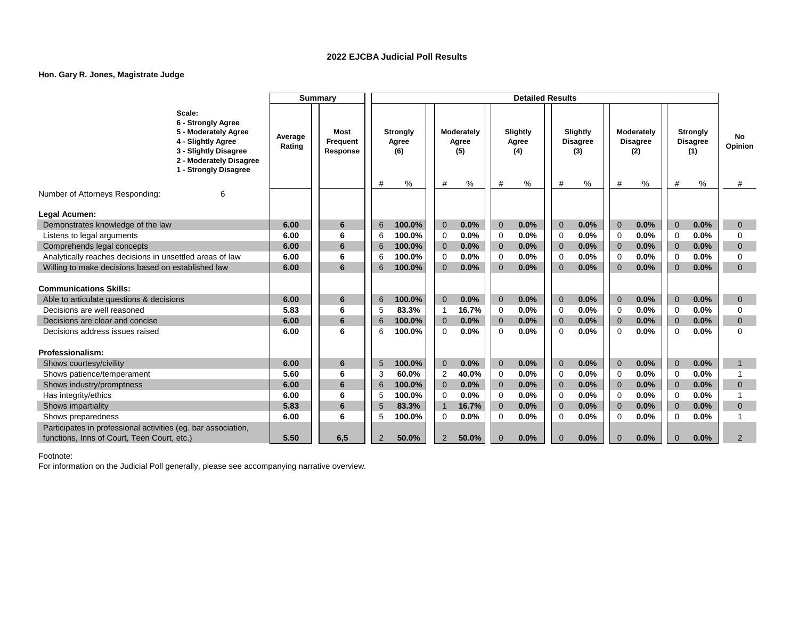### **Hon. Gary R. Jones, Magistrate Judge**

| Scale:<br>6 - Strongly Agree<br>5 - Moderately Agree<br>Moderately<br>Slightly<br>Moderately<br><b>Most</b><br><b>Strongly</b><br>Slightly<br><b>Strongly</b><br><b>No</b><br>Average<br>4 - Slightly Agree<br>Agree<br><b>Disagree</b><br><b>Disagree</b><br><b>Disagree</b><br>Frequent<br>Agree<br>Agree<br>Opinion<br>Rating<br>3 - Slightly Disagree<br>Response<br>(6)<br>(5)<br>(4)<br>(3)<br>(2)<br>(1)<br>2 - Moderately Disagree<br>1 - Strongly Disagree<br>%<br>℅<br>%<br>$\%$<br>℅<br>#<br>#<br>%<br>#<br>#<br>#<br>#<br>#<br>Number of Attorneys Responding:<br>6<br>Legal Acumen:<br>6.00<br>100.0%<br>$\mathbf{0}$<br>0.0%<br>$\mathbf{0}$<br>0.0%<br>$\Omega$<br>0.0%<br>0.0%<br>0.0%<br>Demonstrates knowledge of the law<br>6<br>$\overline{0}$<br>$\overline{0}$<br>6<br>$\overline{0}$<br>0.0%<br>100.0%<br>0.0%<br>0.0%<br>0.0%<br>0.0%<br>Listens to legal arguments<br>6.00<br>6<br>0<br>0<br>$\mathbf 0$<br>$\Omega$<br>$\mathbf 0$<br>$\mathbf 0$<br>6<br>0.0%<br>0.0%<br>0.0%<br>0.0%<br>Comprehends legal concepts<br>6.00<br>6<br>100.0%<br>$\mathbf{0}$<br>0.0%<br>$\mathbf{0}$<br>$\overline{0}$<br>$\overline{0}$<br>$\overline{0}$<br>$\mathbf{0}$<br>6<br>Analytically reaches decisions in unsettled areas of law<br>6.00<br>0<br>0.0%<br>0.0%<br>0.0%<br>0.0%<br>0.0%<br>$\mathbf 0$<br>6<br>100.0%<br>0<br>0<br>$\mathbf 0$<br>$\mathbf 0$<br>6<br>Willing to make decisions based on established law<br>0.0%<br>0.0%<br>0.0%<br>0.0%<br>0.0%<br>6.00<br>6<br>100.0%<br>$\Omega$<br>$\Omega$<br>$\Omega$<br>$\Omega$<br>$\Omega$<br>$\Omega$<br>6 |
|----------------------------------------------------------------------------------------------------------------------------------------------------------------------------------------------------------------------------------------------------------------------------------------------------------------------------------------------------------------------------------------------------------------------------------------------------------------------------------------------------------------------------------------------------------------------------------------------------------------------------------------------------------------------------------------------------------------------------------------------------------------------------------------------------------------------------------------------------------------------------------------------------------------------------------------------------------------------------------------------------------------------------------------------------------------------------------------------------------------------------------------------------------------------------------------------------------------------------------------------------------------------------------------------------------------------------------------------------------------------------------------------------------------------------------------------------------------------------------------------------------------------------------------------------------------------------------------|
|                                                                                                                                                                                                                                                                                                                                                                                                                                                                                                                                                                                                                                                                                                                                                                                                                                                                                                                                                                                                                                                                                                                                                                                                                                                                                                                                                                                                                                                                                                                                                                                        |
|                                                                                                                                                                                                                                                                                                                                                                                                                                                                                                                                                                                                                                                                                                                                                                                                                                                                                                                                                                                                                                                                                                                                                                                                                                                                                                                                                                                                                                                                                                                                                                                        |
|                                                                                                                                                                                                                                                                                                                                                                                                                                                                                                                                                                                                                                                                                                                                                                                                                                                                                                                                                                                                                                                                                                                                                                                                                                                                                                                                                                                                                                                                                                                                                                                        |
|                                                                                                                                                                                                                                                                                                                                                                                                                                                                                                                                                                                                                                                                                                                                                                                                                                                                                                                                                                                                                                                                                                                                                                                                                                                                                                                                                                                                                                                                                                                                                                                        |
|                                                                                                                                                                                                                                                                                                                                                                                                                                                                                                                                                                                                                                                                                                                                                                                                                                                                                                                                                                                                                                                                                                                                                                                                                                                                                                                                                                                                                                                                                                                                                                                        |
|                                                                                                                                                                                                                                                                                                                                                                                                                                                                                                                                                                                                                                                                                                                                                                                                                                                                                                                                                                                                                                                                                                                                                                                                                                                                                                                                                                                                                                                                                                                                                                                        |
|                                                                                                                                                                                                                                                                                                                                                                                                                                                                                                                                                                                                                                                                                                                                                                                                                                                                                                                                                                                                                                                                                                                                                                                                                                                                                                                                                                                                                                                                                                                                                                                        |
|                                                                                                                                                                                                                                                                                                                                                                                                                                                                                                                                                                                                                                                                                                                                                                                                                                                                                                                                                                                                                                                                                                                                                                                                                                                                                                                                                                                                                                                                                                                                                                                        |
|                                                                                                                                                                                                                                                                                                                                                                                                                                                                                                                                                                                                                                                                                                                                                                                                                                                                                                                                                                                                                                                                                                                                                                                                                                                                                                                                                                                                                                                                                                                                                                                        |
| <b>Communications Skills:</b>                                                                                                                                                                                                                                                                                                                                                                                                                                                                                                                                                                                                                                                                                                                                                                                                                                                                                                                                                                                                                                                                                                                                                                                                                                                                                                                                                                                                                                                                                                                                                          |
| $\mathbf{0}$<br>$\mathbf{0}$<br>$\overline{0}$<br>6.00<br>6<br>100.0%<br>0.0%<br>0.0%<br>0.0%<br>$\overline{0}$<br>0.0%<br>$\overline{0}$<br>0.0%<br>Able to articulate questions & decisions<br>6<br>$\mathbf{0}$                                                                                                                                                                                                                                                                                                                                                                                                                                                                                                                                                                                                                                                                                                                                                                                                                                                                                                                                                                                                                                                                                                                                                                                                                                                                                                                                                                     |
| 0.0%<br>83.3%<br>16.7%<br>0.0%<br>0.0%<br>0.0%<br>Decisions are well reasoned<br>5.83<br>6<br>0<br>$\overline{1}$<br>$\Omega$<br>$\Omega$<br>$\Omega$<br>$\Omega$<br>5                                                                                                                                                                                                                                                                                                                                                                                                                                                                                                                                                                                                                                                                                                                                                                                                                                                                                                                                                                                                                                                                                                                                                                                                                                                                                                                                                                                                                 |
| Decisions are clear and concise<br>0.0%<br>0.0%<br>0.0%<br>0.0%<br>6.00<br>6<br>100.0%<br>$\mathbf 0$<br>0.0%<br>$\mathbf 0$<br>$\overline{0}$<br>$\overline{0}$<br>$\mathbf 0$<br>$\mathbf{0}$<br>6                                                                                                                                                                                                                                                                                                                                                                                                                                                                                                                                                                                                                                                                                                                                                                                                                                                                                                                                                                                                                                                                                                                                                                                                                                                                                                                                                                                   |
| 0.0%<br>0.0%<br>0.0%<br>0.0%<br>0.0%<br>$\Omega$<br>Decisions address issues raised<br>6.00<br>6<br>100.0%<br>$\Omega$<br>$\Omega$<br>$\Omega$<br>$\Omega$<br>$\Omega$<br>6                                                                                                                                                                                                                                                                                                                                                                                                                                                                                                                                                                                                                                                                                                                                                                                                                                                                                                                                                                                                                                                                                                                                                                                                                                                                                                                                                                                                            |
| Professionalism:                                                                                                                                                                                                                                                                                                                                                                                                                                                                                                                                                                                                                                                                                                                                                                                                                                                                                                                                                                                                                                                                                                                                                                                                                                                                                                                                                                                                                                                                                                                                                                       |
| $\mathbf{0}$<br>0.0%<br>$\mathbf{0}$<br>$\mathbf{0}$<br>0.0%<br>0.0%<br>$\mathbf 0$<br>0.0%<br>Shows courtesy/civility<br>6.00<br>6<br>5<br>100.0%<br>0.0%<br>$\overline{0}$<br>$\mathbf 1$                                                                                                                                                                                                                                                                                                                                                                                                                                                                                                                                                                                                                                                                                                                                                                                                                                                                                                                                                                                                                                                                                                                                                                                                                                                                                                                                                                                            |
| 40.0%<br>0.0%<br>0.0%<br>0.0%<br>0.0%<br>5.60<br>6<br>60.0%<br>2<br>$\mathbf 0$<br>Shows patience/temperament<br>3<br>$\mathbf 0$<br>$\mathbf 0$<br>$\mathbf 0$                                                                                                                                                                                                                                                                                                                                                                                                                                                                                                                                                                                                                                                                                                                                                                                                                                                                                                                                                                                                                                                                                                                                                                                                                                                                                                                                                                                                                        |
| 0.0%<br>0.0%<br>0.0%<br>0.0%<br>0.0%<br>Shows industry/promptness<br>6.00<br>6<br>100.0%<br>$\mathbf 0$<br>$\overline{0}$<br>$\overline{0}$<br>$\overline{0}$<br>$\mathbf{0}$<br>6<br>$\mathbf 0$                                                                                                                                                                                                                                                                                                                                                                                                                                                                                                                                                                                                                                                                                                                                                                                                                                                                                                                                                                                                                                                                                                                                                                                                                                                                                                                                                                                      |
| 0.0%<br>0.0%<br>0.0%<br>0.0%<br>0.0%<br>100.0%<br>6.00<br>6<br>0<br>0<br>$\Omega$<br>$\Omega$<br>$\mathbf 0$<br>Has integrity/ethics<br>5                                                                                                                                                                                                                                                                                                                                                                                                                                                                                                                                                                                                                                                                                                                                                                                                                                                                                                                                                                                                                                                                                                                                                                                                                                                                                                                                                                                                                                              |
| 0.0%<br>5.83<br>6<br>83.3%<br>$\overline{1}$<br>16.7%<br>$\mathbf{0}$<br>0.0%<br>$\mathbf 0$<br>0.0%<br>$\overline{0}$<br>$\mathbf 0$<br>0.0%<br>$\overline{0}$<br>Shows impartiality<br>5                                                                                                                                                                                                                                                                                                                                                                                                                                                                                                                                                                                                                                                                                                                                                                                                                                                                                                                                                                                                                                                                                                                                                                                                                                                                                                                                                                                             |
| 0.0%<br>6<br>100.0%<br>$\mathbf 0$<br>0.0%<br>0<br>0.0%<br>$\Omega$<br>0.0%<br>0.0%<br>Shows preparedness<br>6.00<br>$\Omega$<br>$\Omega$<br>5                                                                                                                                                                                                                                                                                                                                                                                                                                                                                                                                                                                                                                                                                                                                                                                                                                                                                                                                                                                                                                                                                                                                                                                                                                                                                                                                                                                                                                         |
| Participates in professional activities (eg. bar association,                                                                                                                                                                                                                                                                                                                                                                                                                                                                                                                                                                                                                                                                                                                                                                                                                                                                                                                                                                                                                                                                                                                                                                                                                                                                                                                                                                                                                                                                                                                          |
| 6,5<br>functions, Inns of Court, Teen Court, etc.)<br>5.50<br>2<br>0.0%<br>0.0%<br>2<br>50.0%<br>50.0%<br>$\Omega$<br>0.0%<br>$\Omega$<br>0.0%<br>2<br>$\Omega$<br>$\Omega$                                                                                                                                                                                                                                                                                                                                                                                                                                                                                                                                                                                                                                                                                                                                                                                                                                                                                                                                                                                                                                                                                                                                                                                                                                                                                                                                                                                                            |

Footnote: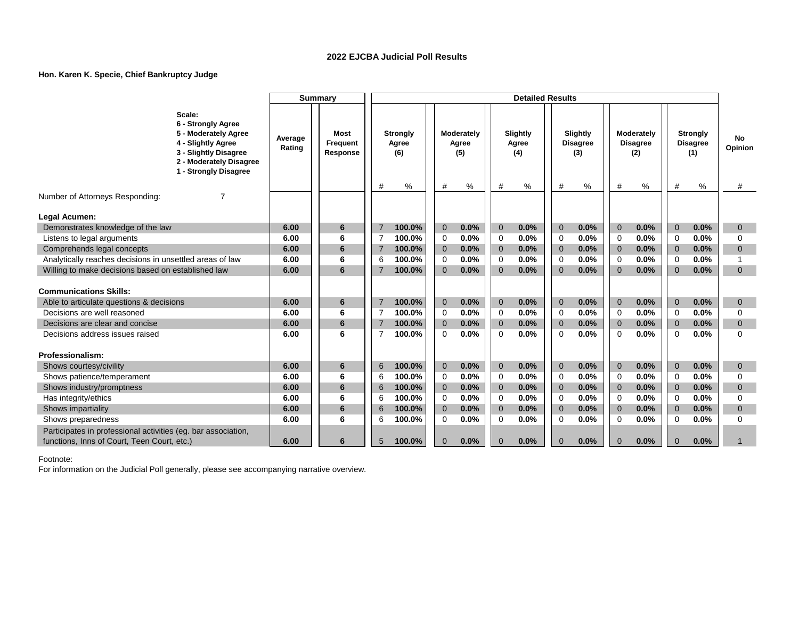### **Hon. Karen K. Specie, Chief Bankruptcy Judge**

|                                                                                                              |                                                                                                                                                         |                   | <b>Summary</b><br><b>Detailed Results</b> |                |                                 |                |                            |              |                          |              |                                    |                |                                             |                |                                           |               |
|--------------------------------------------------------------------------------------------------------------|---------------------------------------------------------------------------------------------------------------------------------------------------------|-------------------|-------------------------------------------|----------------|---------------------------------|----------------|----------------------------|--------------|--------------------------|--------------|------------------------------------|----------------|---------------------------------------------|----------------|-------------------------------------------|---------------|
|                                                                                                              | Scale:<br>6 - Strongly Agree<br>5 - Moderately Agree<br>4 - Slightly Agree<br>3 - Slightly Disagree<br>2 - Moderately Disagree<br>1 - Strongly Disagree | Average<br>Rating | <b>Most</b><br>Frequent<br>Response       |                | <b>Strongly</b><br>Agree<br>(6) |                | Moderately<br>Agree<br>(5) |              | Slightly<br>Agree<br>(4) |              | Slightly<br><b>Disagree</b><br>(3) |                | <b>Moderately</b><br><b>Disagree</b><br>(2) |                | <b>Strongly</b><br><b>Disagree</b><br>(1) | No<br>Opinion |
| Number of Attorneys Responding:                                                                              | 7                                                                                                                                                       |                   |                                           | #              | %                               | #              | %                          | #            | $\%$                     | #            | %                                  | #              | %                                           | #              | %                                         | #             |
|                                                                                                              |                                                                                                                                                         |                   |                                           |                |                                 |                |                            |              |                          |              |                                    |                |                                             |                |                                           |               |
| Legal Acumen:                                                                                                |                                                                                                                                                         |                   |                                           |                |                                 |                |                            |              |                          |              |                                    |                |                                             |                |                                           |               |
| Demonstrates knowledge of the law                                                                            |                                                                                                                                                         | 6.00              | 6                                         | $\overline{7}$ | 100.0%                          | $\mathbf{0}$   | 0.0%                       | $\mathbf 0$  | 0.0%                     | $\mathbf{0}$ | 0.0%                               | $\overline{0}$ | 0.0%                                        | $\overline{0}$ | 0.0%                                      | $\mathbf{0}$  |
| Listens to legal arguments                                                                                   |                                                                                                                                                         | 6.00              | 6                                         |                | 100.0%                          | $\mathbf 0$    | 0.0%                       | $\mathbf 0$  | 0.0%                     | $\Omega$     | 0.0%                               | $\Omega$       | 0.0%                                        | $\Omega$       | 0.0%                                      | $\Omega$      |
| Comprehends legal concepts                                                                                   |                                                                                                                                                         | 6.00              | 6                                         |                | 100.0%                          | $\mathbf 0$    | 0.0%                       | $\mathbf{0}$ | 0.0%                     | $\Omega$     | 0.0%                               | $\Omega$       | 0.0%                                        | $\Omega$       | 0.0%                                      | $\mathbf{0}$  |
| Analytically reaches decisions in unsettled areas of law                                                     |                                                                                                                                                         | 6.00              | 6                                         | 6              | 100.0%                          | $\mathbf 0$    | 0.0%                       | 0            | 0.0%                     | $\Omega$     | 0.0%                               | $\Omega$       | 0.0%                                        | $\Omega$       | 0.0%                                      | 1             |
| Willing to make decisions based on established law                                                           |                                                                                                                                                         | 6.00              | 6                                         | $\overline{7}$ | 100.0%                          | $\mathbf{0}$   | 0.0%                       | $\Omega$     | 0.0%                     | $\Omega$     | 0.0%                               | $\Omega$       | 0.0%                                        | $\Omega$       | 0.0%                                      | $\Omega$      |
| <b>Communications Skills:</b>                                                                                |                                                                                                                                                         |                   |                                           |                |                                 |                |                            |              |                          |              |                                    |                |                                             |                |                                           |               |
| Able to articulate questions & decisions                                                                     |                                                                                                                                                         | 6.00              | 6                                         |                | 100.0%                          | $\mathbf{0}$   | 0.0%                       | $\mathbf{0}$ | 0.0%                     | $\Omega$     | 0.0%                               | $\overline{0}$ | 0.0%                                        | $\overline{0}$ | 0.0%                                      | $\mathbf{0}$  |
| Decisions are well reasoned                                                                                  |                                                                                                                                                         | 6.00              | 6                                         | 7              | 100.0%                          | $\mathbf 0$    | 0.0%                       | $\mathbf 0$  | 0.0%                     | $\Omega$     | 0.0%                               | $\Omega$       | 0.0%                                        | $\Omega$       | 0.0%                                      | $\Omega$      |
| Decisions are clear and concise                                                                              |                                                                                                                                                         | 6.00              | 6                                         | $\overline{7}$ | 100.0%                          | $\overline{0}$ | 0.0%                       | $\mathbf{0}$ | 0.0%                     | $\Omega$     | 0.0%                               | $\Omega$       | 0.0%                                        | $\Omega$       | 0.0%                                      | $\Omega$      |
| Decisions address issues raised                                                                              |                                                                                                                                                         | 6.00              | 6                                         | 7              | 100.0%                          | 0              | 0.0%                       | 0            | 0.0%                     | $\Omega$     | 0.0%                               | $\mathbf 0$    | 0.0%                                        | $\Omega$       | 0.0%                                      | $\Omega$      |
| Professionalism:                                                                                             |                                                                                                                                                         |                   |                                           |                |                                 |                |                            |              |                          |              |                                    |                |                                             |                |                                           |               |
| Shows courtesy/civility                                                                                      |                                                                                                                                                         | 6.00              | 6                                         | 6              | 100.0%                          | $\mathbf{0}$   | 0.0%                       | $\mathbf{0}$ | 0.0%                     | $\Omega$     | 0.0%                               | $\Omega$       | 0.0%                                        | $\Omega$       | 0.0%                                      | $\mathbf{0}$  |
| Shows patience/temperament                                                                                   |                                                                                                                                                         | 6.00              | 6                                         | 6              | 100.0%                          | 0              | 0.0%                       | 0            | 0.0%                     | $\mathbf 0$  | 0.0%                               | $\mathbf 0$    | 0.0%                                        | $\mathbf 0$    | 0.0%                                      | 0             |
| Shows industry/promptness                                                                                    |                                                                                                                                                         | 6.00              | 6                                         | 6              | 100.0%                          | $\mathbf{0}$   | 0.0%                       | $\mathbf{0}$ | 0.0%                     | $\Omega$     | 0.0%                               | $\Omega$       | 0.0%                                        | $\Omega$       | 0.0%                                      | $\Omega$      |
| Has integrity/ethics                                                                                         |                                                                                                                                                         | 6.00              | 6                                         | 6              | 100.0%                          | 0              | 0.0%                       | $\Omega$     | 0.0%                     | $\Omega$     | 0.0%                               | $\Omega$       | 0.0%                                        | $\Omega$       | 0.0%                                      | $\Omega$      |
| Shows impartiality                                                                                           |                                                                                                                                                         | 6.00              | 6                                         | 6              | 100.0%                          | $\mathbf{0}$   | 0.0%                       | $\mathbf 0$  | 0.0%                     | $\Omega$     | 0.0%                               | $\overline{0}$ | 0.0%                                        | $\overline{0}$ | 0.0%                                      | $\mathbf{0}$  |
| Shows preparedness                                                                                           |                                                                                                                                                         | 6.00              | 6                                         | 6              | 100.0%                          | 0              | 0.0%                       | 0            | 0.0%                     | $\mathbf 0$  | 0.0%                               | $\mathbf 0$    | 0.0%                                        | $\mathbf 0$    | 0.0%                                      | 0             |
| Participates in professional activities (eg. bar association,<br>functions, Inns of Court, Teen Court, etc.) |                                                                                                                                                         | 6.00              | 6                                         | 5              | 100.0%                          | $\mathbf{0}$   | 0.0%                       | $\mathbf{0}$ | 0.0%                     | $\Omega$     | 0.0%                               | $\Omega$       | 0.0%                                        | $\Omega$       | 0.0%                                      |               |

Footnote: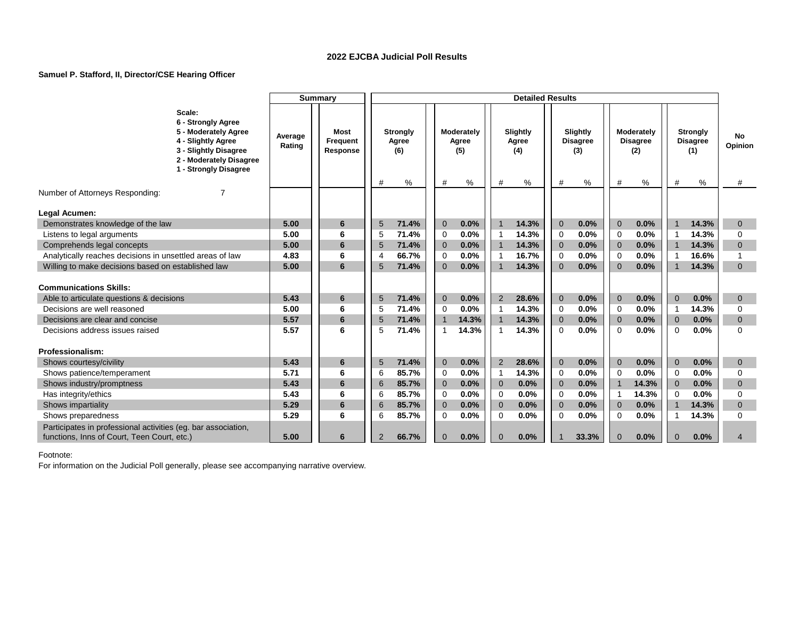### **Samuel P. Stafford, II, Director/CSE Hearing Officer**

|                                                               |                                                                                                                                                         |                   | <b>Summary</b>               |                |                                 |                |                            |                | <b>Detailed Results</b>  |                |                                    |                         |                                      |                |                                           |                |
|---------------------------------------------------------------|---------------------------------------------------------------------------------------------------------------------------------------------------------|-------------------|------------------------------|----------------|---------------------------------|----------------|----------------------------|----------------|--------------------------|----------------|------------------------------------|-------------------------|--------------------------------------|----------------|-------------------------------------------|----------------|
|                                                               | Scale:<br>6 - Strongly Agree<br>5 - Moderately Agree<br>4 - Slightly Agree<br>3 - Slightly Disagree<br>2 - Moderately Disagree<br>1 - Strongly Disagree | Average<br>Rating | Most<br>Frequent<br>Response |                | <b>Strongly</b><br>Agree<br>(6) |                | Moderately<br>Agree<br>(5) |                | Slightly<br>Agree<br>(4) |                | Slightly<br><b>Disagree</b><br>(3) |                         | Moderately<br><b>Disagree</b><br>(2) |                | <b>Strongly</b><br><b>Disagree</b><br>(1) | No<br>Opinion  |
| Number of Attorneys Responding:                               |                                                                                                                                                         |                   |                              | #              | %                               | #              | %                          | #              | %                        | #              | %                                  | #                       | %                                    | #              | %                                         | #              |
|                                                               |                                                                                                                                                         |                   |                              |                |                                 |                |                            |                |                          |                |                                    |                         |                                      |                |                                           |                |
| Legal Acumen:                                                 |                                                                                                                                                         |                   |                              |                |                                 |                |                            |                |                          |                |                                    |                         |                                      |                |                                           |                |
| Demonstrates knowledge of the law                             |                                                                                                                                                         | 5.00              | 6                            | 5              | 71.4%                           | $\overline{0}$ | 0.0%                       |                | 14.3%                    | $\overline{0}$ | 0.0%                               | $\overline{0}$          | 0.0%                                 | $\overline{1}$ | 14.3%                                     | $\overline{0}$ |
| Listens to legal arguments                                    |                                                                                                                                                         | 5.00              | 6                            | 5              | 71.4%                           | $\mathbf 0$    | 0.0%                       | $\mathbf{1}$   | 14.3%                    | $\Omega$       | 0.0%                               | $\Omega$                | 0.0%                                 | $\overline{1}$ | 14.3%                                     | $\Omega$       |
| Comprehends legal concepts                                    |                                                                                                                                                         | 5.00              | 6                            | 5              | 71.4%                           | $\mathbf{0}$   | 0.0%                       | $\overline{1}$ | 14.3%                    | $\Omega$       | 0.0%                               | $\overline{0}$          | 0.0%                                 | $\overline{1}$ | 14.3%                                     | $\mathbf{0}$   |
| Analytically reaches decisions in unsettled areas of law      |                                                                                                                                                         | 4.83              | 6                            | 4              | 66.7%                           | $\mathbf 0$    | 0.0%                       |                | 16.7%                    | $\mathbf 0$    | 0.0%                               | $\mathbf 0$             | 0.0%                                 | -1             | 16.6%                                     | $\overline{1}$ |
| Willing to make decisions based on established law            |                                                                                                                                                         | 5.00              | 6                            | 5              | 71.4%                           | $\Omega$       | 0.0%                       |                | 14.3%                    | $\Omega$       | 0.0%                               | $\Omega$                | 0.0%                                 | $\overline{1}$ | 14.3%                                     | $\Omega$       |
|                                                               |                                                                                                                                                         |                   |                              |                |                                 |                |                            |                |                          |                |                                    |                         |                                      |                |                                           |                |
| <b>Communications Skills:</b>                                 |                                                                                                                                                         |                   |                              |                |                                 |                |                            |                |                          |                |                                    |                         |                                      |                |                                           |                |
| Able to articulate questions & decisions                      |                                                                                                                                                         | 5.43              | 6                            | 5              | 71.4%                           | $\overline{0}$ | 0.0%                       | $\overline{2}$ | 28.6%                    | $\mathbf{0}$   | 0.0%                               | $\overline{0}$          | 0.0%                                 | $\overline{0}$ | 0.0%                                      | $\mathbf{0}$   |
| Decisions are well reasoned                                   |                                                                                                                                                         | 5.00              | 6                            | 5              | 71.4%                           | $\Omega$       | 0.0%                       | 1              | 14.3%                    | $\Omega$       | 0.0%                               | $\Omega$                | 0.0%                                 | -1             | 14.3%                                     | $\Omega$       |
| Decisions are clear and concise                               |                                                                                                                                                         | 5.57              | 6                            | 5              | 71.4%                           | $\overline{1}$ | 14.3%                      |                | 14.3%                    | $\overline{0}$ | 0.0%                               | $\overline{0}$          | 0.0%                                 | $\mathbf{0}$   | 0.0%                                      | $\mathbf{0}$   |
| Decisions address issues raised                               |                                                                                                                                                         | 5.57              | 6                            | 5              | 71.4%                           | $\overline{1}$ | 14.3%                      |                | 14.3%                    | $\Omega$       | 0.0%                               | $\Omega$                | 0.0%                                 | $\Omega$       | 0.0%                                      | $\Omega$       |
|                                                               |                                                                                                                                                         |                   |                              |                |                                 |                |                            |                |                          |                |                                    |                         |                                      |                |                                           |                |
| Professionalism:                                              |                                                                                                                                                         |                   |                              |                |                                 |                |                            |                |                          |                |                                    |                         |                                      |                |                                           |                |
| Shows courtesy/civility                                       |                                                                                                                                                         | 5.43              | 6                            | 5              | 71.4%                           | $\mathbf{0}$   | 0.0%                       | $\overline{2}$ | 28.6%                    | $\mathbf{0}$   | 0.0%                               | $\overline{0}$          | 0.0%                                 | $\overline{0}$ | 0.0%                                      | $\mathbf{0}$   |
| Shows patience/temperament                                    |                                                                                                                                                         | 5.71              | 6                            | 6              | 85.7%                           | $\mathbf 0$    | 0.0%                       | $\mathbf{1}$   | 14.3%                    | $\Omega$       | 0.0%                               | $\Omega$                | 0.0%                                 | $\Omega$       | 0.0%                                      | $\Omega$       |
| Shows industry/promptness                                     |                                                                                                                                                         | 5.43              | 6                            | 6              | 85.7%                           | $\mathbf{0}$   | 0.0%                       | $\mathbf{0}$   | 0.0%                     | $\Omega$       | 0.0%                               | $\overline{\mathbf{1}}$ | 14.3%                                | $\overline{0}$ | 0.0%                                      | $\mathbf{0}$   |
| Has integrity/ethics                                          |                                                                                                                                                         | 5.43              | 6                            | 6              | 85.7%                           | $\mathbf 0$    | 0.0%                       | $\mathbf 0$    | 0.0%                     | $\Omega$       | 0.0%                               | $\overline{1}$          | 14.3%                                | $\Omega$       | 0.0%                                      | $\Omega$       |
| Shows impartiality                                            |                                                                                                                                                         | 5.29              | 6                            | 6              | 85.7%                           | $\mathbf{0}$   | 0.0%                       | $\mathbf{0}$   | 0.0%                     | $\overline{0}$ | 0.0%                               | $\overline{0}$          | 0.0%                                 | $\overline{1}$ | 14.3%                                     | $\mathbf{0}$   |
| Shows preparedness                                            |                                                                                                                                                         | 5.29              | 6                            | 6              | 85.7%                           | $\Omega$       | 0.0%                       | $\Omega$       | 0.0%                     | $\Omega$       | 0.0%                               | $\Omega$                | 0.0%                                 |                | 14.3%                                     | $\Omega$       |
| Participates in professional activities (eg. bar association, |                                                                                                                                                         |                   |                              |                |                                 |                |                            |                |                          |                |                                    |                         |                                      |                |                                           |                |
| functions, Inns of Court, Teen Court, etc.)                   |                                                                                                                                                         | 5.00              | 6                            | $\overline{2}$ | 66.7%                           | $\overline{0}$ | 0.0%                       | $\mathbf{0}$   | 0.0%                     |                | 33.3%                              | $\Omega$                | 0.0%                                 | $\Omega$       | 0.0%                                      | 4              |

Footnote: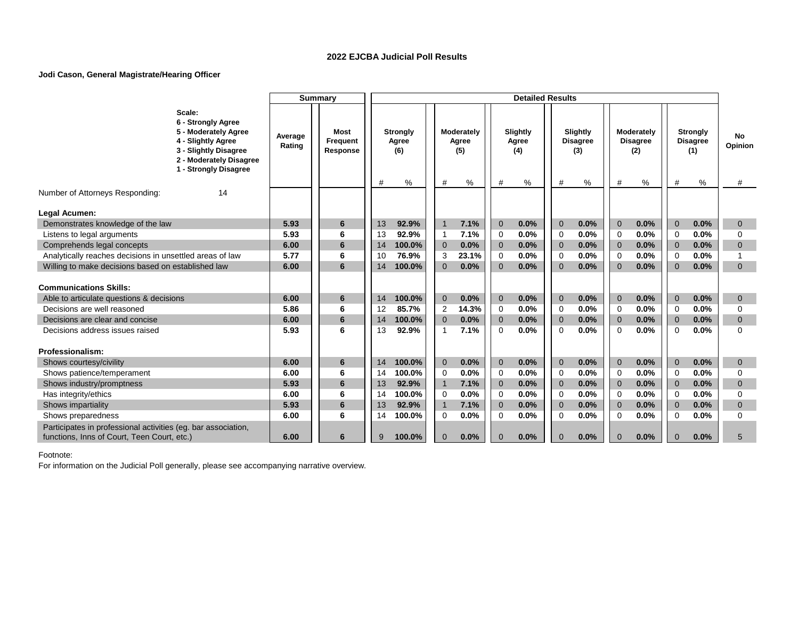### **Jodi Cason, General Magistrate/Hearing Officer**

|                                                               |                                                                                                                                                         |                   | <b>Summary</b>               |    |                                 |                |                            |                | <b>Detailed Results</b>  |                |                                    |                |                                      |                |                                           |               |
|---------------------------------------------------------------|---------------------------------------------------------------------------------------------------------------------------------------------------------|-------------------|------------------------------|----|---------------------------------|----------------|----------------------------|----------------|--------------------------|----------------|------------------------------------|----------------|--------------------------------------|----------------|-------------------------------------------|---------------|
|                                                               | Scale:<br>6 - Strongly Agree<br>5 - Moderately Agree<br>4 - Slightly Agree<br>3 - Slightly Disagree<br>2 - Moderately Disagree<br>1 - Strongly Disagree | Average<br>Rating | Most<br>Frequent<br>Response |    | <b>Strongly</b><br>Agree<br>(6) |                | Moderately<br>Agree<br>(5) |                | Slightly<br>Agree<br>(4) |                | Slightly<br><b>Disagree</b><br>(3) |                | Moderately<br><b>Disagree</b><br>(2) |                | <b>Strongly</b><br><b>Disagree</b><br>(1) | No<br>Opinion |
| Number of Attorneys Responding:                               | 14                                                                                                                                                      |                   |                              | #  | %                               | #              | %                          | #              | ℅                        | #              | %                                  | #              | %                                    | #              | %                                         | #             |
|                                                               |                                                                                                                                                         |                   |                              |    |                                 |                |                            |                |                          |                |                                    |                |                                      |                |                                           |               |
| Legal Acumen:                                                 |                                                                                                                                                         |                   |                              |    |                                 |                |                            |                |                          |                |                                    |                |                                      |                |                                           |               |
| Demonstrates knowledge of the law                             |                                                                                                                                                         | 5.93              | 6                            | 13 | 92.9%                           | $\overline{1}$ | 7.1%                       | $\mathbf{0}$   | 0.0%                     | $\overline{0}$ | 0.0%                               | $\overline{0}$ | 0.0%                                 | $\overline{0}$ | 0.0%                                      | $\mathbf{0}$  |
| Listens to legal arguments                                    |                                                                                                                                                         | 5.93              | 6                            | 13 | 92.9%                           | $\mathbf 1$    | 7.1%                       | $\mathbf 0$    | 0.0%                     | $\Omega$       | 0.0%                               | $\Omega$       | 0.0%                                 | $\Omega$       | 0.0%                                      | $\Omega$      |
| Comprehends legal concepts                                    |                                                                                                                                                         | 6.00              | 6                            | 14 | 100.0%                          | $\overline{0}$ | 0.0%                       | $\mathbf{0}$   | 0.0%                     | $\overline{0}$ | 0.0%                               | $\overline{0}$ | 0.0%                                 | $\overline{0}$ | 0.0%                                      | $\mathbf{0}$  |
| Analytically reaches decisions in unsettled areas of law      |                                                                                                                                                         | 5.77              | 6                            | 10 | 76.9%                           | 3              | 23.1%                      | 0              | 0.0%                     | $\Omega$       | 0.0%                               | 0              | 0.0%                                 | $\Omega$       | 0.0%                                      | $\mathbf{1}$  |
| Willing to make decisions based on established law            |                                                                                                                                                         | 6.00              | 6                            | 14 | 100.0%                          | $\Omega$       | 0.0%                       | $\Omega$       | 0.0%                     | $\Omega$       | 0.0%                               | $\Omega$       | 0.0%                                 | $\Omega$       | 0.0%                                      | $\Omega$      |
|                                                               |                                                                                                                                                         |                   |                              |    |                                 |                |                            |                |                          |                |                                    |                |                                      |                |                                           |               |
| <b>Communications Skills:</b>                                 |                                                                                                                                                         |                   |                              |    |                                 |                |                            |                |                          |                |                                    |                |                                      |                |                                           |               |
| Able to articulate questions & decisions                      |                                                                                                                                                         | 6.00              | 6                            | 14 | 100.0%                          | $\mathbf{0}$   | 0.0%                       | $\mathbf{0}$   | 0.0%                     | $\Omega$       | 0.0%                               | $\Omega$       | 0.0%                                 | $\overline{0}$ | 0.0%                                      | $\mathbf{0}$  |
| Decisions are well reasoned                                   |                                                                                                                                                         | 5.86              | 6                            | 12 | 85.7%                           | 2              | 14.3%                      | $\Omega$       | 0.0%                     | $\Omega$       | 0.0%                               | $\Omega$       | 0.0%                                 | $\Omega$       | 0.0%                                      | $\Omega$      |
| Decisions are clear and concise                               |                                                                                                                                                         | 6.00              | 6                            | 14 | 100.0%                          | $\overline{0}$ | 0.0%                       | $\overline{0}$ | 0.0%                     | $\Omega$       | 0.0%                               | $\overline{0}$ | 0.0%                                 | $\overline{0}$ | 0.0%                                      | $\mathbf{0}$  |
| Decisions address issues raised                               |                                                                                                                                                         | 5.93              | 6                            | 13 | 92.9%                           | $\overline{1}$ | 7.1%                       | $\Omega$       | 0.0%                     | $\Omega$       | 0.0%                               | $\Omega$       | 0.0%                                 | $\Omega$       | 0.0%                                      | $\Omega$      |
| Professionalism:                                              |                                                                                                                                                         |                   |                              |    |                                 |                |                            |                |                          |                |                                    |                |                                      |                |                                           |               |
| Shows courtesy/civility                                       |                                                                                                                                                         | 6.00              | 6                            | 14 | 100.0%                          | $\mathbf{0}$   | 0.0%                       | $\mathbf{0}$   | 0.0%                     | $\mathbf{0}$   | 0.0%                               | $\Omega$       | 0.0%                                 | $\overline{0}$ | 0.0%                                      | $\mathbf{0}$  |
| Shows patience/temperament                                    |                                                                                                                                                         | 6.00              | 6                            | 14 | 100.0%                          | $\Omega$       | 0.0%                       | $\Omega$       | 0.0%                     | $\Omega$       | 0.0%                               | $\Omega$       | 0.0%                                 | $\Omega$       | 0.0%                                      | $\Omega$      |
| Shows industry/promptness                                     |                                                                                                                                                         | 5.93              | 6                            | 13 | 92.9%                           | $\overline{1}$ | 7.1%                       | $\mathbf 0$    | 0.0%                     | $\Omega$       | 0.0%                               | $\overline{0}$ | 0.0%                                 | $\overline{0}$ | 0.0%                                      | $\mathbf{0}$  |
| Has integrity/ethics                                          |                                                                                                                                                         | 6.00              | 6                            | 14 | 100.0%                          | $\Omega$       | 0.0%                       | $\mathbf 0$    | 0.0%                     | $\Omega$       | 0.0%                               | $\Omega$       | 0.0%                                 | $\Omega$       | 0.0%                                      | $\Omega$      |
| Shows impartiality                                            |                                                                                                                                                         | 5.93              | 6                            | 13 | 92.9%                           | $\overline{1}$ | 7.1%                       | $\mathbf{0}$   | 0.0%                     | $\Omega$       | 0.0%                               | $\overline{0}$ | 0.0%                                 | $\overline{0}$ | 0.0%                                      | $\mathbf{0}$  |
| Shows preparedness                                            |                                                                                                                                                         | 6.00              | 6                            | 14 | 100.0%                          | $\Omega$       | 0.0%                       | $\Omega$       | 0.0%                     | $\Omega$       | 0.0%                               | $\Omega$       | 0.0%                                 | $\Omega$       | 0.0%                                      | 0             |
| Participates in professional activities (eg. bar association, |                                                                                                                                                         |                   |                              |    |                                 |                |                            |                |                          |                |                                    |                |                                      |                |                                           |               |
| functions, Inns of Court, Teen Court, etc.)                   |                                                                                                                                                         | 6.00              | 6                            | 9  | 100.0%                          | $\overline{0}$ | 0.0%                       | $\Omega$       | 0.0%                     | $\Omega$       | 0.0%                               | $\Omega$       | 0.0%                                 | $\Omega$       | 0.0%                                      | 5             |
|                                                               |                                                                                                                                                         |                   |                              |    |                                 |                |                            |                |                          |                |                                    |                |                                      |                |                                           |               |

Footnote: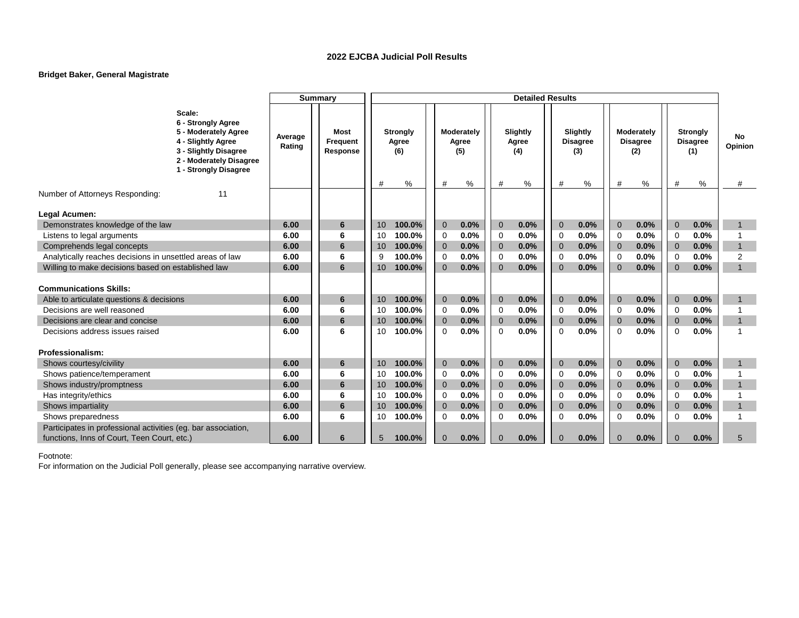### **Bridget Baker, General Magistrate**

| Scale:<br>6 - Strongly Agree<br>5 - Moderately Agree<br>Slightly<br>Moderately<br>Most<br><b>Strongly</b><br><b>Moderately</b><br>Slightly<br><b>Strongly</b><br>Average<br>No<br>4 - Slightly Agree<br>Agree<br>Frequent<br>Agree<br>Agree<br><b>Disagree</b><br><b>Disagree</b><br><b>Disagree</b><br>Opinion<br>Rating<br>3 - Slightly Disagree<br>Response<br>(6)<br>(5)<br>(4)<br>(3)<br>(2)<br>(1)<br>2 - Moderately Disagree<br>1 - Strongly Disagree<br>%<br>%<br>#<br>%<br>%<br>%<br>%<br>#<br>#<br>#<br>#<br>#<br>#<br>Number of Attorneys Responding:<br>11<br>Legal Acumen: |                                   |      | <b>Summary</b> |              |                      | <b>Detailed Results</b> |                  |                        |                        |              |
|-----------------------------------------------------------------------------------------------------------------------------------------------------------------------------------------------------------------------------------------------------------------------------------------------------------------------------------------------------------------------------------------------------------------------------------------------------------------------------------------------------------------------------------------------------------------------------------------|-----------------------------------|------|----------------|--------------|----------------------|-------------------------|------------------|------------------------|------------------------|--------------|
|                                                                                                                                                                                                                                                                                                                                                                                                                                                                                                                                                                                         |                                   |      |                |              |                      |                         |                  |                        |                        |              |
|                                                                                                                                                                                                                                                                                                                                                                                                                                                                                                                                                                                         |                                   |      |                |              |                      |                         |                  |                        |                        |              |
|                                                                                                                                                                                                                                                                                                                                                                                                                                                                                                                                                                                         |                                   |      |                |              |                      |                         |                  |                        |                        |              |
|                                                                                                                                                                                                                                                                                                                                                                                                                                                                                                                                                                                         |                                   |      |                |              |                      |                         |                  |                        |                        |              |
|                                                                                                                                                                                                                                                                                                                                                                                                                                                                                                                                                                                         | Demonstrates knowledge of the law | 6.00 | 6              | 100.0%<br>10 | $\mathbf{0}$<br>0.0% | $\mathbf{0}$<br>0.0%    | 0.0%<br>$\Omega$ | 0.0%<br>$\overline{0}$ | $\overline{0}$<br>0.0% | $\mathbf{1}$ |
| 0.0%<br>0.0%<br>0.0%<br>0.0%<br>0.0%<br>100.0%<br>Listens to legal arguments<br>6.00<br>6<br>10<br>$\mathbf 0$<br>$\mathbf 0$<br>$\Omega$<br>$\mathbf 0$<br>$\mathbf 0$                                                                                                                                                                                                                                                                                                                                                                                                                 |                                   |      |                |              |                      |                         |                  |                        |                        |              |
| 6.00<br>6<br>0.0%<br>0.0%<br>0.0%<br>0.0%<br>0.0%<br>$\mathbf{1}$<br>Comprehends legal concepts<br>100.0%<br>$\mathbf{0}$<br>$\overline{0}$<br>$\overline{0}$<br>10<br>$\mathbf{0}$<br>$\overline{0}$                                                                                                                                                                                                                                                                                                                                                                                   |                                   |      |                |              |                      |                         |                  |                        |                        |              |
| 0.0%<br>0.0%<br>0.0%<br>0.0%<br>0.0%<br>2<br>6.00<br>6<br>100.0%<br>Analytically reaches decisions in unsettled areas of law<br>9<br>$\mathbf 0$<br>$\mathbf 0$<br>$\mathbf 0$<br>$\mathbf 0$<br>$\mathbf 0$                                                                                                                                                                                                                                                                                                                                                                            |                                   |      |                |              |                      |                         |                  |                        |                        |              |
| $\overline{1}$<br>Willing to make decisions based on established law<br>6<br>0.0%<br>0.0%<br>0.0%<br>0.0%<br>0.0%<br>6.00<br>100.0%<br>$\mathbf{0}$<br>$\mathbf{0}$<br>$\Omega$<br>$\Omega$<br>$\overline{0}$<br>10 <sup>°</sup>                                                                                                                                                                                                                                                                                                                                                        |                                   |      |                |              |                      |                         |                  |                        |                        |              |
|                                                                                                                                                                                                                                                                                                                                                                                                                                                                                                                                                                                         |                                   |      |                |              |                      |                         |                  |                        |                        |              |
| <b>Communications Skills:</b>                                                                                                                                                                                                                                                                                                                                                                                                                                                                                                                                                           |                                   |      |                |              |                      |                         |                  |                        |                        |              |
| 6.00<br>100.0%<br>$\overline{0}$<br>0.0%<br>$\mathbf{0}$<br>0.0%<br>$\overline{0}$<br>0.0%<br>$\overline{0}$<br>0.0%<br>$\overline{0}$<br>0.0%<br>Able to articulate questions & decisions<br>6<br>10<br>$\mathbf{1}$                                                                                                                                                                                                                                                                                                                                                                   |                                   |      |                |              |                      |                         |                  |                        |                        |              |
| 0.0%<br>0.0%<br>0.0%<br>0.0%<br>0.0%<br>Decisions are well reasoned<br>100.0%<br>6.00<br>6<br>$\mathbf 0$<br>$\mathbf 0$<br>$\Omega$<br>$\mathbf 0$<br>$\Omega$<br>10                                                                                                                                                                                                                                                                                                                                                                                                                   |                                   |      |                |              |                      |                         |                  |                        |                        |              |
| 0.0%<br>Decisions are clear and concise<br>6.00<br>6<br>100.0%<br>0.0%<br>$\mathbf{0}$<br>0.0%<br>$\overline{0}$<br>0.0%<br>$\overline{0}$<br>0.0%<br>$\overline{0}$<br>$\overline{1}$<br>10<br>$\overline{0}$                                                                                                                                                                                                                                                                                                                                                                          |                                   |      |                |              |                      |                         |                  |                        |                        |              |
| 0.0%<br>0.0%<br>0.0%<br>$\Omega$<br>0.0%<br>0.0%<br>1<br>Decisions address issues raised<br>6.00<br>6<br>100.0%<br>0<br>$\Omega$<br>$\mathbf 0$<br>$\Omega$<br>10                                                                                                                                                                                                                                                                                                                                                                                                                       |                                   |      |                |              |                      |                         |                  |                        |                        |              |
| Professionalism:                                                                                                                                                                                                                                                                                                                                                                                                                                                                                                                                                                        |                                   |      |                |              |                      |                         |                  |                        |                        |              |
| 6.00<br>6<br>100.0%<br>$\overline{0}$<br>0.0%<br>$\mathbf{0}$<br>0.0%<br>$\Omega$<br>0.0%<br>$\Omega$<br>0.0%<br>$\overline{0}$<br>0.0%<br>Shows courtesy/civility<br>10                                                                                                                                                                                                                                                                                                                                                                                                                |                                   |      |                |              |                      |                         |                  |                        |                        |              |
| 0.0%<br>0.0%<br>0.0%<br>0.0%<br>0.0%<br>6.00<br>6<br>100.0%<br>$\mathbf 0$<br>$\Omega$<br>$\Omega$<br>$\Omega$<br>Shows patience/temperament<br>10<br>0                                                                                                                                                                                                                                                                                                                                                                                                                                 |                                   |      |                |              |                      |                         |                  |                        |                        |              |
| 0.0%<br>0.0%<br>6.00<br>6<br>0.0%<br>0.0%<br>0.0%<br>$\overline{0}$<br>$\overline{0}$<br>$\mathbf{1}$<br>Shows industry/promptness<br>100.0%<br>$\mathbf{0}$<br>10<br>$\overline{0}$<br>$\Omega$                                                                                                                                                                                                                                                                                                                                                                                        |                                   |      |                |              |                      |                         |                  |                        |                        |              |
| 0.0%<br>0.0%<br>0.0%<br>0.0%<br>0.0%<br>6.00<br>100.0%<br>$\mathbf 0$<br>$\mathbf 0$<br>Has integrity/ethics<br>6<br>10<br>0<br>$\Omega$<br>0                                                                                                                                                                                                                                                                                                                                                                                                                                           |                                   |      |                |              |                      |                         |                  |                        |                        |              |
| 6<br>0.0%<br>0.0%<br>$\overline{1}$<br>Shows impartiality<br>6.00<br>100.0%<br>0.0%<br>0.0%<br>0.0%<br>$\overline{0}$<br>$\overline{0}$<br>10<br>$\overline{0}$<br>$\mathbf{0}$<br>$\Omega$                                                                                                                                                                                                                                                                                                                                                                                             |                                   |      |                |              |                      |                         |                  |                        |                        |              |
| 0.0%<br>0.0%<br>0.0%<br>0.0%<br>0.0%<br>6.00<br>6<br>100.0%<br>0<br>0<br>$\mathbf 0$<br>$\mathbf 0$<br>$\mathbf 0$<br>$\overline{1}$<br>Shows preparedness<br>10                                                                                                                                                                                                                                                                                                                                                                                                                        |                                   |      |                |              |                      |                         |                  |                        |                        |              |
| Participates in professional activities (eg. bar association,                                                                                                                                                                                                                                                                                                                                                                                                                                                                                                                           |                                   |      |                |              |                      |                         |                  |                        |                        |              |
| functions, Inns of Court, Teen Court, etc.)<br>6.00<br>100.0%<br>0.0%<br>0.0%<br>0.0%<br>0.0%<br>0.0%<br>5<br>6<br>5<br>0<br>$\mathbf{0}$<br>$\Omega$<br>$\Omega$<br>$\Omega$                                                                                                                                                                                                                                                                                                                                                                                                           |                                   |      |                |              |                      |                         |                  |                        |                        |              |

Footnote: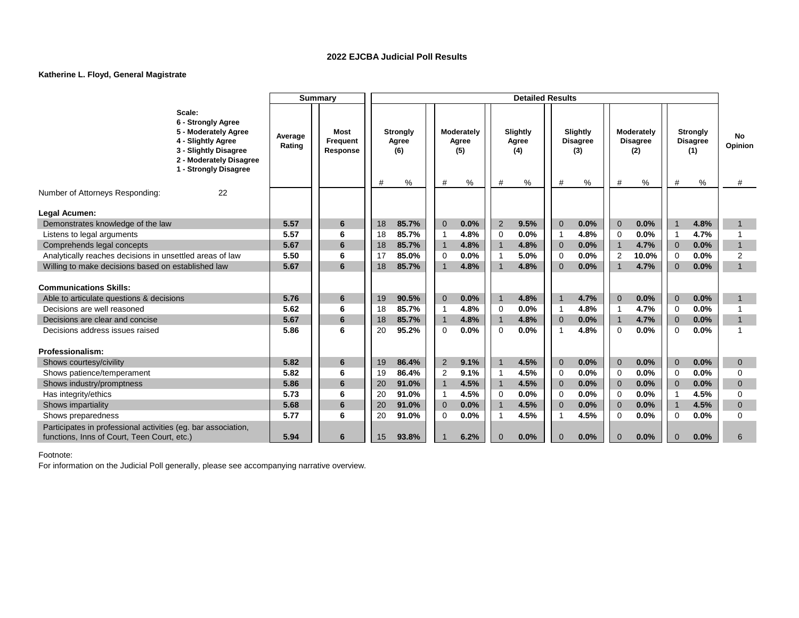### **Katherine L. Floyd, General Magistrate**

|                                                               |                                                                                                                                                         |                   | <b>Summary</b>               |    |                                 |                |                            |      |                | <b>Detailed Results</b>  |                            |                                    |                |                                      |                |                                           |                |
|---------------------------------------------------------------|---------------------------------------------------------------------------------------------------------------------------------------------------------|-------------------|------------------------------|----|---------------------------------|----------------|----------------------------|------|----------------|--------------------------|----------------------------|------------------------------------|----------------|--------------------------------------|----------------|-------------------------------------------|----------------|
|                                                               | Scale:<br>6 - Strongly Agree<br>5 - Moderately Agree<br>4 - Slightly Agree<br>3 - Slightly Disagree<br>2 - Moderately Disagree<br>1 - Strongly Disagree | Average<br>Rating | Most<br>Frequent<br>Response |    | <b>Strongly</b><br>Agree<br>(6) |                | Moderately<br>Agree<br>(5) |      |                | Slightly<br>Agree<br>(4) |                            | Slightly<br><b>Disagree</b><br>(3) |                | Moderately<br><b>Disagree</b><br>(2) |                | <b>Strongly</b><br><b>Disagree</b><br>(1) | No<br>Opinion  |
| Number of Attorneys Responding:                               | 22                                                                                                                                                      |                   |                              | #  | %                               | #              |                            | ℅    | #              | %                        | #                          | %                                  | #              | %                                    | #              | %                                         | #              |
|                                                               |                                                                                                                                                         |                   |                              |    |                                 |                |                            |      |                |                          |                            |                                    |                |                                      |                |                                           |                |
| Legal Acumen:                                                 |                                                                                                                                                         |                   |                              |    |                                 |                |                            |      |                |                          |                            |                                    |                |                                      |                |                                           |                |
| Demonstrates knowledge of the law                             |                                                                                                                                                         | 5.57              | 6                            | 18 | 85.7%                           | $\overline{0}$ |                            | 0.0% | 2              | 9.5%                     | $\overline{0}$             | 0.0%                               | $\overline{0}$ | 0.0%                                 | $\overline{1}$ | 4.8%                                      | $\mathbf 1$    |
| Listens to legal arguments                                    |                                                                                                                                                         | 5.57              | 6                            | 18 | 85.7%                           | -1             |                            | 4.8% | $\overline{0}$ | 0.0%                     | -1                         | 4.8%                               | $\Omega$       | 0.0%                                 | -1             | 4.7%                                      |                |
| Comprehends legal concepts                                    |                                                                                                                                                         | 5.67              | 6                            | 18 | 85.7%                           | $\overline{1}$ |                            | 4.8% | $\overline{1}$ | 4.8%                     | $\mathbf 0$                | 0.0%                               | $\overline{1}$ | 4.7%                                 | $\overline{0}$ | 0.0%                                      | $\overline{1}$ |
| Analytically reaches decisions in unsettled areas of law      |                                                                                                                                                         | 5.50              | 6                            | 17 | 85.0%                           | $\mathbf 0$    |                            | 0.0% | $\overline{1}$ | 5.0%                     | $\Omega$                   | 0.0%                               | $\overline{2}$ | 10.0%                                | $\Omega$       | 0.0%                                      | $\overline{2}$ |
| Willing to make decisions based on established law            |                                                                                                                                                         | 5.67              | 6                            | 18 | 85.7%                           | $\mathbf 1$    |                            | 4.8% | $\overline{1}$ | 4.8%                     | $\Omega$                   | 0.0%                               | $\overline{1}$ | 4.7%                                 | $\Omega$       | 0.0%                                      | $\overline{1}$ |
|                                                               |                                                                                                                                                         |                   |                              |    |                                 |                |                            |      |                |                          |                            |                                    |                |                                      |                |                                           |                |
| <b>Communications Skills:</b>                                 |                                                                                                                                                         |                   |                              |    |                                 |                |                            |      |                |                          |                            |                                    |                |                                      |                |                                           |                |
| Able to articulate questions & decisions                      |                                                                                                                                                         | 5.76              | 6                            | 19 | 90.5%                           | $\mathbf{0}$   |                            | 0.0% | $\overline{1}$ | 4.8%                     | $\overline{1}$             | 4.7%                               | $\Omega$       | 0.0%                                 | $\Omega$       | 0.0%                                      | 1              |
| Decisions are well reasoned                                   |                                                                                                                                                         | 5.62              | 6                            | 18 | 85.7%                           | -1             |                            | 4.8% | $\Omega$       | 0.0%                     | -1                         | 4.8%                               | -1             | 4.7%                                 | $\Omega$       | 0.0%                                      | 1              |
| Decisions are clear and concise                               |                                                                                                                                                         | 5.67              | 6                            | 18 | 85.7%                           | $\overline{1}$ |                            | 4.8% | $\mathbf{1}$   | 4.8%                     | $\Omega$                   | 0.0%                               | $\overline{1}$ | 4.7%                                 | $\Omega$       | 0.0%                                      | $\overline{1}$ |
| Decisions address issues raised                               |                                                                                                                                                         | 5.86              | 6                            | 20 | 95.2%                           | $\Omega$       |                            | 0.0% | $\Omega$       | 0.0%                     | -1                         | 4.8%                               | $\Omega$       | 0.0%                                 | $\Omega$       | 0.0%                                      | 1              |
|                                                               |                                                                                                                                                         |                   |                              |    |                                 |                |                            |      |                |                          |                            |                                    |                |                                      |                |                                           |                |
| <b>Professionalism:</b>                                       |                                                                                                                                                         |                   |                              |    |                                 |                |                            |      |                |                          |                            |                                    |                |                                      |                |                                           |                |
| Shows courtesy/civility                                       |                                                                                                                                                         | 5.82              | 6                            | 19 | 86.4%                           | $\overline{2}$ |                            | 9.1% | $\overline{1}$ | 4.5%                     | $\Omega$                   | 0.0%                               | $\Omega$       | 0.0%                                 | $\Omega$       | 0.0%                                      | $\mathbf{0}$   |
| Shows patience/temperament                                    |                                                                                                                                                         | 5.82              | 6                            | 19 | 86.4%                           | 2              |                            | 9.1% | $\overline{1}$ | 4.5%                     | $\Omega$                   | 0.0%                               | $\Omega$       | 0.0%                                 | $\Omega$       | 0.0%                                      | $\Omega$       |
| Shows industry/promptness                                     |                                                                                                                                                         | 5.86              | 6                            | 20 | 91.0%                           | $\overline{1}$ |                            | 4.5% | $\overline{1}$ | 4.5%                     | $\Omega$                   | 0.0%                               | $\Omega$       | 0.0%                                 | $\Omega$       | 0.0%                                      | $\mathbf{0}$   |
| Has integrity/ethics                                          |                                                                                                                                                         | 5.73              | 6                            | 20 | 91.0%                           | $\overline{1}$ |                            | 4.5% | $\overline{0}$ | 0.0%                     | $\Omega$                   | 0.0%                               | $\Omega$       | 0.0%                                 |                | 4.5%                                      | $\Omega$       |
| Shows impartiality                                            |                                                                                                                                                         | 5.68              | 6                            | 20 | 91.0%                           | $\overline{0}$ |                            | 0.0% | $\mathbf{1}$   | 4.5%                     | $\Omega$<br>$\overline{1}$ | 0.0%                               | $\overline{0}$ | 0.0%                                 | $\overline{1}$ | 4.5%                                      | $\mathbf{0}$   |
| Shows preparedness                                            |                                                                                                                                                         | 5.77              | 6                            | 20 | 91.0%                           | $\Omega$       |                            | 0.0% | $\overline{1}$ | 4.5%                     |                            | 4.5%                               | $\Omega$       | 0.0%                                 | $\Omega$       | 0.0%                                      | $\Omega$       |
| Participates in professional activities (eg. bar association, |                                                                                                                                                         |                   |                              |    |                                 |                |                            |      |                |                          |                            |                                    | $\Omega$       |                                      | $\Omega$       |                                           |                |
| functions, Inns of Court, Teen Court, etc.)                   |                                                                                                                                                         | 5.94              | 6                            | 15 | 93.8%                           |                |                            | 6.2% | $\Omega$       | 0.0%                     | $\Omega$                   | 0.0%                               |                | 0.0%                                 |                | 0.0%                                      | 6              |

Footnote: